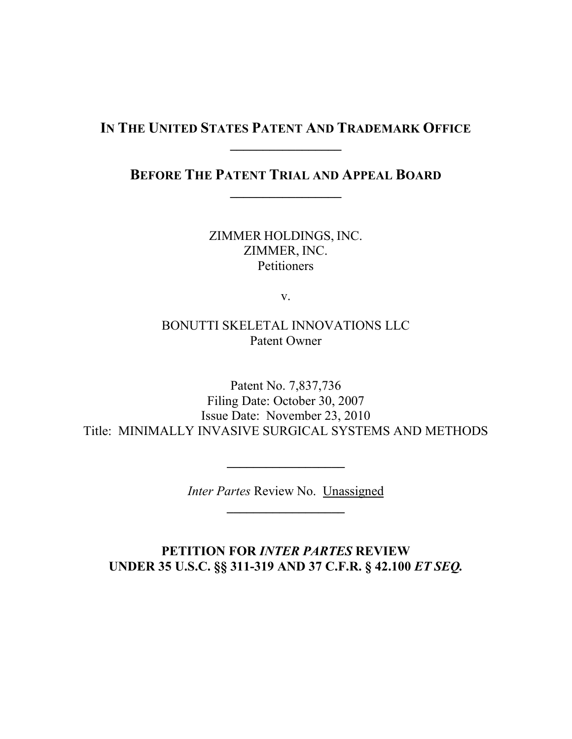# **IN THE UNITED STATES PATENT AND TRADEMARK OFFICE \_\_\_\_\_\_\_\_\_\_\_\_\_\_\_\_\_**

# **BEFORE THE PATENT TRIAL AND APPEAL BOARD \_\_\_\_\_\_\_\_\_\_\_\_\_\_\_\_\_**

ZIMMER HOLDINGS, INC. ZIMMER, INC. **Petitioners** 

v.

### BONUTTI SKELETAL INNOVATIONS LLC Patent Owner

Patent No. 7,837,736 Filing Date: October 30, 2007 Issue Date: November 23, 2010 Title: MINIMALLY INVASIVE SURGICAL SYSTEMS AND METHODS

> *Inter Partes* Review No. Unassigned **\_\_\_\_\_\_\_\_\_\_\_\_\_\_\_\_\_\_**

**\_\_\_\_\_\_\_\_\_\_\_\_\_\_\_\_\_\_**

**PETITION FOR** *INTER PARTES* **REVIEW UNDER 35 U.S.C. §§ 311-319 AND 37 C.F.R. § 42.100** *ET SEQ.*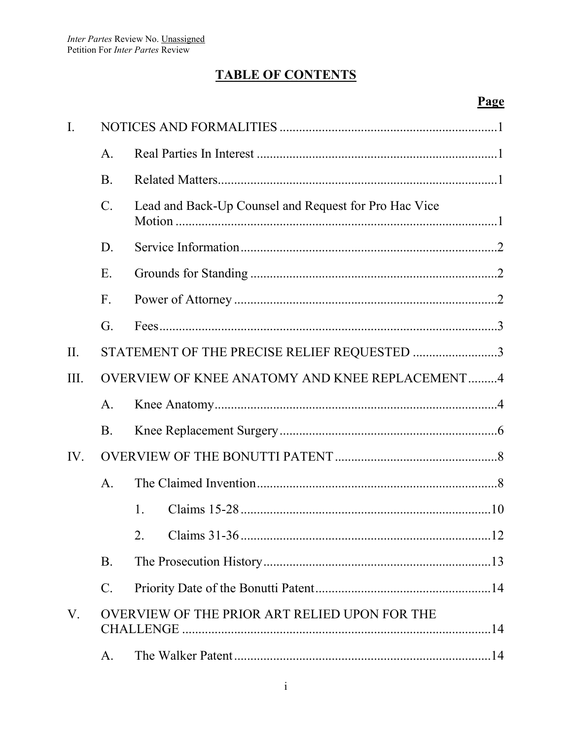# **TABLE OF CONTENTS**

| $\overline{I}$ . |                                                |                                                       |  |
|------------------|------------------------------------------------|-------------------------------------------------------|--|
|                  | $\mathsf{A}$ .                                 |                                                       |  |
|                  | <b>B</b> .                                     |                                                       |  |
|                  | $\mathcal{C}$ .                                | Lead and Back-Up Counsel and Request for Pro Hac Vice |  |
|                  | D.                                             |                                                       |  |
|                  | Ε.                                             |                                                       |  |
|                  | $F_{\cdot}$                                    |                                                       |  |
|                  | G.                                             |                                                       |  |
| II.              | STATEMENT OF THE PRECISE RELIEF REQUESTED 3    |                                                       |  |
| III.             | OVERVIEW OF KNEE ANATOMY AND KNEE REPLACEMENT4 |                                                       |  |
|                  | $A_{\cdot}$                                    |                                                       |  |
|                  | <b>B</b> .                                     |                                                       |  |
| IV.              |                                                |                                                       |  |
|                  | $\mathbf{A}$ .                                 |                                                       |  |
|                  |                                                | $\mathbf{1}$ .                                        |  |
|                  |                                                |                                                       |  |
|                  | <b>B.</b>                                      |                                                       |  |
|                  | $\mathbf{C}$ .                                 |                                                       |  |
| V.               |                                                | OVERVIEW OF THE PRIOR ART RELIED UPON FOR THE         |  |
|                  | A.                                             |                                                       |  |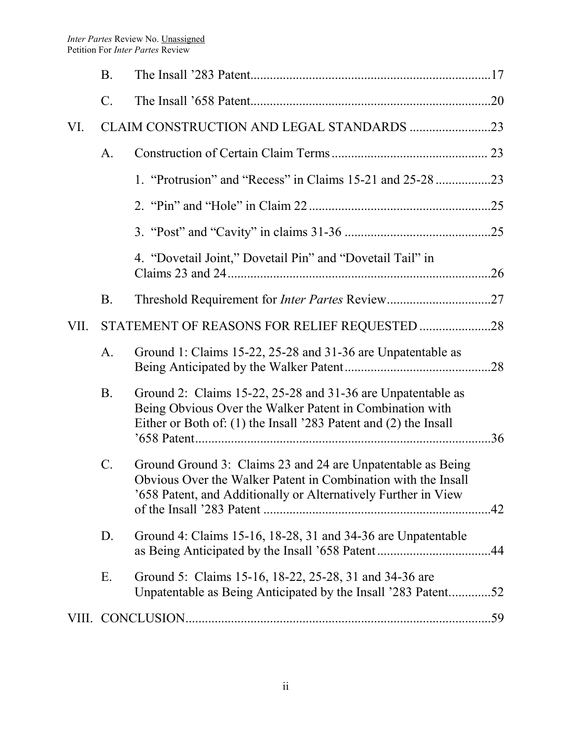|      | <b>B.</b>       |                                                                                                                                                                                                |     |
|------|-----------------|------------------------------------------------------------------------------------------------------------------------------------------------------------------------------------------------|-----|
|      | $\mathcal{C}$ . |                                                                                                                                                                                                |     |
| VI.  |                 |                                                                                                                                                                                                |     |
|      | A <sub>1</sub>  |                                                                                                                                                                                                |     |
|      |                 | 1. "Protrusion" and "Recess" in Claims 15-21 and 25-28 23                                                                                                                                      |     |
|      |                 |                                                                                                                                                                                                |     |
|      |                 |                                                                                                                                                                                                |     |
|      |                 | 4. "Dovetail Joint," Dovetail Pin" and "Dovetail Tail" in                                                                                                                                      |     |
|      | <b>B.</b>       |                                                                                                                                                                                                |     |
| VII. |                 | STATEMENT OF REASONS FOR RELIEF REQUESTED 28                                                                                                                                                   |     |
|      | A.              | Ground 1: Claims 15-22, 25-28 and 31-36 are Unpatentable as                                                                                                                                    |     |
|      | <b>B.</b>       | Ground 2: Claims 15-22, 25-28 and 31-36 are Unpatentable as<br>Being Obvious Over the Walker Patent in Combination with<br>Either or Both of: (1) the Insall '283 Patent and (2) the Insall    | .36 |
|      | $\mathcal{C}$ . | Ground Ground 3: Claims 23 and 24 are Unpatentable as Being<br>Obvious Over the Walker Patent in Combination with the Insall<br>'658 Patent, and Additionally or Alternatively Further in View |     |
|      | D.              | Ground 4: Claims 15-16, 18-28, 31 and 34-36 are Unpatentable                                                                                                                                   |     |
|      | Ε.              | Ground 5: Claims 15-16, 18-22, 25-28, 31 and 34-36 are<br>Unpatentable as Being Anticipated by the Insall '283 Patent52                                                                        |     |
|      |                 |                                                                                                                                                                                                |     |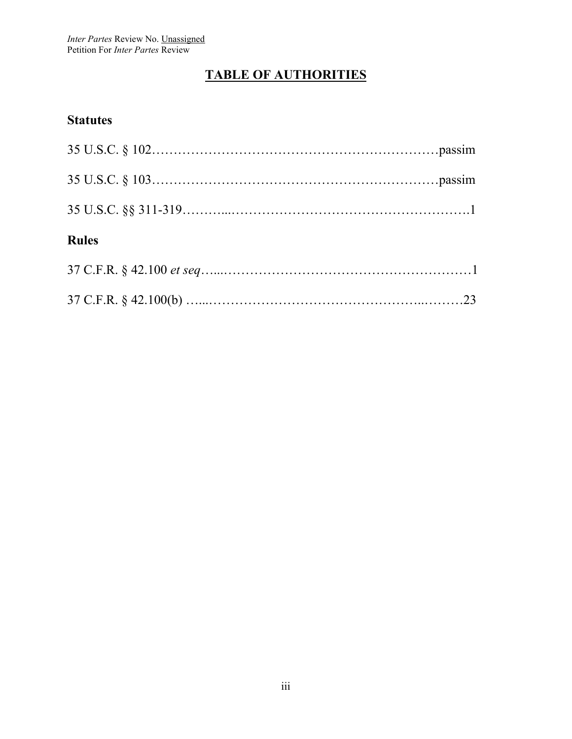# **TABLE OF AUTHORITIES**

## **Statutes**

| <b>Rules</b> |  |
|--------------|--|
|              |  |

37 C.F.R. § 42.100(b) …...…………………………………………..………23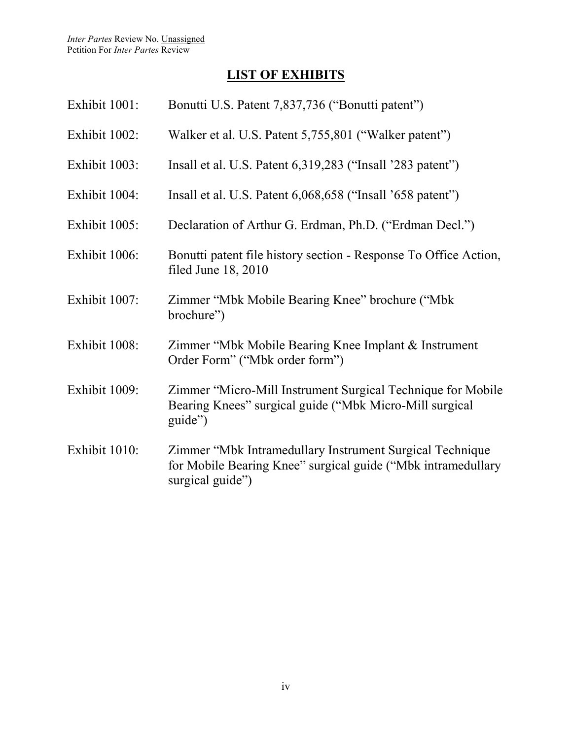# **LIST OF EXHIBITS**

| Exhibit 1001: | Bonutti U.S. Patent 7,837,736 ("Bonutti patent")                                                                                             |
|---------------|----------------------------------------------------------------------------------------------------------------------------------------------|
| Exhibit 1002: | Walker et al. U.S. Patent 5,755,801 ("Walker patent")                                                                                        |
| Exhibit 1003: | Insall et al. U.S. Patent 6, 319, 283 ("Insall '283 patent")                                                                                 |
| Exhibit 1004: | Insall et al. U.S. Patent 6,068,658 ("Insall '658 patent")                                                                                   |
| Exhibit 1005: | Declaration of Arthur G. Erdman, Ph.D. ("Erdman Decl.")                                                                                      |
| Exhibit 1006: | Bonutti patent file history section - Response To Office Action,<br>filed June $18, 2010$                                                    |
| Exhibit 1007: | Zimmer "Mbk Mobile Bearing Knee" brochure ("Mbk<br>brochure")                                                                                |
| Exhibit 1008: | Zimmer "Mbk Mobile Bearing Knee Implant & Instrument<br>Order Form" ("Mbk order form")                                                       |
| Exhibit 1009: | Zimmer "Micro-Mill Instrument Surgical Technique for Mobile<br>Bearing Knees" surgical guide ("Mbk Micro-Mill surgical<br>guide")            |
| Exhibit 1010: | Zimmer "Mbk Intramedullary Instrument Surgical Technique<br>for Mobile Bearing Knee" surgical guide ("Mbk intramedullary<br>surgical guide") |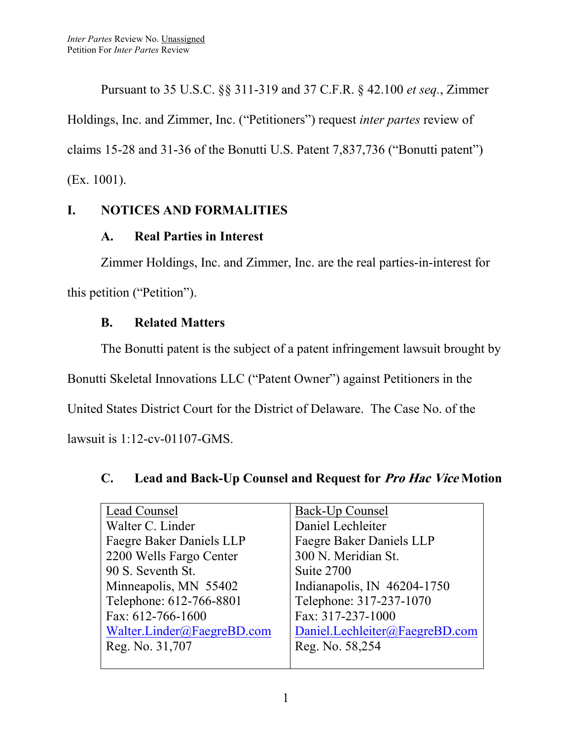Pursuant to 35 U.S.C. §§ 311-319 and 37 C.F.R. § 42.100 *et seq.*, Zimmer Holdings, Inc. and Zimmer, Inc. ("Petitioners") request *inter partes* review of claims 15-28 and 31-36 of the Bonutti U.S. Patent 7,837,736 ("Bonutti patent") (Ex. 1001).

# **I. NOTICES AND FORMALITIES**

# **A. Real Parties in Interest**

Zimmer Holdings, Inc. and Zimmer, Inc. are the real parties-in-interest for this petition ("Petition").

# **B. Related Matters**

The Bonutti patent is the subject of a patent infringement lawsuit brought by Bonutti Skeletal Innovations LLC ("Patent Owner") against Petitioners in the United States District Court for the District of Delaware. The Case No. of the lawsuit is 1:12-cv-01107-GMS.

#### Lead Counsel Walter C. Linder Faegre Baker Daniels LLP 2200 Wells Fargo Center 90 S. Seventh St. Minneapolis, MN 55402 Telephone: 612-766-8801 Fax: 612-766-1600 [Walter.Linder@FaegreBD.com](mailto:Walter.Linder@FaegreBD.com) Reg. No. 31,707 Back-Up Counsel Daniel Lechleiter Faegre Baker Daniels LLP 300 N. Meridian St. Suite 2700 Indianapolis, IN 46204-1750 Telephone: 317-237-1070 Fax: 317-237-1000 [Daniel.Lechleiter@FaegreBD.com](mailto:Daniel.Lechleiter@FaegreBD.com) Reg. No. 58,254

# **C. Lead and Back-Up Counsel and Request for Pro Hac Vice Motion**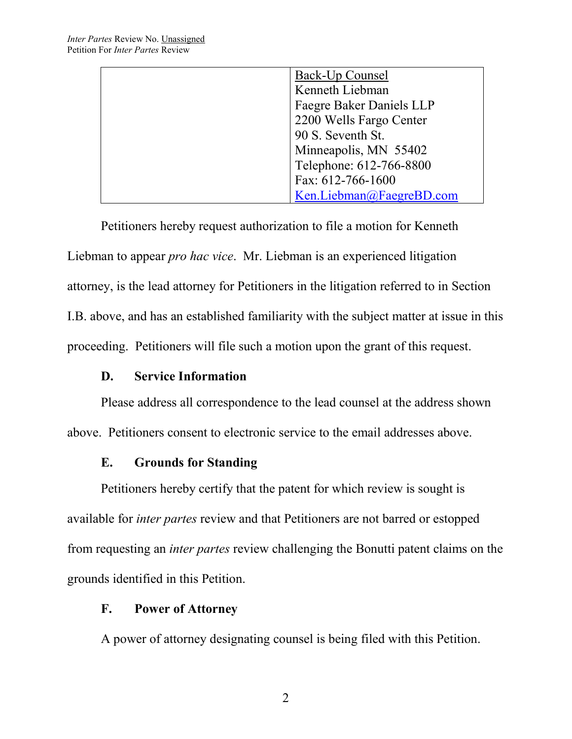| Back-Up Counsel          |
|--------------------------|
| Kenneth Liebman          |
| Faegre Baker Daniels LLP |
| 2200 Wells Fargo Center  |
| 90 S. Seventh St.        |
| Minneapolis, MN 55402    |
| Telephone: 612-766-8800  |
| Fax: 612-766-1600        |
| Ken.Liebman@FaegreBD.com |

Petitioners hereby request authorization to file a motion for Kenneth Liebman to appear *pro hac vice*. Mr. Liebman is an experienced litigation attorney, is the lead attorney for Petitioners in the litigation referred to in Section I.B. above, and has an established familiarity with the subject matter at issue in this proceeding. Petitioners will file such a motion upon the grant of this request.

### **D. Service Information**

Please address all correspondence to the lead counsel at the address shown above. Petitioners consent to electronic service to the email addresses above.

### **E. Grounds for Standing**

Petitioners hereby certify that the patent for which review is sought is available for *inter partes* review and that Petitioners are not barred or estopped from requesting an *inter partes* review challenging the Bonutti patent claims on the grounds identified in this Petition.

#### **F. Power of Attorney**

A power of attorney designating counsel is being filed with this Petition.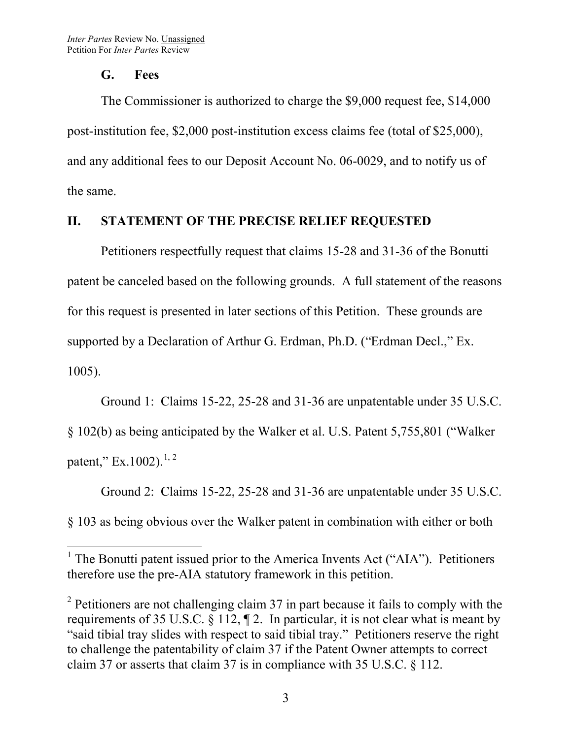#### **G. Fees**

The Commissioner is authorized to charge the \$9,000 request fee, \$14,000 post-institution fee, \$2,000 post-institution excess claims fee (total of \$25,000), and any additional fees to our Deposit Account No. 06-0029, and to notify us of the same.

### **II. STATEMENT OF THE PRECISE RELIEF REQUESTED**

Petitioners respectfully request that claims 15-28 and 31-36 of the Bonutti patent be canceled based on the following grounds. A full statement of the reasons for this request is presented in later sections of this Petition. These grounds are supported by a Declaration of Arthur G. Erdman, Ph.D. ("Erdman Decl.," Ex. 1005).

Ground 1: Claims 15-22, 25-28 and 31-36 are unpatentable under 35 U.S.C. § 102(b) as being anticipated by the Walker et al. U.S. Patent 5,755,801 ("Walker patent," Ex.100[2](#page-7-1)). $^{1,2}$  $^{1,2}$  $^{1,2}$ 

Ground 2: Claims 15-22, 25-28 and 31-36 are unpatentable under 35 U.S.C. § 103 as being obvious over the Walker patent in combination with either or both

<span id="page-7-0"></span><sup>&</sup>lt;sup>1</sup> The Bonutti patent issued prior to the America Invents Act ("AIA"). Petitioners therefore use the pre-AIA statutory framework in this petition.

<span id="page-7-1"></span> $2$  Petitioners are not challenging claim 37 in part because it fails to comply with the requirements of 35 U.S.C. § 112, ¶ 2. In particular, it is not clear what is meant by "said tibial tray slides with respect to said tibial tray." Petitioners reserve the right to challenge the patentability of claim 37 if the Patent Owner attempts to correct claim 37 or asserts that claim 37 is in compliance with 35 U.S.C. § 112.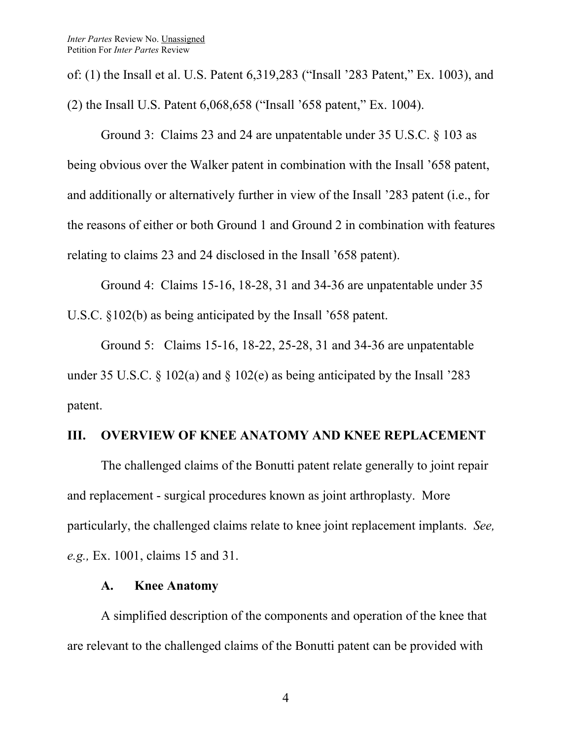of: (1) the Insall et al. U.S. Patent 6,319,283 ("Insall '283 Patent," Ex. 1003), and (2) the Insall U.S. Patent 6,068,658 ("Insall '658 patent," Ex. 1004).

Ground 3: Claims 23 and 24 are unpatentable under 35 U.S.C. § 103 as being obvious over the Walker patent in combination with the Insall '658 patent, and additionally or alternatively further in view of the Insall '283 patent (i.e., for the reasons of either or both Ground 1 and Ground 2 in combination with features relating to claims 23 and 24 disclosed in the Insall '658 patent).

Ground 4: Claims 15-16, 18-28, 31 and 34-36 are unpatentable under 35 U.S.C. §102(b) as being anticipated by the Insall '658 patent.

Ground 5: Claims 15-16, 18-22, 25-28, 31 and 34-36 are unpatentable under 35 U.S.C. § 102(a) and § 102(e) as being anticipated by the Insall '283 patent.

#### **III. OVERVIEW OF KNEE ANATOMY AND KNEE REPLACEMENT**

The challenged claims of the Bonutti patent relate generally to joint repair and replacement - surgical procedures known as joint arthroplasty. More particularly, the challenged claims relate to knee joint replacement implants. *See, e.g.,* Ex. 1001, claims 15 and 31.

#### **A. Knee Anatomy**

A simplified description of the components and operation of the knee that are relevant to the challenged claims of the Bonutti patent can be provided with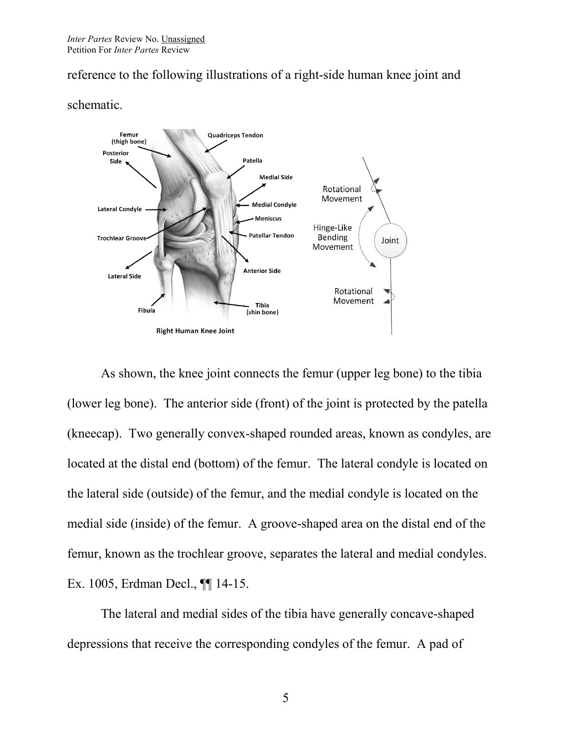reference to the following illustrations of a right-side human knee joint and



schematic.

As shown, the knee joint connects the femur (upper leg bone) to the tibia (lower leg bone). The anterior side (front) of the joint is protected by the patella (kneecap). Two generally convex-shaped rounded areas, known as condyles, are located at the distal end (bottom) of the femur. The lateral condyle is located on the lateral side (outside) of the femur, and the medial condyle is located on the medial side (inside) of the femur. A groove-shaped area on the distal end of the femur, known as the trochlear groove, separates the lateral and medial condyles. Ex. 1005, Erdman Decl., ¶¶ 14-15.

The lateral and medial sides of the tibia have generally concave-shaped depressions that receive the corresponding condyles of the femur. A pad of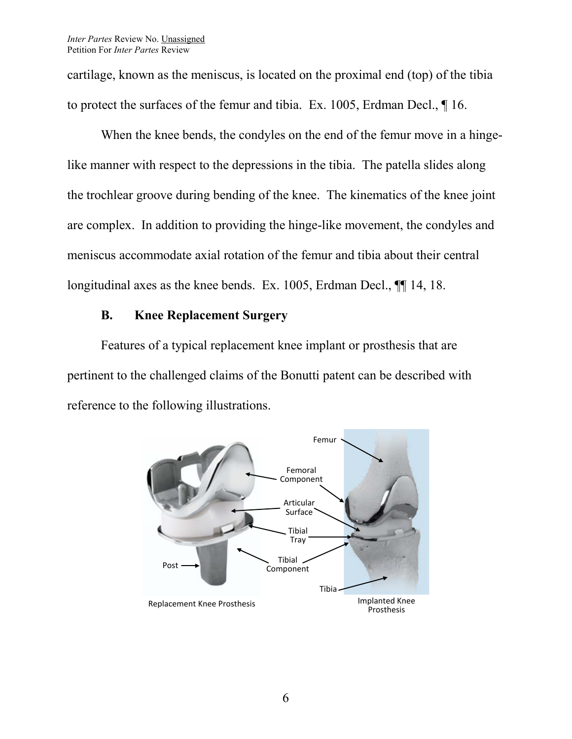cartilage, known as the meniscus, is located on the proximal end (top) of the tibia to protect the surfaces of the femur and tibia. Ex. 1005, Erdman Decl., ¶ 16.

When the knee bends, the condyles on the end of the femur move in a hingelike manner with respect to the depressions in the tibia. The patella slides along the trochlear groove during bending of the knee. The kinematics of the knee joint are complex. In addition to providing the hinge-like movement, the condyles and meniscus accommodate axial rotation of the femur and tibia about their central longitudinal axes as the knee bends. Ex. 1005, Erdman Decl.,  $\P$ [14, 18.

# **B. Knee Replacement Surgery**

Features of a typical replacement knee implant or prosthesis that are pertinent to the challenged claims of the Bonutti patent can be described with reference to the following illustrations.

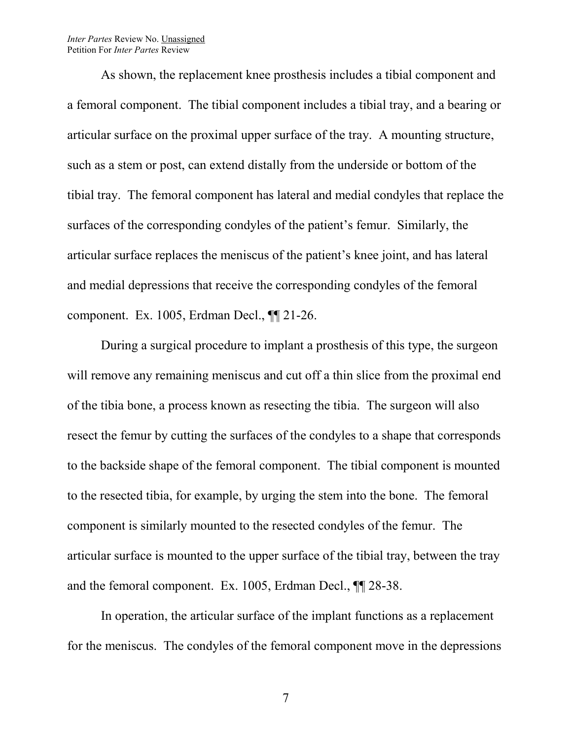#### *Inter Partes* Review No. Unassigned Petition For *Inter Partes* Review

As shown, the replacement knee prosthesis includes a tibial component and a femoral component. The tibial component includes a tibial tray, and a bearing or articular surface on the proximal upper surface of the tray. A mounting structure, such as a stem or post, can extend distally from the underside or bottom of the tibial tray. The femoral component has lateral and medial condyles that replace the surfaces of the corresponding condyles of the patient's femur. Similarly, the articular surface replaces the meniscus of the patient's knee joint, and has lateral and medial depressions that receive the corresponding condyles of the femoral component. Ex. 1005, Erdman Decl., ¶¶ 21-26.

During a surgical procedure to implant a prosthesis of this type, the surgeon will remove any remaining meniscus and cut off a thin slice from the proximal end of the tibia bone, a process known as resecting the tibia. The surgeon will also resect the femur by cutting the surfaces of the condyles to a shape that corresponds to the backside shape of the femoral component. The tibial component is mounted to the resected tibia, for example, by urging the stem into the bone. The femoral component is similarly mounted to the resected condyles of the femur. The articular surface is mounted to the upper surface of the tibial tray, between the tray and the femoral component. Ex. 1005, Erdman Decl., ¶¶ 28-38.

In operation, the articular surface of the implant functions as a replacement for the meniscus. The condyles of the femoral component move in the depressions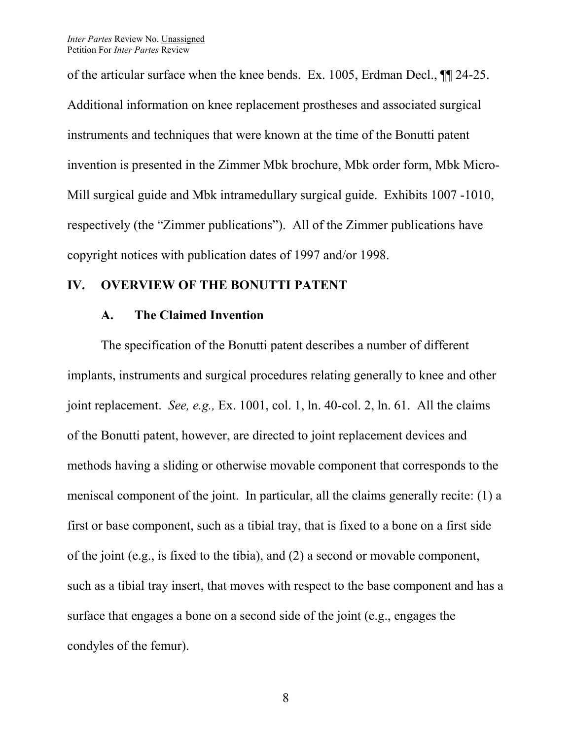of the articular surface when the knee bends. Ex. 1005, Erdman Decl., ¶¶ 24-25. Additional information on knee replacement prostheses and associated surgical instruments and techniques that were known at the time of the Bonutti patent invention is presented in the Zimmer Mbk brochure, Mbk order form, Mbk Micro-Mill surgical guide and Mbk intramedullary surgical guide. Exhibits 1007 -1010, respectively (the "Zimmer publications"). All of the Zimmer publications have copyright notices with publication dates of 1997 and/or 1998.

#### **IV. OVERVIEW OF THE BONUTTI PATENT**

#### **A. The Claimed Invention**

The specification of the Bonutti patent describes a number of different implants, instruments and surgical procedures relating generally to knee and other joint replacement. *See, e.g.,* Ex. 1001, col. 1, ln. 40-col. 2, ln. 61. All the claims of the Bonutti patent, however, are directed to joint replacement devices and methods having a sliding or otherwise movable component that corresponds to the meniscal component of the joint. In particular, all the claims generally recite: (1) a first or base component, such as a tibial tray, that is fixed to a bone on a first side of the joint (e.g., is fixed to the tibia), and (2) a second or movable component, such as a tibial tray insert, that moves with respect to the base component and has a surface that engages a bone on a second side of the joint (e.g., engages the condyles of the femur).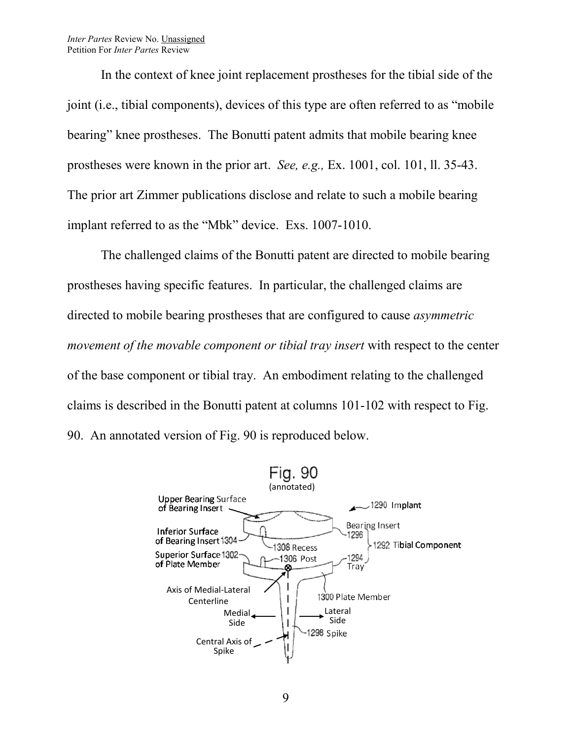In the context of knee joint replacement prostheses for the tibial side of the joint (i.e., tibial components), devices of this type are often referred to as "mobile bearing" knee prostheses. The Bonutti patent admits that mobile bearing knee prostheses were known in the prior art. *See, e.g.,* Ex. 1001, col. 101, ll. 35-43. The prior art Zimmer publications disclose and relate to such a mobile bearing implant referred to as the "Mbk" device. Exs. 1007-1010.

The challenged claims of the Bonutti patent are directed to mobile bearing prostheses having specific features. In particular, the challenged claims are directed to mobile bearing prostheses that are configured to cause *asymmetric movement of the movable component or tibial tray insert* with respect to the center of the base component or tibial tray. An embodiment relating to the challenged claims is described in the Bonutti patent at columns 101-102 with respect to Fig. 90. An annotated version of Fig. 90 is reproduced below.

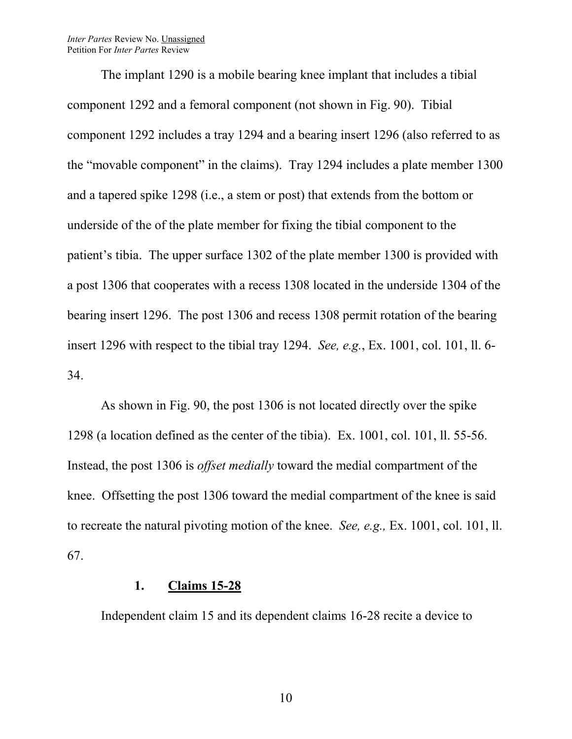*Inter Partes* Review No. Unassigned Petition For *Inter Partes* Review

The implant 1290 is a mobile bearing knee implant that includes a tibial component 1292 and a femoral component (not shown in Fig. 90). Tibial component 1292 includes a tray 1294 and a bearing insert 1296 (also referred to as the "movable component" in the claims). Tray 1294 includes a plate member 1300 and a tapered spike 1298 (i.e., a stem or post) that extends from the bottom or underside of the of the plate member for fixing the tibial component to the patient's tibia. The upper surface 1302 of the plate member 1300 is provided with a post 1306 that cooperates with a recess 1308 located in the underside 1304 of the bearing insert 1296. The post 1306 and recess 1308 permit rotation of the bearing insert 1296 with respect to the tibial tray 1294. *See, e.g.*, Ex. 1001, col. 101, ll. 6- 34.

As shown in Fig. 90, the post 1306 is not located directly over the spike 1298 (a location defined as the center of the tibia). Ex. 1001, col. 101, ll. 55-56. Instead, the post 1306 is *offset medially* toward the medial compartment of the knee. Offsetting the post 1306 toward the medial compartment of the knee is said to recreate the natural pivoting motion of the knee. *See, e.g.,* Ex. 1001, col. 101, ll. 67.

#### **1. Claims 15-28**

Independent claim 15 and its dependent claims 16-28 recite a device to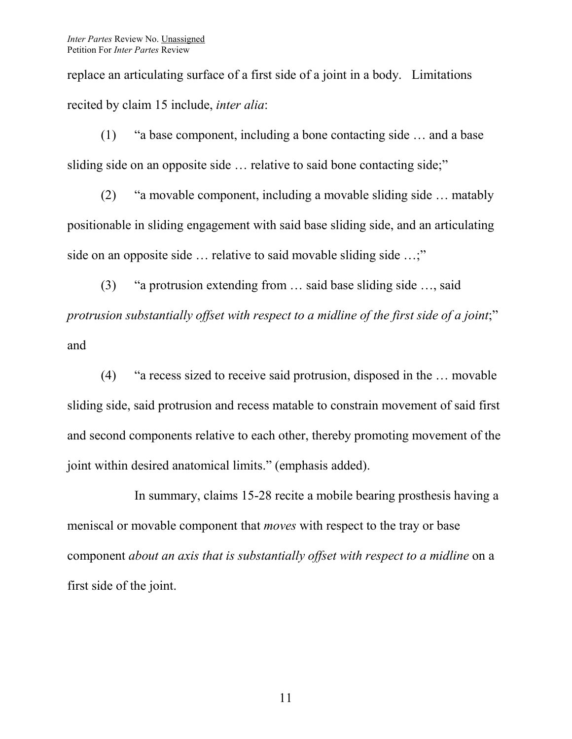replace an articulating surface of a first side of a joint in a body. Limitations recited by claim 15 include, *inter alia*:

(1) "a base component, including a bone contacting side … and a base sliding side on an opposite side ... relative to said bone contacting side;"

(2) "a movable component, including a movable sliding side … matably positionable in sliding engagement with said base sliding side, and an articulating side on an opposite side ... relative to said movable sliding side ...;"

(3) "a protrusion extending from … said base sliding side …, said *protrusion substantially offset with respect to a midline of the first side of a joint*;" and

(4) "a recess sized to receive said protrusion, disposed in the … movable sliding side, said protrusion and recess matable to constrain movement of said first and second components relative to each other, thereby promoting movement of the joint within desired anatomical limits." (emphasis added).

In summary, claims 15-28 recite a mobile bearing prosthesis having a meniscal or movable component that *moves* with respect to the tray or base component *about an axis that is substantially offset with respect to a midline* on a first side of the joint.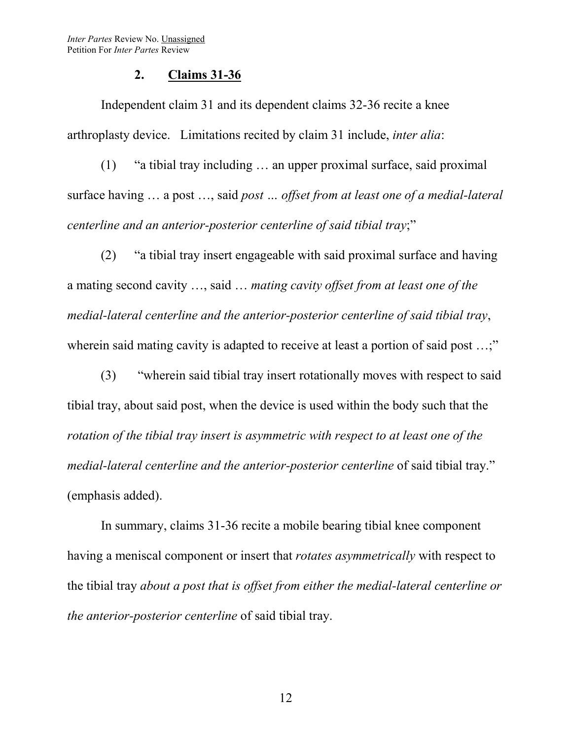#### **2. Claims 31-36**

Independent claim 31 and its dependent claims 32-36 recite a knee arthroplasty device. Limitations recited by claim 31 include, *inter alia*:

(1) "a tibial tray including … an upper proximal surface, said proximal surface having … a post …, said *post … offset from at least one of a medial-lateral centerline and an anterior-posterior centerline of said tibial tray*;"

(2) "a tibial tray insert engageable with said proximal surface and having a mating second cavity …, said … *mating cavity offset from at least one of the medial-lateral centerline and the anterior-posterior centerline of said tibial tray*, wherein said mating cavity is adapted to receive at least a portion of said post ...;"

(3) "wherein said tibial tray insert rotationally moves with respect to said tibial tray, about said post, when the device is used within the body such that the *rotation of the tibial tray insert is asymmetric with respect to at least one of the medial-lateral centerline and the anterior-posterior centerline* of said tibial tray." (emphasis added).

In summary, claims 31-36 recite a mobile bearing tibial knee component having a meniscal component or insert that *rotates asymmetrically* with respect to the tibial tray *about a post that is offset from either the medial-lateral centerline or the anterior-posterior centerline* of said tibial tray.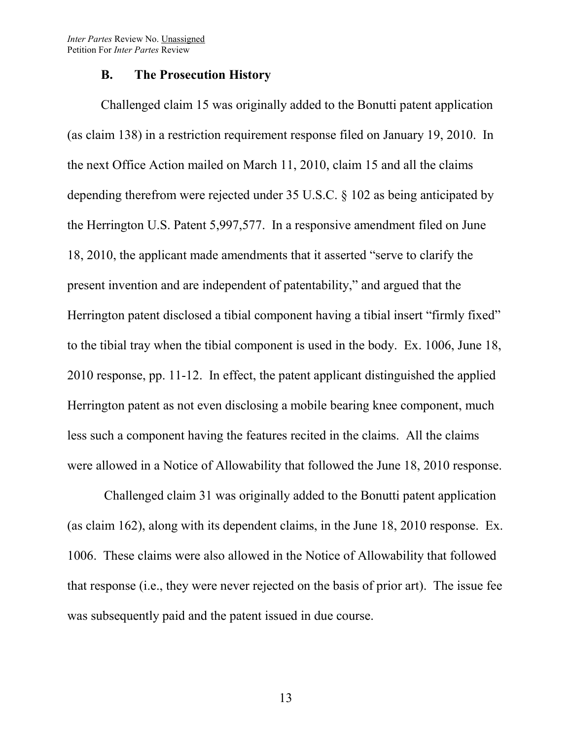*Inter Partes* Review No. Unassigned Petition For *Inter Partes* Review

#### **B. The Prosecution History**

Challenged claim 15 was originally added to the Bonutti patent application (as claim 138) in a restriction requirement response filed on January 19, 2010. In the next Office Action mailed on March 11, 2010, claim 15 and all the claims depending therefrom were rejected under 35 U.S.C. § 102 as being anticipated by the Herrington U.S. Patent 5,997,577. In a responsive amendment filed on June 18, 2010, the applicant made amendments that it asserted "serve to clarify the present invention and are independent of patentability," and argued that the Herrington patent disclosed a tibial component having a tibial insert "firmly fixed" to the tibial tray when the tibial component is used in the body. Ex. 1006, June 18, 2010 response, pp. 11-12. In effect, the patent applicant distinguished the applied Herrington patent as not even disclosing a mobile bearing knee component, much less such a component having the features recited in the claims. All the claims were allowed in a Notice of Allowability that followed the June 18, 2010 response.

Challenged claim 31 was originally added to the Bonutti patent application (as claim 162), along with its dependent claims, in the June 18, 2010 response. Ex. 1006. These claims were also allowed in the Notice of Allowability that followed that response (i.e., they were never rejected on the basis of prior art). The issue fee was subsequently paid and the patent issued in due course.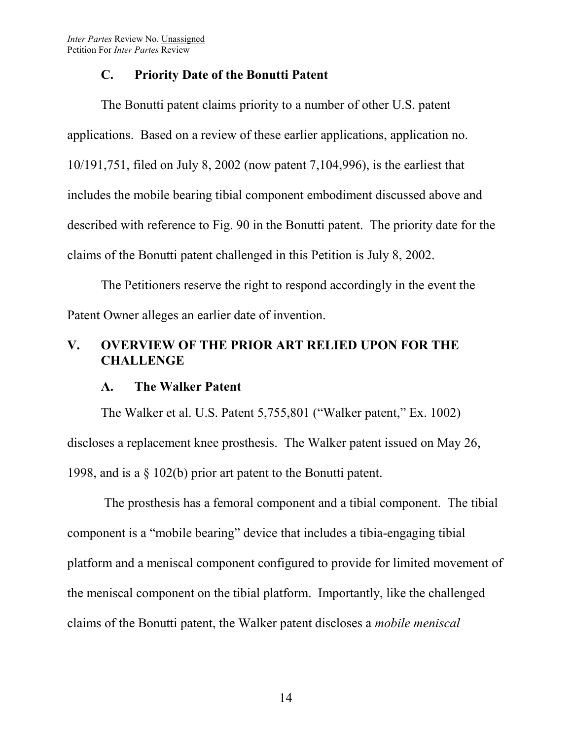*Inter Partes* Review No. Unassigned Petition For *Inter Partes* Review

#### **C. Priority Date of the Bonutti Patent**

The Bonutti patent claims priority to a number of other U.S. patent applications. Based on a review of these earlier applications, application no. 10/191,751, filed on July 8, 2002 (now patent 7,104,996), is the earliest that includes the mobile bearing tibial component embodiment discussed above and described with reference to Fig. 90 in the Bonutti patent. The priority date for the claims of the Bonutti patent challenged in this Petition is July 8, 2002.

The Petitioners reserve the right to respond accordingly in the event the Patent Owner alleges an earlier date of invention.

## **V. OVERVIEW OF THE PRIOR ART RELIED UPON FOR THE CHALLENGE**

#### **A. The Walker Patent**

The Walker et al. U.S. Patent 5,755,801 ("Walker patent," Ex. 1002) discloses a replacement knee prosthesis. The Walker patent issued on May 26, 1998, and is a § 102(b) prior art patent to the Bonutti patent.

The prosthesis has a femoral component and a tibial component. The tibial component is a "mobile bearing" device that includes a tibia-engaging tibial platform and a meniscal component configured to provide for limited movement of the meniscal component on the tibial platform. Importantly, like the challenged claims of the Bonutti patent, the Walker patent discloses a *mobile meniscal*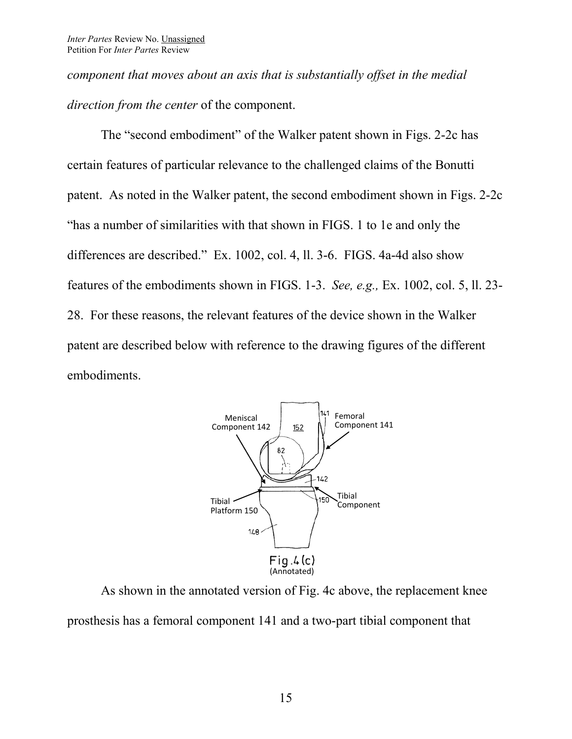*component that moves about an axis that is substantially offset in the medial direction from the center* of the component.

The "second embodiment" of the Walker patent shown in Figs. 2-2c has certain features of particular relevance to the challenged claims of the Bonutti patent. As noted in the Walker patent, the second embodiment shown in Figs. 2-2c "has a number of similarities with that shown in FIGS. 1 to 1e and only the differences are described." Ex. 1002, col. 4, ll. 3-6. FIGS. 4a-4d also show features of the embodiments shown in FIGS. 1-3. *See, e.g.,* Ex. 1002, col. 5, ll. 23- 28. For these reasons, the relevant features of the device shown in the Walker patent are described below with reference to the drawing figures of the different embodiments.



As shown in the annotated version of Fig. 4c above, the replacement knee prosthesis has a femoral component 141 and a two-part tibial component that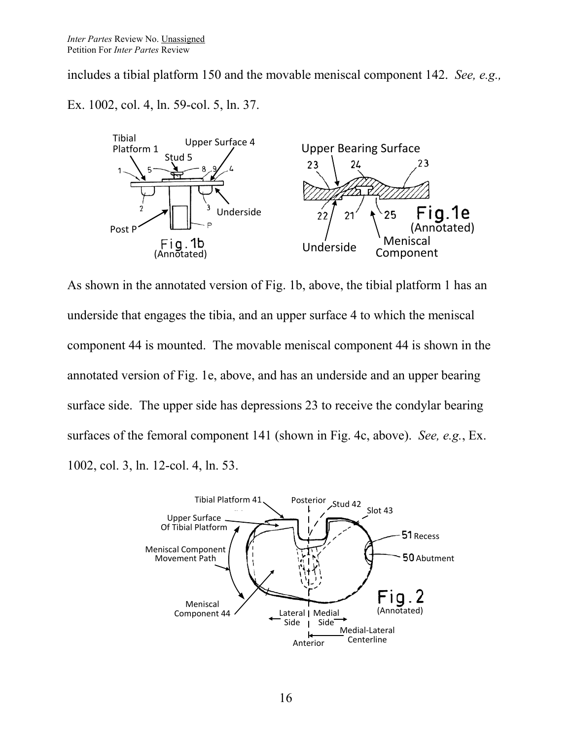includes a tibial platform 150 and the movable meniscal component 142. *See, e.g.,* 

Ex. 1002, col. 4, ln. 59-col. 5, ln. 37.



As shown in the annotated version of Fig. 1b, above, the tibial platform 1 has an underside that engages the tibia, and an upper surface 4 to which the meniscal component 44 is mounted. The movable meniscal component 44 is shown in the annotated version of Fig. 1e, above, and has an underside and an upper bearing surface side. The upper side has depressions 23 to receive the condylar bearing surfaces of the femoral component 141 (shown in Fig. 4c, above). *See, e.g.*, Ex. 1002, col. 3, ln. 12-col. 4, ln. 53.

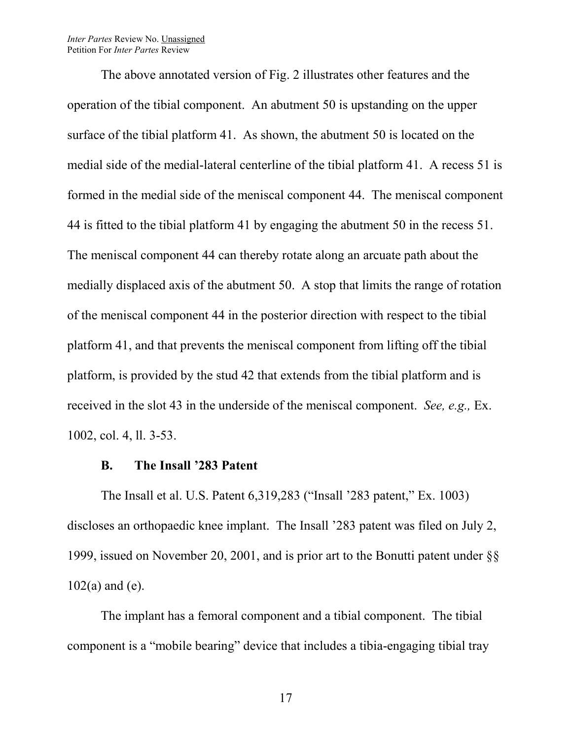#### *Inter Partes* Review No. Unassigned Petition For *Inter Partes* Review

The above annotated version of Fig. 2 illustrates other features and the operation of the tibial component. An abutment 50 is upstanding on the upper surface of the tibial platform 41. As shown, the abutment 50 is located on the medial side of the medial-lateral centerline of the tibial platform 41. A recess 51 is formed in the medial side of the meniscal component 44. The meniscal component 44 is fitted to the tibial platform 41 by engaging the abutment 50 in the recess 51. The meniscal component 44 can thereby rotate along an arcuate path about the medially displaced axis of the abutment 50. A stop that limits the range of rotation of the meniscal component 44 in the posterior direction with respect to the tibial platform 41, and that prevents the meniscal component from lifting off the tibial platform, is provided by the stud 42 that extends from the tibial platform and is received in the slot 43 in the underside of the meniscal component. *See, e.g.,* Ex. 1002, col. 4, ll. 3-53.

#### **B. The Insall '283 Patent**

The Insall et al. U.S. Patent 6,319,283 ("Insall '283 patent," Ex. 1003) discloses an orthopaedic knee implant. The Insall '283 patent was filed on July 2, 1999, issued on November 20, 2001, and is prior art to the Bonutti patent under §§ 102(a) and (e).

The implant has a femoral component and a tibial component. The tibial component is a "mobile bearing" device that includes a tibia-engaging tibial tray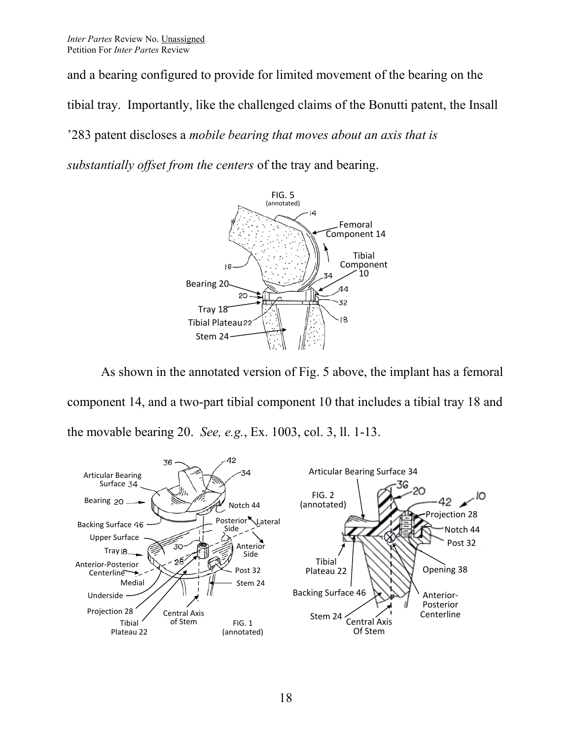and a bearing configured to provide for limited movement of the bearing on the tibial tray. Importantly, like the challenged claims of the Bonutti patent, the Insall '283 patent discloses a *mobile bearing that moves about an axis that is substantially offset from the centers* of the tray and bearing.



As shown in the annotated version of Fig. 5 above, the implant has a femoral component 14, and a two-part tibial component 10 that includes a tibial tray 18 and the movable bearing 20. *See, e.g.*, Ex. 1003, col. 3, ll. 1-13.

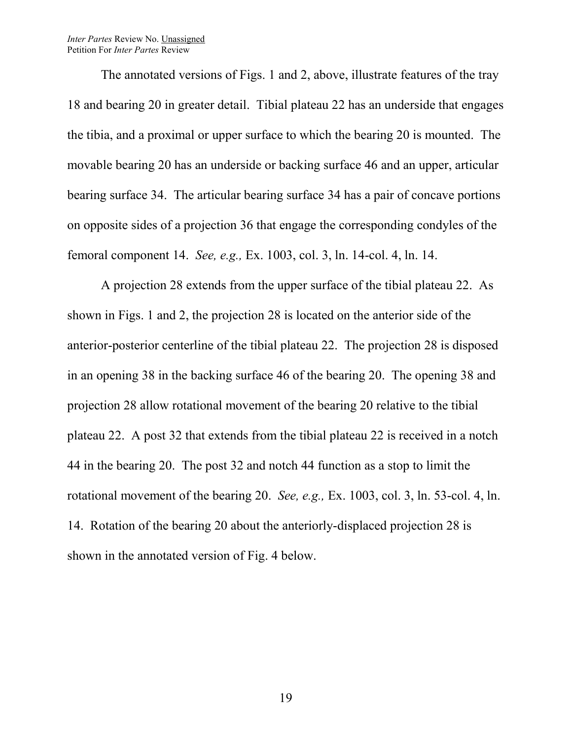#### *Inter Partes* Review No. Unassigned Petition For *Inter Partes* Review

The annotated versions of Figs. 1 and 2, above, illustrate features of the tray 18 and bearing 20 in greater detail. Tibial plateau 22 has an underside that engages the tibia, and a proximal or upper surface to which the bearing 20 is mounted. The movable bearing 20 has an underside or backing surface 46 and an upper, articular bearing surface 34. The articular bearing surface 34 has a pair of concave portions on opposite sides of a projection 36 that engage the corresponding condyles of the femoral component 14. *See, e.g.,* Ex. 1003, col. 3, ln. 14-col. 4, ln. 14.

A projection 28 extends from the upper surface of the tibial plateau 22. As shown in Figs. 1 and 2, the projection 28 is located on the anterior side of the anterior-posterior centerline of the tibial plateau 22. The projection 28 is disposed in an opening 38 in the backing surface 46 of the bearing 20. The opening 38 and projection 28 allow rotational movement of the bearing 20 relative to the tibial plateau 22. A post 32 that extends from the tibial plateau 22 is received in a notch 44 in the bearing 20. The post 32 and notch 44 function as a stop to limit the rotational movement of the bearing 20. *See, e.g.,* Ex. 1003, col. 3, ln. 53-col. 4, ln. 14. Rotation of the bearing 20 about the anteriorly-displaced projection 28 is shown in the annotated version of Fig. 4 below.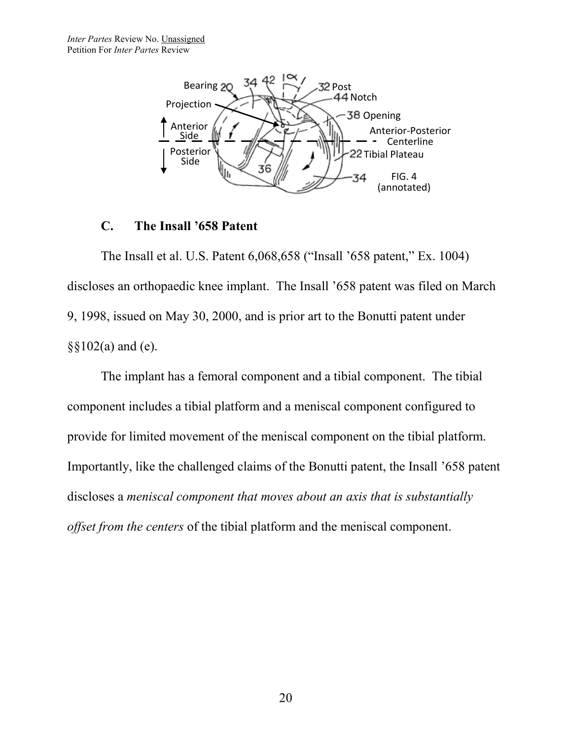

#### **C. The Insall '658 Patent**

The Insall et al. U.S. Patent 6,068,658 ("Insall '658 patent," Ex. 1004) discloses an orthopaedic knee implant. The Insall '658 patent was filed on March 9, 1998, issued on May 30, 2000, and is prior art to the Bonutti patent under  $\S$ §102(a) and (e).

The implant has a femoral component and a tibial component. The tibial component includes a tibial platform and a meniscal component configured to provide for limited movement of the meniscal component on the tibial platform. Importantly, like the challenged claims of the Bonutti patent, the Insall '658 patent discloses a *meniscal component that moves about an axis that is substantially offset from the centers* of the tibial platform and the meniscal component.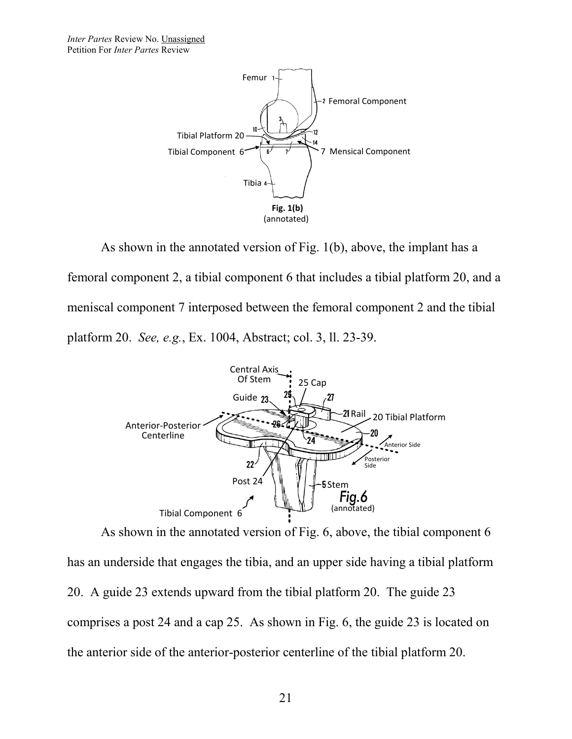*Inter Partes* Review No. Unassigned Petition For *Inter Partes* Review



As shown in the annotated version of Fig. 1(b), above, the implant has a femoral component 2, a tibial component 6 that includes a tibial platform 20, and a meniscal component 7 interposed between the femoral component 2 and the tibial platform 20. *See, e.g.*, Ex. 1004, Abstract; col. 3, ll. 23-39.



As shown in the annotated version of Fig. 6, above, the tibial component 6 has an underside that engages the tibia, and an upper side having a tibial platform 20. A guide 23 extends upward from the tibial platform 20. The guide 23 comprises a post 24 and a cap 25. As shown in Fig. 6, the guide 23 is located on the anterior side of the anterior-posterior centerline of the tibial platform 20.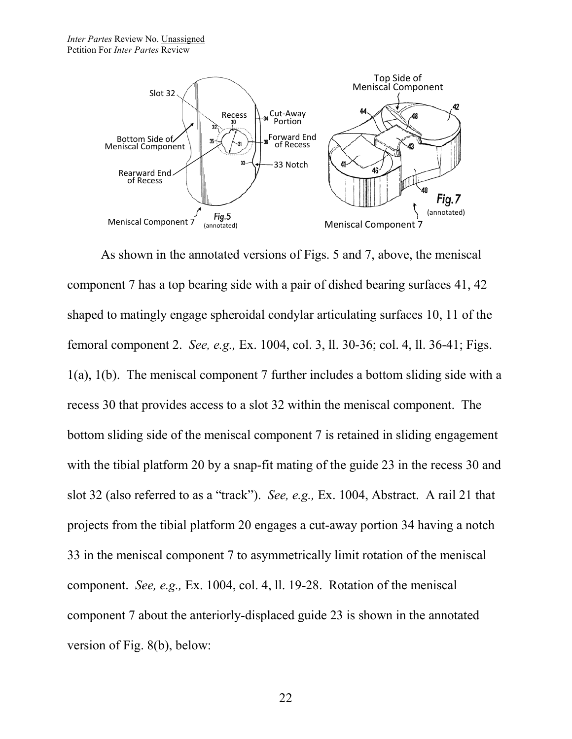

As shown in the annotated versions of Figs. 5 and 7, above, the meniscal component 7 has a top bearing side with a pair of dished bearing surfaces 41, 42 shaped to matingly engage spheroidal condylar articulating surfaces 10, 11 of the femoral component 2. *See, e.g.,* Ex. 1004, col. 3, ll. 30-36; col. 4, ll. 36-41; Figs. 1(a), 1(b). The meniscal component 7 further includes a bottom sliding side with a recess 30 that provides access to a slot 32 within the meniscal component. The bottom sliding side of the meniscal component 7 is retained in sliding engagement with the tibial platform 20 by a snap-fit mating of the guide 23 in the recess 30 and slot 32 (also referred to as a "track"). *See, e.g.,* Ex. 1004, Abstract. A rail 21 that projects from the tibial platform 20 engages a cut-away portion 34 having a notch 33 in the meniscal component 7 to asymmetrically limit rotation of the meniscal component. *See, e.g.,* Ex. 1004, col. 4, ll. 19-28. Rotation of the meniscal component 7 about the anteriorly-displaced guide 23 is shown in the annotated version of Fig. 8(b), below: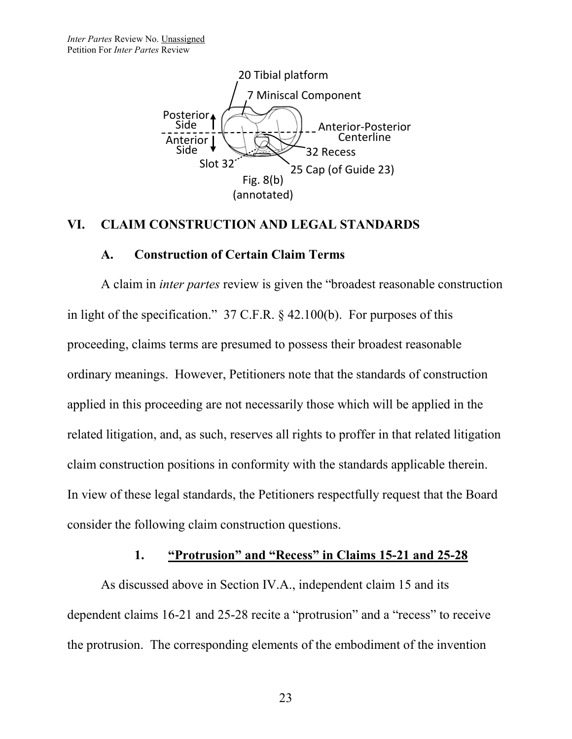

#### **VI. CLAIM CONSTRUCTION AND LEGAL STANDARDS**

#### **A. Construction of Certain Claim Terms**

A claim in *inter partes* review is given the "broadest reasonable construction in light of the specification." 37 C.F.R. § 42.100(b). For purposes of this proceeding, claims terms are presumed to possess their broadest reasonable ordinary meanings. However, Petitioners note that the standards of construction applied in this proceeding are not necessarily those which will be applied in the related litigation, and, as such, reserves all rights to proffer in that related litigation claim construction positions in conformity with the standards applicable therein. In view of these legal standards, the Petitioners respectfully request that the Board consider the following claim construction questions.

#### **1. "Protrusion" and "Recess" in Claims 15-21 and 25-28**

As discussed above in Section IV.A., independent claim 15 and its dependent claims 16-21 and 25-28 recite a "protrusion" and a "recess" to receive the protrusion. The corresponding elements of the embodiment of the invention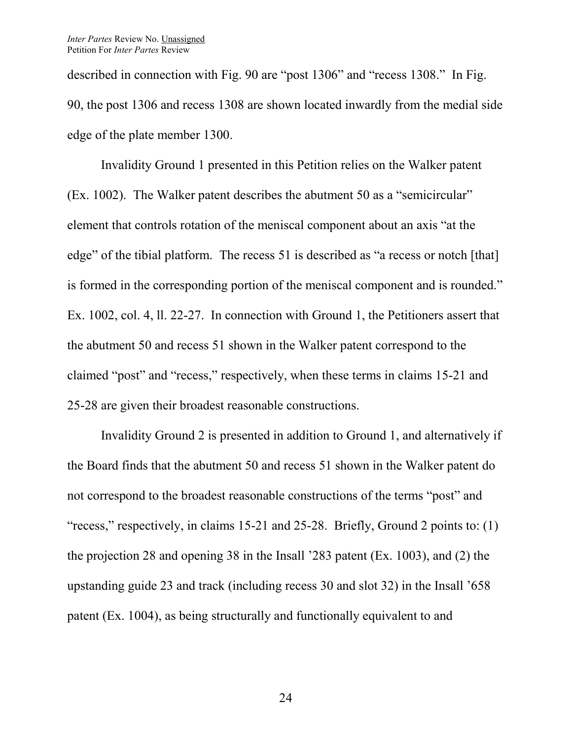described in connection with Fig. 90 are "post 1306" and "recess 1308." In Fig. 90, the post 1306 and recess 1308 are shown located inwardly from the medial side edge of the plate member 1300.

Invalidity Ground 1 presented in this Petition relies on the Walker patent (Ex. 1002). The Walker patent describes the abutment 50 as a "semicircular" element that controls rotation of the meniscal component about an axis "at the edge" of the tibial platform. The recess 51 is described as "a recess or notch [that] is formed in the corresponding portion of the meniscal component and is rounded." Ex. 1002, col. 4, ll. 22-27. In connection with Ground 1, the Petitioners assert that the abutment 50 and recess 51 shown in the Walker patent correspond to the claimed "post" and "recess," respectively, when these terms in claims 15-21 and 25-28 are given their broadest reasonable constructions.

Invalidity Ground 2 is presented in addition to Ground 1, and alternatively if the Board finds that the abutment 50 and recess 51 shown in the Walker patent do not correspond to the broadest reasonable constructions of the terms "post" and "recess," respectively, in claims 15-21 and 25-28. Briefly, Ground 2 points to: (1) the projection 28 and opening 38 in the Insall '283 patent (Ex. 1003), and (2) the upstanding guide 23 and track (including recess 30 and slot 32) in the Insall '658 patent (Ex. 1004), as being structurally and functionally equivalent to and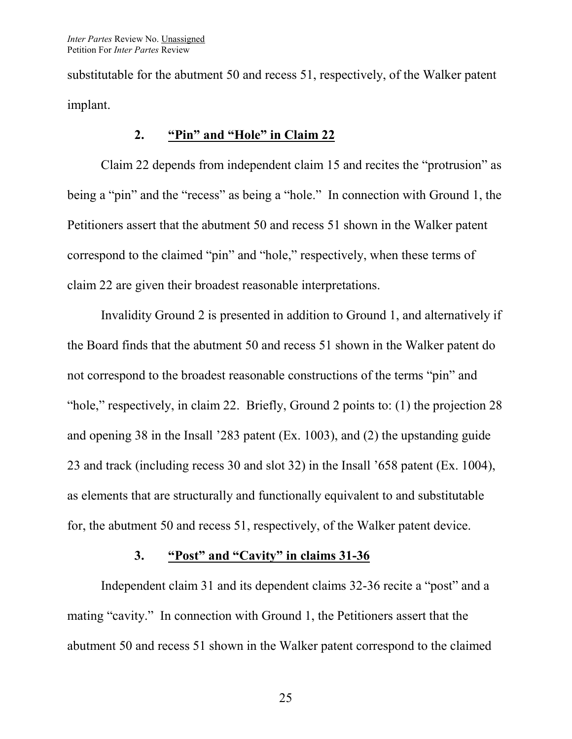substitutable for the abutment 50 and recess 51, respectively, of the Walker patent implant.

#### **2. "Pin" and "Hole" in Claim 22**

Claim 22 depends from independent claim 15 and recites the "protrusion" as being a "pin" and the "recess" as being a "hole." In connection with Ground 1, the Petitioners assert that the abutment 50 and recess 51 shown in the Walker patent correspond to the claimed "pin" and "hole," respectively, when these terms of claim 22 are given their broadest reasonable interpretations.

Invalidity Ground 2 is presented in addition to Ground 1, and alternatively if the Board finds that the abutment 50 and recess 51 shown in the Walker patent do not correspond to the broadest reasonable constructions of the terms "pin" and "hole," respectively, in claim 22. Briefly, Ground 2 points to: (1) the projection 28 and opening 38 in the Insall '283 patent (Ex. 1003), and (2) the upstanding guide 23 and track (including recess 30 and slot 32) in the Insall '658 patent (Ex. 1004), as elements that are structurally and functionally equivalent to and substitutable for, the abutment 50 and recess 51, respectively, of the Walker patent device.

#### **3. "Post" and "Cavity" in claims 31-36**

Independent claim 31 and its dependent claims 32-36 recite a "post" and a mating "cavity." In connection with Ground 1, the Petitioners assert that the abutment 50 and recess 51 shown in the Walker patent correspond to the claimed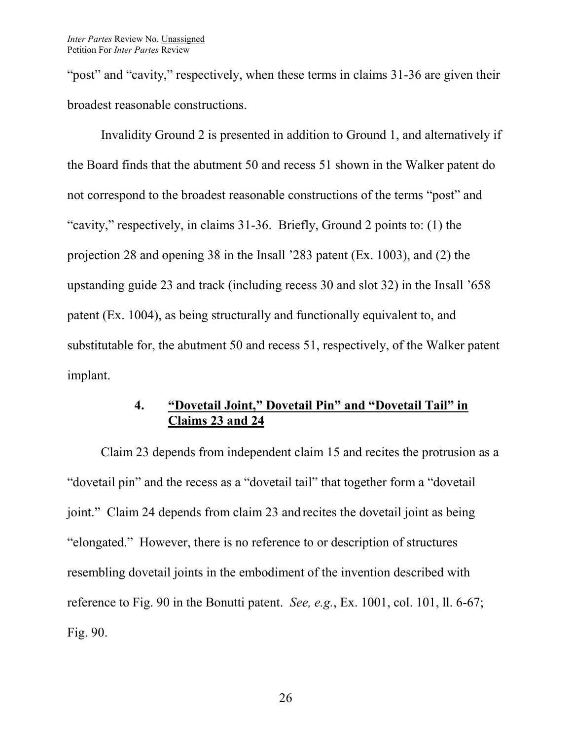"post" and "cavity," respectively, when these terms in claims 31-36 are given their broadest reasonable constructions.

Invalidity Ground 2 is presented in addition to Ground 1, and alternatively if the Board finds that the abutment 50 and recess 51 shown in the Walker patent do not correspond to the broadest reasonable constructions of the terms "post" and "cavity," respectively, in claims 31-36. Briefly, Ground 2 points to: (1) the projection 28 and opening 38 in the Insall '283 patent (Ex. 1003), and (2) the upstanding guide 23 and track (including recess 30 and slot 32) in the Insall '658 patent (Ex. 1004), as being structurally and functionally equivalent to, and substitutable for, the abutment 50 and recess 51, respectively, of the Walker patent implant.

# **4. "Dovetail Joint," Dovetail Pin" and "Dovetail Tail" in Claims 23 and 24**

Claim 23 depends from independent claim 15 and recites the protrusion as a "dovetail pin" and the recess as a "dovetail tail" that together form a "dovetail joint." Claim 24 depends from claim 23 and recites the dovetail joint as being "elongated." However, there is no reference to or description of structures resembling dovetail joints in the embodiment of the invention described with reference to Fig. 90 in the Bonutti patent. *See, e.g.*, Ex. 1001, col. 101, ll. 6-67; Fig. 90.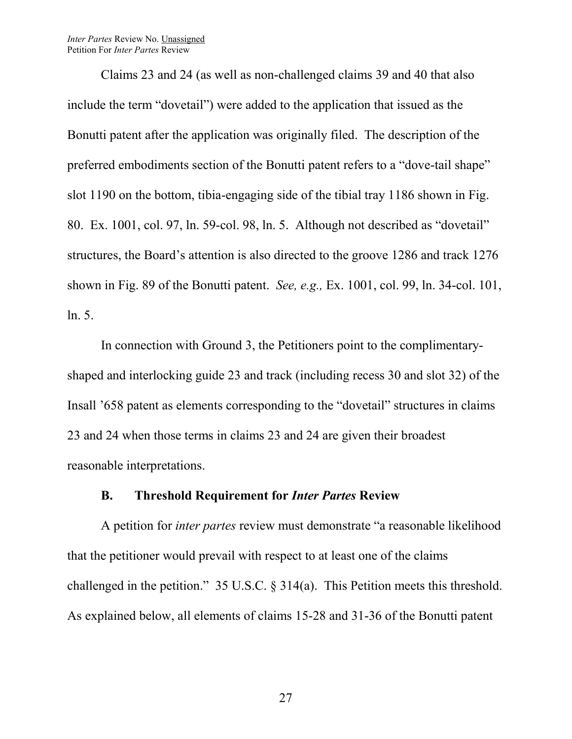*Inter Partes* Review No. Unassigned Petition For *Inter Partes* Review

Claims 23 and 24 (as well as non-challenged claims 39 and 40 that also include the term "dovetail") were added to the application that issued as the Bonutti patent after the application was originally filed. The description of the preferred embodiments section of the Bonutti patent refers to a "dove-tail shape" slot 1190 on the bottom, tibia-engaging side of the tibial tray 1186 shown in Fig. 80. Ex. 1001, col. 97, ln. 59-col. 98, ln. 5. Although not described as "dovetail" structures, the Board's attention is also directed to the groove 1286 and track 1276 shown in Fig. 89 of the Bonutti patent. *See, e.g.,* Ex. 1001, col. 99, ln. 34-col. 101, ln. 5.

In connection with Ground 3, the Petitioners point to the complimentaryshaped and interlocking guide 23 and track (including recess 30 and slot 32) of the Insall '658 patent as elements corresponding to the "dovetail" structures in claims 23 and 24 when those terms in claims 23 and 24 are given their broadest reasonable interpretations.

#### **B. Threshold Requirement for** *Inter Partes* **Review**

A petition for *inter partes* review must demonstrate "a reasonable likelihood that the petitioner would prevail with respect to at least one of the claims challenged in the petition." 35 U.S.C. § 314(a). This Petition meets this threshold. As explained below, all elements of claims 15-28 and 31-36 of the Bonutti patent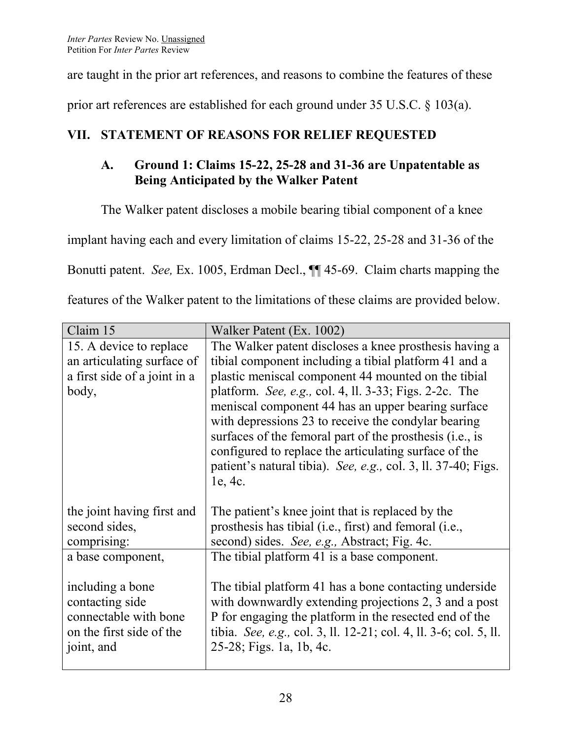are taught in the prior art references, and reasons to combine the features of these

prior art references are established for each ground under 35 U.S.C. § 103(a).

# **VII. STATEMENT OF REASONS FOR RELIEF REQUESTED**

# **A. Ground 1: Claims 15-22, 25-28 and 31-36 are Unpatentable as Being Anticipated by the Walker Patent**

The Walker patent discloses a mobile bearing tibial component of a knee

implant having each and every limitation of claims 15-22, 25-28 and 31-36 of the

Bonutti patent. *See,* Ex. 1005, Erdman Decl., ¶¶ 45-69. Claim charts mapping the

features of the Walker patent to the limitations of these claims are provided below.

| Claim 15                                                                                               | Walker Patent (Ex. 1002)                                                                                                                                                                                                                                                                                                                                             |
|--------------------------------------------------------------------------------------------------------|----------------------------------------------------------------------------------------------------------------------------------------------------------------------------------------------------------------------------------------------------------------------------------------------------------------------------------------------------------------------|
| 15. A device to replace                                                                                | The Walker patent discloses a knee prosthesis having a                                                                                                                                                                                                                                                                                                               |
| an articulating surface of                                                                             | tibial component including a tibial platform 41 and a                                                                                                                                                                                                                                                                                                                |
| a first side of a joint in a                                                                           | plastic meniscal component 44 mounted on the tibial                                                                                                                                                                                                                                                                                                                  |
| body,                                                                                                  | platform. See, e.g., col. 4, ll. 3-33; Figs. 2-2c. The<br>meniscal component 44 has an upper bearing surface<br>with depressions 23 to receive the condylar bearing<br>surfaces of the femoral part of the prosthesis (i.e., is<br>configured to replace the articulating surface of the<br>patient's natural tibia). See, e.g., col. 3, ll. 37-40; Figs.<br>1e, 4c. |
| the joint having first and                                                                             | The patient's knee joint that is replaced by the                                                                                                                                                                                                                                                                                                                     |
| second sides,                                                                                          | prosthesis has tibial (i.e., first) and femoral (i.e.,                                                                                                                                                                                                                                                                                                               |
| comprising:                                                                                            | second) sides. See, e.g., Abstract; Fig. 4c.                                                                                                                                                                                                                                                                                                                         |
| a base component,                                                                                      | The tibial platform 41 is a base component.                                                                                                                                                                                                                                                                                                                          |
| including a bone<br>contacting side<br>connectable with bone<br>on the first side of the<br>joint, and | The tibial platform 41 has a bone contacting underside<br>with downwardly extending projections 2, 3 and a post<br>P for engaging the platform in the resected end of the<br>tibia. See, e.g., col. 3, ll. 12-21; col. 4, ll. 3-6; col. 5, ll.<br>25-28; Figs. 1a, 1b, 4c.                                                                                           |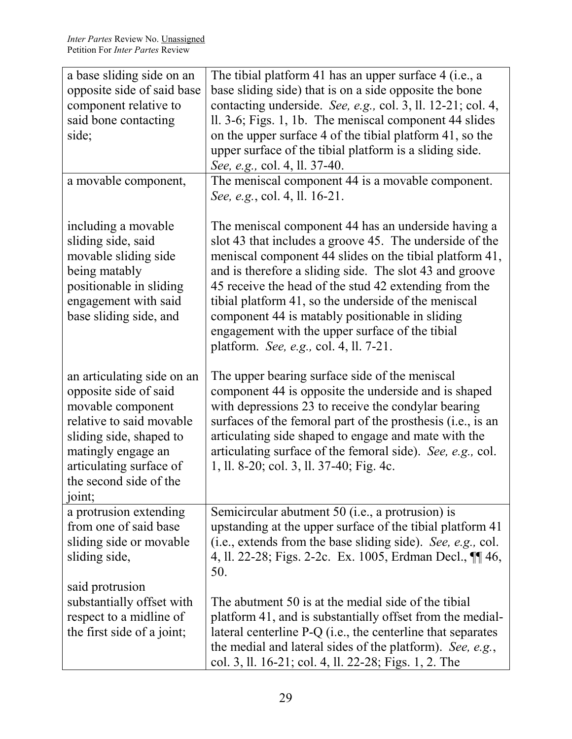| a base sliding side on an<br>opposite side of said base<br>component relative to<br>said bone contacting<br>side;                                                                                                    | The tibial platform 41 has an upper surface 4 (i.e., a<br>base sliding side) that is on a side opposite the bone<br>contacting underside. See, e.g., col. 3, ll. 12-21; col. 4,<br>ll. 3-6; Figs. 1, 1b. The meniscal component 44 slides<br>on the upper surface 4 of the tibial platform 41, so the<br>upper surface of the tibial platform is a sliding side.<br>See, e.g., col. 4, ll. 37-40.                                                                                                     |
|----------------------------------------------------------------------------------------------------------------------------------------------------------------------------------------------------------------------|-------------------------------------------------------------------------------------------------------------------------------------------------------------------------------------------------------------------------------------------------------------------------------------------------------------------------------------------------------------------------------------------------------------------------------------------------------------------------------------------------------|
| a movable component,                                                                                                                                                                                                 | The meniscal component 44 is a movable component.<br>See, e.g., col. 4, ll. 16-21.                                                                                                                                                                                                                                                                                                                                                                                                                    |
| including a movable<br>sliding side, said<br>movable sliding side<br>being matably<br>positionable in sliding<br>engagement with said<br>base sliding side, and                                                      | The meniscal component 44 has an underside having a<br>slot 43 that includes a groove 45. The underside of the<br>meniscal component 44 slides on the tibial platform 41,<br>and is therefore a sliding side. The slot 43 and groove<br>45 receive the head of the stud 42 extending from the<br>tibial platform 41, so the underside of the meniscal<br>component 44 is matably positionable in sliding<br>engagement with the upper surface of the tibial<br>platform. See, e.g., col. 4, ll. 7-21. |
| an articulating side on an<br>opposite side of said<br>movable component<br>relative to said movable<br>sliding side, shaped to<br>matingly engage an<br>articulating surface of<br>the second side of the<br>joint; | The upper bearing surface side of the meniscal<br>component 44 is opposite the underside and is shaped<br>with depressions 23 to receive the condylar bearing<br>surfaces of the femoral part of the prosthesis (i.e., is an<br>articulating side shaped to engage and mate with the<br>articulating surface of the femoral side). See, e.g., col.<br>1, ll. 8-20; col. 3, ll. 37-40; Fig. 4c.                                                                                                        |
| a protrusion extending<br>from one of said base<br>sliding side or movable<br>sliding side,                                                                                                                          | Semicircular abutment 50 (i.e., a protrusion) is<br>upstanding at the upper surface of the tibial platform 41<br>(i.e., extends from the base sliding side). See, e.g., col.<br>4, ll. 22-28; Figs. 2-2c. Ex. 1005, Erdman Decl., ¶ 46,<br>50.                                                                                                                                                                                                                                                        |
| said protrusion<br>substantially offset with<br>respect to a midline of<br>the first side of a joint;                                                                                                                | The abutment 50 is at the medial side of the tibial<br>platform 41, and is substantially offset from the medial-<br>lateral centerline $P-Q$ (i.e., the centerline that separates<br>the medial and lateral sides of the platform). See, e.g.,<br>col. 3, ll. 16-21; col. 4, ll. 22-28; Figs. 1, 2. The                                                                                                                                                                                               |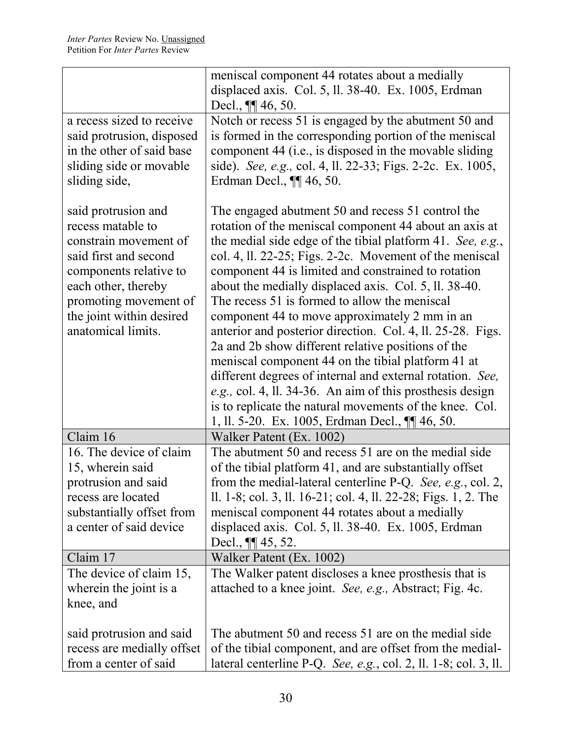|                                                                                                                                                                                                                        | meniscal component 44 rotates about a medially                                                                                                                                                                                                                                                                                                                                                                                                                                                                                                                                                                                                                                                                                                                                                                                                                          |
|------------------------------------------------------------------------------------------------------------------------------------------------------------------------------------------------------------------------|-------------------------------------------------------------------------------------------------------------------------------------------------------------------------------------------------------------------------------------------------------------------------------------------------------------------------------------------------------------------------------------------------------------------------------------------------------------------------------------------------------------------------------------------------------------------------------------------------------------------------------------------------------------------------------------------------------------------------------------------------------------------------------------------------------------------------------------------------------------------------|
|                                                                                                                                                                                                                        | displaced axis. Col. 5, ll. 38-40. Ex. 1005, Erdman                                                                                                                                                                                                                                                                                                                                                                                                                                                                                                                                                                                                                                                                                                                                                                                                                     |
|                                                                                                                                                                                                                        | Decl., $\P\P$ 46, 50.                                                                                                                                                                                                                                                                                                                                                                                                                                                                                                                                                                                                                                                                                                                                                                                                                                                   |
| a recess sized to receive<br>said protrusion, disposed<br>in the other of said base<br>sliding side or movable<br>sliding side,                                                                                        | Notch or recess 51 is engaged by the abutment 50 and<br>is formed in the corresponding portion of the meniscal<br>component 44 (i.e., is disposed in the movable sliding<br>side). See, e.g., col. 4, ll. 22-33; Figs. 2-2c. Ex. 1005,<br>Erdman Decl., $\P\P$ 46, 50.                                                                                                                                                                                                                                                                                                                                                                                                                                                                                                                                                                                                  |
| said protrusion and<br>recess matable to<br>constrain movement of<br>said first and second<br>components relative to<br>each other, thereby<br>promoting movement of<br>the joint within desired<br>anatomical limits. | The engaged abutment 50 and recess 51 control the<br>rotation of the meniscal component 44 about an axis at<br>the medial side edge of the tibial platform 41. See, e.g.,<br>col. 4, ll. 22-25; Figs. 2-2c. Movement of the meniscal<br>component 44 is limited and constrained to rotation<br>about the medially displaced axis. Col. 5, ll. 38-40.<br>The recess 51 is formed to allow the meniscal<br>component 44 to move approximately 2 mm in an<br>anterior and posterior direction. Col. 4, ll. 25-28. Figs.<br>2a and 2b show different relative positions of the<br>meniscal component 44 on the tibial platform 41 at<br>different degrees of internal and external rotation. See,<br>e.g., col. 4, ll. 34-36. An aim of this prosthesis design<br>is to replicate the natural movements of the knee. Col.<br>1, ll. 5-20. Ex. 1005, Erdman Decl., ¶ 46, 50. |
| Claim 16                                                                                                                                                                                                               | Walker Patent (Ex. 1002)                                                                                                                                                                                                                                                                                                                                                                                                                                                                                                                                                                                                                                                                                                                                                                                                                                                |
| 16. The device of claim<br>15, wherein said<br>protrusion and said<br>recess are located<br>substantially offset from<br>a center of said device                                                                       | The abutment 50 and recess 51 are on the medial side<br>of the tibial platform 41, and are substantially offset<br>from the medial-lateral centerline P-Q. See, e.g., col. 2,<br>ll. 1-8; col. 3, ll. 16-21; col. 4, ll. 22-28; Figs. 1, 2. The<br>meniscal component 44 rotates about a medially<br>displaced axis. Col. 5, ll. $38-40$ . Ex. $1005$ , Erdman<br>Decl., $\P\P$ 45, 52.                                                                                                                                                                                                                                                                                                                                                                                                                                                                                 |
| Claim 17                                                                                                                                                                                                               | Walker Patent (Ex. 1002)                                                                                                                                                                                                                                                                                                                                                                                                                                                                                                                                                                                                                                                                                                                                                                                                                                                |
| The device of claim 15,<br>wherein the joint is a<br>knee, and                                                                                                                                                         | The Walker patent discloses a knee prosthesis that is<br>attached to a knee joint. See, e.g., Abstract; Fig. 4c.                                                                                                                                                                                                                                                                                                                                                                                                                                                                                                                                                                                                                                                                                                                                                        |
| said protrusion and said<br>recess are medially offset<br>from a center of said                                                                                                                                        | The abutment 50 and recess 51 are on the medial side<br>of the tibial component, and are offset from the medial-<br>lateral centerline P-Q. See, e.g., col. 2, 11. 1-8; col. 3, 11.                                                                                                                                                                                                                                                                                                                                                                                                                                                                                                                                                                                                                                                                                     |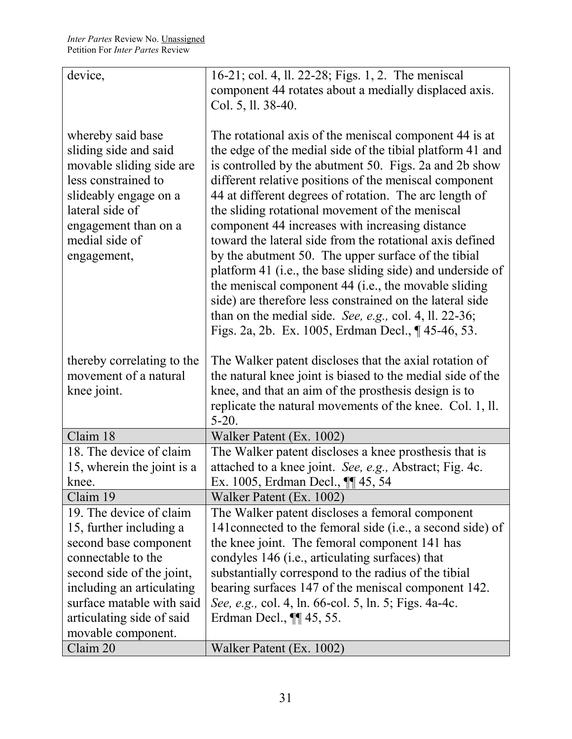| device,                    | 16-21; col. 4, ll. 22-28; Figs. 1, 2. The meniscal         |
|----------------------------|------------------------------------------------------------|
|                            | component 44 rotates about a medially displaced axis.      |
|                            | Col. 5, ll. 38-40.                                         |
|                            |                                                            |
| whereby said base          | The rotational axis of the meniscal component 44 is at     |
| sliding side and said      | the edge of the medial side of the tibial platform 41 and  |
| movable sliding side are   | is controlled by the abutment 50. Figs. 2a and 2b show     |
| less constrained to        | different relative positions of the meniscal component     |
| slideably engage on a      | 44 at different degrees of rotation. The arc length of     |
| lateral side of            | the sliding rotational movement of the meniscal            |
| engagement than on a       | component 44 increases with increasing distance            |
| medial side of             | toward the lateral side from the rotational axis defined   |
| engagement,                | by the abutment 50. The upper surface of the tibial        |
|                            | platform 41 (i.e., the base sliding side) and underside of |
|                            | the meniscal component 44 (i.e., the movable sliding       |
|                            | side) are therefore less constrained on the lateral side   |
|                            | than on the medial side. See, e.g., col. 4, ll. $22-36$ ;  |
|                            | Figs. 2a, 2b. Ex. 1005, Erdman Decl., ¶ 45-46, 53.         |
|                            |                                                            |
| thereby correlating to the | The Walker patent discloses that the axial rotation of     |
| movement of a natural      | the natural knee joint is biased to the medial side of the |
| knee joint.                | knee, and that an aim of the prosthesis design is to       |
|                            | replicate the natural movements of the knee. Col. 1, ll.   |
|                            | $5-20.$                                                    |
| Claim 18                   | Walker Patent (Ex. 1002)                                   |
| 18. The device of claim    | The Walker patent discloses a knee prosthesis that is      |
| 15, wherein the joint is a | attached to a knee joint. See, e.g., Abstract; Fig. 4c.    |
| knee                       | Ex. 1005, Erdman Decl., ¶¶ 45, 54                          |
| Claim 19                   | Walker Patent (Ex. 1002)                                   |
| 19. The device of claim    | The Walker patent discloses a femoral component            |
| 15, further including a    | 141 connected to the femoral side (i.e., a second side) of |
| second base component      | the knee joint. The femoral component 141 has              |
| connectable to the         | condyles 146 (i.e., articulating surfaces) that            |
| second side of the joint,  | substantially correspond to the radius of the tibial       |
| including an articulating  | bearing surfaces 147 of the meniscal component 142.        |
| surface matable with said  | See, e.g., col. 4, ln. 66-col. 5, ln. 5; Figs. 4a-4c.      |
| articulating side of said  | Erdman Decl., <b>[1]</b> 45, 55.                           |
| movable component.         |                                                            |
| Claim 20                   | Walker Patent (Ex. 1002)                                   |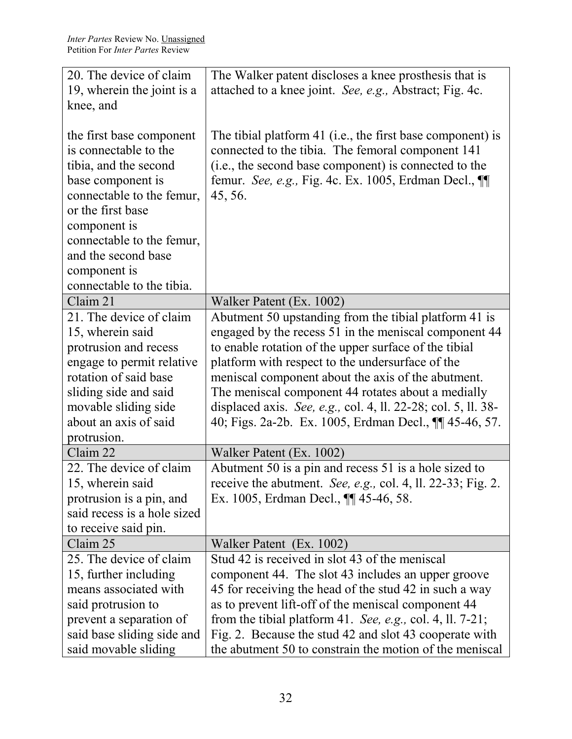| 20. The device of claim     | The Walker patent discloses a knee prosthesis that is         |
|-----------------------------|---------------------------------------------------------------|
| 19, wherein the joint is a  | attached to a knee joint. See, e.g., Abstract; Fig. 4c.       |
| knee, and                   |                                                               |
|                             |                                                               |
| the first base component    | The tibial platform 41 (i.e., the first base component) is    |
| is connectable to the       | connected to the tibia. The femoral component 141             |
| tibia, and the second       | (i.e., the second base component) is connected to the         |
| base component is           | femur. See, e.g., Fig. 4c. Ex. 1005, Erdman Decl., ¶          |
| connectable to the femur,   | 45, 56.                                                       |
| or the first base           |                                                               |
| component is                |                                                               |
| connectable to the femur,   |                                                               |
| and the second base         |                                                               |
| component is                |                                                               |
| connectable to the tibia.   |                                                               |
| Claim 21                    | Walker Patent (Ex. 1002)                                      |
| 21. The device of claim     | Abutment 50 upstanding from the tibial platform 41 is         |
| 15, wherein said            | engaged by the recess 51 in the meniscal component 44         |
| protrusion and recess       | to enable rotation of the upper surface of the tibial         |
| engage to permit relative   | platform with respect to the undersurface of the              |
| rotation of said base       | meniscal component about the axis of the abutment.            |
| sliding side and said       | The meniscal component 44 rotates about a medially            |
| movable sliding side        | displaced axis. See, e.g., col. 4, ll. 22-28; col. 5, ll. 38- |
| about an axis of said       | 40; Figs. 2a-2b. Ex. 1005, Erdman Decl., 11 45-46, 57.        |
| protrusion.                 |                                                               |
| Claim 22                    | Walker Patent (Ex. 1002)                                      |
| 22. The device of claim     | Abutment 50 is a pin and recess 51 is a hole sized to         |
| 15, wherein said            | receive the abutment. See, e.g., col. 4, ll. 22-33; Fig. 2.   |
| protrusion is a pin, and    | Ex. 1005, Erdman Decl., <b>[</b> [ 45-46, 58.                 |
| said recess is a hole sized |                                                               |
| to receive said pin.        |                                                               |
| Claim 25                    | Walker Patent (Ex. 1002)                                      |
| 25. The device of claim     | Stud 42 is received in slot 43 of the meniscal                |
| 15, further including       | component 44. The slot 43 includes an upper groove            |
| means associated with       | 45 for receiving the head of the stud 42 in such a way        |
| said protrusion to          | as to prevent lift-off of the meniscal component 44           |
| prevent a separation of     | from the tibial platform 41. See, e.g., col. 4, ll. $7-21$ ;  |
| said base sliding side and  | Fig. 2. Because the stud 42 and slot 43 cooperate with        |
| said movable sliding        | the abutment 50 to constrain the motion of the meniscal       |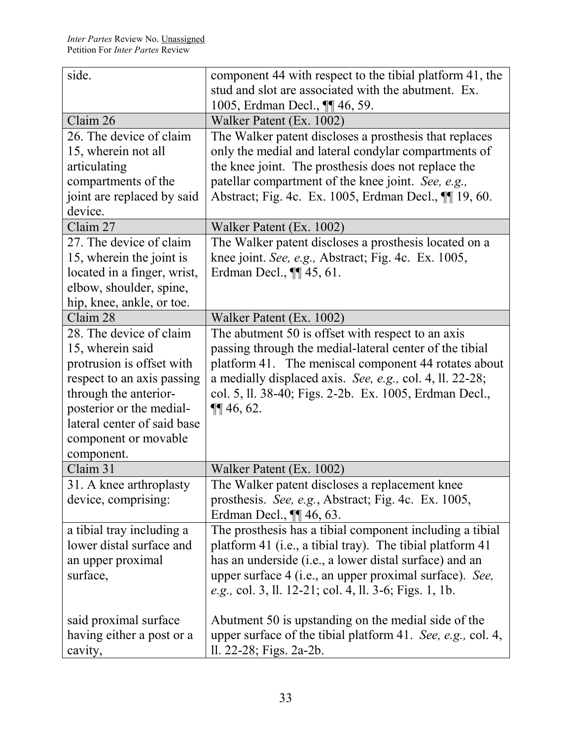| side.                       | component 44 with respect to the tibial platform 41, the    |
|-----------------------------|-------------------------------------------------------------|
|                             | stud and slot are associated with the abutment. Ex.         |
|                             | 1005, Erdman Decl., <b>¶</b> 46, 59.                        |
| Claim 26                    | Walker Patent (Ex. 1002)                                    |
| 26. The device of claim     | The Walker patent discloses a prosthesis that replaces      |
| 15, wherein not all         | only the medial and lateral condylar compartments of        |
| articulating                | the knee joint. The prosthesis does not replace the         |
| compartments of the         | patellar compartment of the knee joint. See, e.g.,          |
| joint are replaced by said  | Abstract; Fig. 4c. Ex. 1005, Erdman Decl., $\P\P$ 19, 60.   |
| device.                     |                                                             |
| Claim 27                    | Walker Patent (Ex. 1002)                                    |
| 27. The device of claim     | The Walker patent discloses a prosthesis located on a       |
| 15, wherein the joint is    | knee joint. See, e.g., Abstract; Fig. 4c. Ex. 1005,         |
| located in a finger, wrist, | Erdman Decl., <b>11</b> 45, 61.                             |
| elbow, shoulder, spine,     |                                                             |
| hip, knee, ankle, or toe.   |                                                             |
| Claim 28                    | Walker Patent (Ex. 1002)                                    |
| 28. The device of claim     | The abutment 50 is offset with respect to an axis           |
| 15, wherein said            | passing through the medial-lateral center of the tibial     |
| protrusion is offset with   | platform 41. The meniscal component 44 rotates about        |
| respect to an axis passing  | a medially displaced axis. See, e.g., col. 4, ll. 22-28;    |
| through the anterior-       | col. 5, ll. 38-40; Figs. 2-2b. Ex. 1005, Erdman Decl.,      |
| posterior or the medial-    | $\P\P$ 46, 62.                                              |
| lateral center of said base |                                                             |
| component or movable        |                                                             |
| component.                  |                                                             |
| Claim 31                    | Walker Patent (Ex. 1002)                                    |
| 31. A knee arthroplasty     | The Walker patent discloses a replacement knee              |
| device, comprising:         | prosthesis. See, e.g., Abstract; Fig. 4c. Ex. 1005,         |
|                             | Erdman Decl., $\P\P$ 46, 63.                                |
| a tibial tray including a   | The prosthesis has a tibial component including a tibial    |
| lower distal surface and    | platform 41 (i.e., a tibial tray). The tibial platform 41   |
| an upper proximal           | has an underside (i.e., a lower distal surface) and an      |
| surface,                    | upper surface 4 (i.e., an upper proximal surface). See,     |
|                             | e.g., col. 3, ll. 12-21; col. 4, ll. 3-6; Figs. 1, 1b.      |
|                             |                                                             |
| said proximal surface       | Abutment 50 is upstanding on the medial side of the         |
| having either a post or a   | upper surface of the tibial platform 41. See, e.g., col. 4, |
| cavity,                     | ll. 22-28; Figs. 2a-2b.                                     |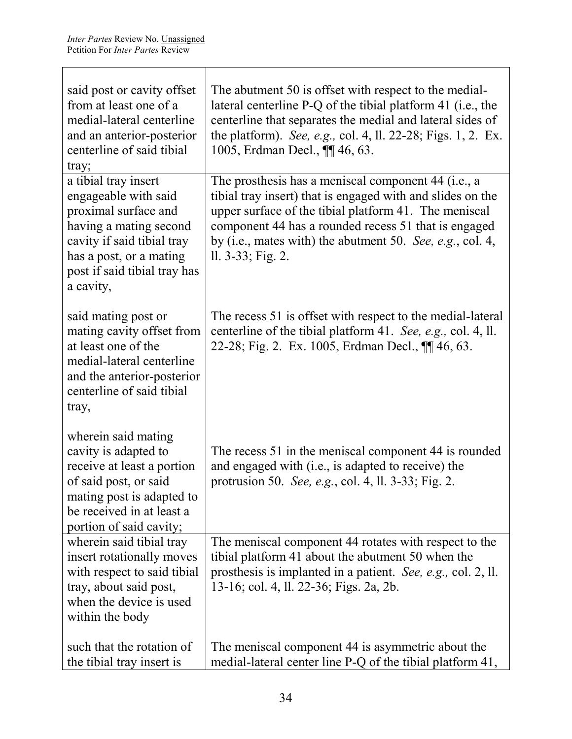$\top$ 

| said post or cavity offset<br>from at least one of a<br>medial-lateral centerline<br>and an anterior-posterior<br>centerline of said tibial<br>tray;                                                 | The abutment 50 is offset with respect to the medial-<br>lateral centerline P-Q of the tibial platform 41 (i.e., the<br>centerline that separates the medial and lateral sides of<br>the platform). See, e.g., col. 4, ll. 22-28; Figs. 1, 2. Ex.<br>1005, Erdman Decl., ¶ 46, 63.                                     |
|------------------------------------------------------------------------------------------------------------------------------------------------------------------------------------------------------|------------------------------------------------------------------------------------------------------------------------------------------------------------------------------------------------------------------------------------------------------------------------------------------------------------------------|
| a tibial tray insert<br>engageable with said<br>proximal surface and<br>having a mating second<br>cavity if said tibial tray<br>has a post, or a mating<br>post if said tibial tray has<br>a cavity, | The prosthesis has a meniscal component 44 (i.e., a<br>tibial tray insert) that is engaged with and slides on the<br>upper surface of the tibial platform 41. The meniscal<br>component 44 has a rounded recess 51 that is engaged<br>by (i.e., mates with) the abutment 50. See, e.g., col. 4,<br>$11.3-33$ ; Fig. 2. |
| said mating post or<br>mating cavity offset from<br>at least one of the<br>medial-lateral centerline<br>and the anterior-posterior<br>centerline of said tibial<br>tray,                             | The recess 51 is offset with respect to the medial-lateral<br>centerline of the tibial platform 41. See, e.g., col. 4, ll.<br>22-28; Fig. 2. Ex. 1005, Erdman Decl., ¶ 46, 63.                                                                                                                                         |
| wherein said mating<br>cavity is adapted to<br>receive at least a portion<br>of said post, or said<br>mating post is adapted to<br>be received in at least a<br>portion of said cavity;              | The recess 51 in the meniscal component 44 is rounded<br>and engaged with (i.e., is adapted to receive) the<br>protrusion 50. <i>See, e.g.</i> , col. 4, ll. 3-33; Fig. 2.                                                                                                                                             |
| wherein said tibial tray<br>insert rotationally moves<br>with respect to said tibial<br>tray, about said post,<br>when the device is used<br>within the body                                         | The meniscal component 44 rotates with respect to the<br>tibial platform 41 about the abutment 50 when the<br>prosthesis is implanted in a patient. See, e.g., col. 2, ll.<br>13-16; col. 4, ll. 22-36; Figs. 2a, 2b.                                                                                                  |
| such that the rotation of<br>the tibial tray insert is                                                                                                                                               | The meniscal component 44 is asymmetric about the<br>medial-lateral center line P-Q of the tibial platform 41,                                                                                                                                                                                                         |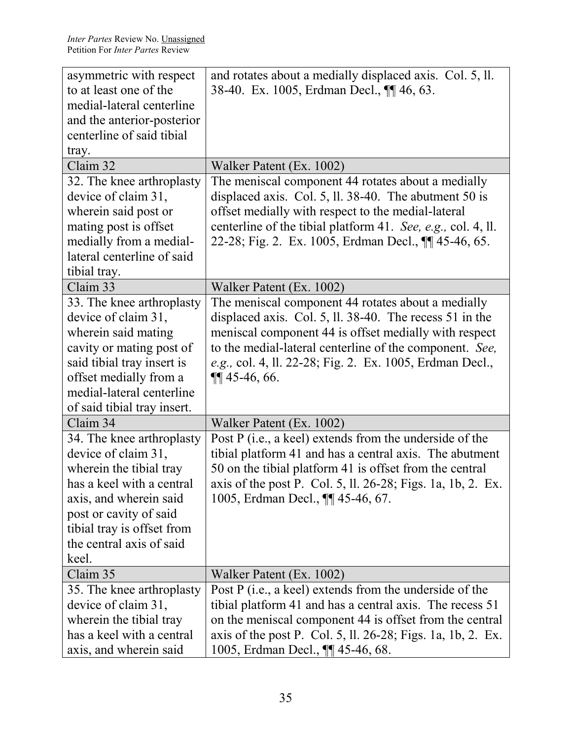| asymmetric with respect     | and rotates about a medially displaced axis. Col. 5, ll.     |
|-----------------------------|--------------------------------------------------------------|
| to at least one of the      | 38-40. Ex. 1005, Erdman Decl., <b>¶</b> 46, 63.              |
| medial-lateral centerline   |                                                              |
| and the anterior-posterior  |                                                              |
| centerline of said tibial   |                                                              |
| tray.                       |                                                              |
| Claim 32                    | Walker Patent (Ex. 1002)                                     |
| 32. The knee arthroplasty   | The meniscal component 44 rotates about a medially           |
| device of claim 31,         | displaced axis. Col. 5, ll. $38-40$ . The abutment 50 is     |
| wherein said post or        | offset medially with respect to the medial-lateral           |
| mating post is offset       | centerline of the tibial platform 41. See, e.g., col. 4, ll. |
| medially from a medial-     | 22-28; Fig. 2. Ex. 1005, Erdman Decl., 11 45-46, 65.         |
| lateral centerline of said  |                                                              |
| tibial tray.                |                                                              |
| Claim 33                    | Walker Patent (Ex. 1002)                                     |
| 33. The knee arthroplasty   | The meniscal component 44 rotates about a medially           |
| device of claim 31,         | displaced axis. Col. 5, ll. 38-40. The recess 51 in the      |
| wherein said mating         | meniscal component 44 is offset medially with respect        |
| cavity or mating post of    | to the medial-lateral centerline of the component. See,      |
| said tibial tray insert is  | e.g., col. 4, ll. 22-28; Fig. 2. Ex. 1005, Erdman Decl.,     |
| offset medially from a      | $\P\P$ 45-46, 66.                                            |
| medial-lateral centerline   |                                                              |
| of said tibial tray insert. |                                                              |
| Claim 34                    | Walker Patent (Ex. 1002)                                     |
| 34. The knee arthroplasty   | Post P (i.e., a keel) extends from the underside of the      |
| device of claim 31,         | tibial platform 41 and has a central axis. The abutment      |
| wherein the tibial tray     | 50 on the tibial platform 41 is offset from the central      |
| has a keel with a central   | axis of the post P. Col. 5, ll. 26-28; Figs. 1a, 1b, 2. Ex.  |
| axis, and wherein said      | 1005, Erdman Decl., <b>¶</b> 45-46, 67.                      |
| post or cavity of said      |                                                              |
| tibial tray is offset from  |                                                              |
| the central axis of said    |                                                              |
| keel.                       |                                                              |
| Claim 35                    | Walker Patent (Ex. 1002)                                     |
| 35. The knee arthroplasty   | Post P (i.e., a keel) extends from the underside of the      |
| device of claim 31,         | tibial platform 41 and has a central axis. The recess 51     |
| wherein the tibial tray     | on the meniscal component 44 is offset from the central      |
| has a keel with a central   | axis of the post P. Col. 5, ll. 26-28; Figs. 1a, 1b, 2. Ex.  |
| axis, and wherein said      | 1005, Erdman Decl., <b>¶</b> 45-46, 68.                      |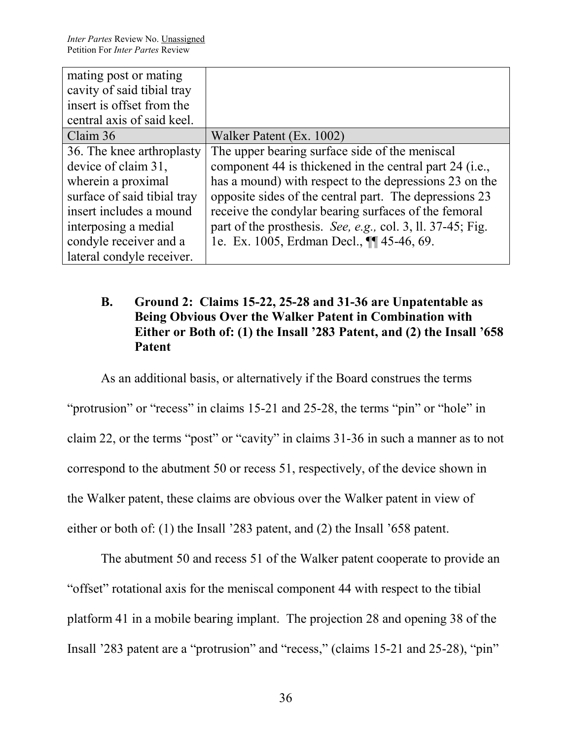| mating post or mating       |                                                            |
|-----------------------------|------------------------------------------------------------|
| cavity of said tibial tray  |                                                            |
| insert is offset from the   |                                                            |
| central axis of said keel.  |                                                            |
| Claim 36                    | Walker Patent (Ex. 1002)                                   |
| 36. The knee arthroplasty   | The upper bearing surface side of the meniscal             |
| device of claim 31,         | component 44 is thickened in the central part 24 (i.e.,    |
| wherein a proximal          | has a mound) with respect to the depressions 23 on the     |
| surface of said tibial tray | opposite sides of the central part. The depressions 23     |
| insert includes a mound     | receive the condylar bearing surfaces of the femoral       |
| interposing a medial        | part of the prosthesis. See, e.g., col. 3, ll. 37-45; Fig. |
| condyle receiver and a      | 1e. Ex. 1005, Erdman Decl., ¶ 45-46, 69.                   |
| lateral condyle receiver.   |                                                            |

# **B. Ground 2: Claims 15-22, 25-28 and 31-36 are Unpatentable as Being Obvious Over the Walker Patent in Combination with Either or Both of: (1) the Insall '283 Patent, and (2) the Insall '658 Patent**

As an additional basis, or alternatively if the Board construes the terms "protrusion" or "recess" in claims 15-21 and 25-28, the terms "pin" or "hole" in claim 22, or the terms "post" or "cavity" in claims 31-36 in such a manner as to not correspond to the abutment 50 or recess 51, respectively, of the device shown in the Walker patent, these claims are obvious over the Walker patent in view of either or both of: (1) the Insall '283 patent, and (2) the Insall '658 patent.

The abutment 50 and recess 51 of the Walker patent cooperate to provide an "offset" rotational axis for the meniscal component 44 with respect to the tibial platform 41 in a mobile bearing implant. The projection 28 and opening 38 of the Insall '283 patent are a "protrusion" and "recess," (claims 15-21 and 25-28), "pin"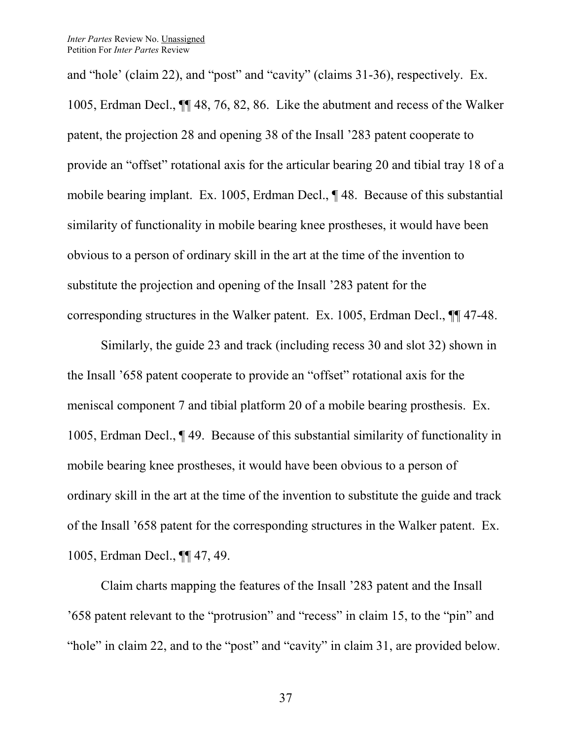and "hole' (claim 22), and "post" and "cavity" (claims 31-36), respectively. Ex. 1005, Erdman Decl., ¶¶ 48, 76, 82, 86. Like the abutment and recess of the Walker patent, the projection 28 and opening 38 of the Insall '283 patent cooperate to provide an "offset" rotational axis for the articular bearing 20 and tibial tray 18 of a mobile bearing implant. Ex. 1005, Erdman Decl., ¶ 48. Because of this substantial similarity of functionality in mobile bearing knee prostheses, it would have been obvious to a person of ordinary skill in the art at the time of the invention to substitute the projection and opening of the Insall '283 patent for the corresponding structures in the Walker patent. Ex. 1005, Erdman Decl., ¶¶ 47-48.

Similarly, the guide 23 and track (including recess 30 and slot 32) shown in the Insall '658 patent cooperate to provide an "offset" rotational axis for the meniscal component 7 and tibial platform 20 of a mobile bearing prosthesis. Ex. 1005, Erdman Decl., ¶ 49. Because of this substantial similarity of functionality in mobile bearing knee prostheses, it would have been obvious to a person of ordinary skill in the art at the time of the invention to substitute the guide and track of the Insall '658 patent for the corresponding structures in the Walker patent. Ex. 1005, Erdman Decl., ¶¶ 47, 49.

Claim charts mapping the features of the Insall '283 patent and the Insall '658 patent relevant to the "protrusion" and "recess" in claim 15, to the "pin" and "hole" in claim 22, and to the "post" and "cavity" in claim 31, are provided below.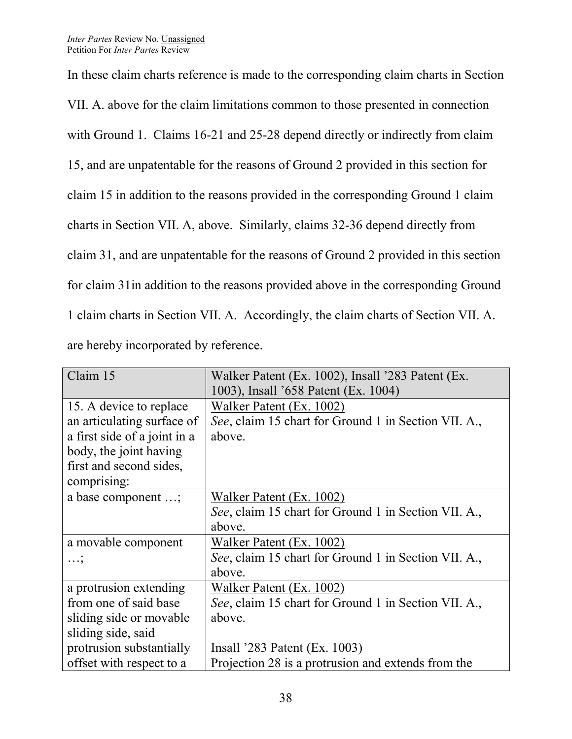In these claim charts reference is made to the corresponding claim charts in Section VII. A. above for the claim limitations common to those presented in connection with Ground 1. Claims 16-21 and 25-28 depend directly or indirectly from claim 15, and are unpatentable for the reasons of Ground 2 provided in this section for claim 15 in addition to the reasons provided in the corresponding Ground 1 claim charts in Section VII. A, above. Similarly, claims 32-36 depend directly from claim 31, and are unpatentable for the reasons of Ground 2 provided in this section for claim 31in addition to the reasons provided above in the corresponding Ground 1 claim charts in Section VII. A. Accordingly, the claim charts of Section VII. A. are hereby incorporated by reference.

| Claim 15                     | Walker Patent (Ex. 1002), Insall '283 Patent (Ex.    |
|------------------------------|------------------------------------------------------|
|                              | 1003), Insall '658 Patent (Ex. 1004)                 |
| 15. A device to replace      | Walker Patent (Ex. 1002)                             |
| an articulating surface of   | See, claim 15 chart for Ground 1 in Section VII. A., |
| a first side of a joint in a | above.                                               |
| body, the joint having       |                                                      |
| first and second sides,      |                                                      |
| comprising:                  |                                                      |
| a base component ;           | Walker Patent (Ex. 1002)                             |
|                              | See, claim 15 chart for Ground 1 in Section VII. A., |
|                              | above.                                               |
| a movable component          | Walker Patent (Ex. 1002)                             |
|                              | See, claim 15 chart for Ground 1 in Section VII. A., |
|                              | above.                                               |
| a protrusion extending       | Walker Patent (Ex. 1002)                             |
| from one of said base        | See, claim 15 chart for Ground 1 in Section VII. A., |
| sliding side or movable      | above.                                               |
| sliding side, said           |                                                      |
| protrusion substantially     | Insall $283$ Patent (Ex. 1003)                       |
| offset with respect to a     | Projection 28 is a protrusion and extends from the   |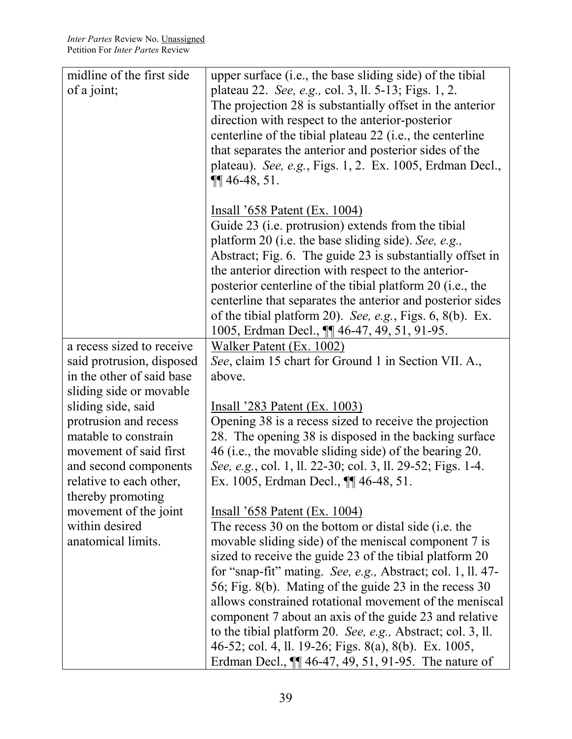| midline of the first side | upper surface (i.e., the base sliding side) of the tibial    |
|---------------------------|--------------------------------------------------------------|
| of a joint;               | plateau 22. See, e.g., col. 3, ll. 5-13; Figs. 1, 2.         |
|                           | The projection 28 is substantially offset in the anterior    |
|                           | direction with respect to the anterior-posterior             |
|                           | centerline of the tibial plateau 22 (i.e., the centerline    |
|                           |                                                              |
|                           | that separates the anterior and posterior sides of the       |
|                           | plateau). See, e.g., Figs. 1, 2. Ex. 1005, Erdman Decl.,     |
|                           | $\P\P$ 46-48, 51.                                            |
|                           |                                                              |
|                           | Insall '658 Patent (Ex. 1004)                                |
|                           | Guide 23 ( <i>i.e.</i> protrusion) extends from the tibial   |
|                           | platform 20 (i.e. the base sliding side). See, e.g.,         |
|                           | Abstract; Fig. 6. The guide 23 is substantially offset in    |
|                           | the anterior direction with respect to the anterior-         |
|                           | posterior centerline of the tibial platform 20 (i.e., the    |
|                           |                                                              |
|                           | centerline that separates the anterior and posterior sides   |
|                           | of the tibial platform 20). See, e.g., Figs. $6, 8(b)$ . Ex. |
|                           | 1005, Erdman Decl., <b>[1]</b> 46-47, 49, 51, 91-95.         |
| a recess sized to receive | Walker Patent (Ex. 1002)                                     |
| said protrusion, disposed | See, claim 15 chart for Ground 1 in Section VII. A.,         |
| in the other of said base | above.                                                       |
| sliding side or movable   |                                                              |
| sliding side, said        | <u>Insall '283 Patent (Ex. 1003)</u>                         |
| protrusion and recess     | Opening 38 is a recess sized to receive the projection       |
| matable to constrain      | 28. The opening 38 is disposed in the backing surface        |
|                           |                                                              |
| movement of said first    | 46 (i.e., the movable sliding side) of the bearing 20.       |
| and second components     | See, e.g., col. 1, ll. 22-30; col. 3, ll. 29-52; Figs. 1-4.  |
| relative to each other,   | Ex. 1005, Erdman Decl., ¶ 46-48, 51.                         |
| thereby promoting         |                                                              |
| movement of the joint     | <u>Insall '658 Patent (Ex. 1004)</u>                         |
| within desired            | The recess 30 on the bottom or distal side (i.e. the         |
| anatomical limits.        | movable sliding side) of the meniscal component 7 is         |
|                           | sized to receive the guide 23 of the tibial platform 20      |
|                           | for "snap-fit" mating. See, e.g., Abstract; col. 1, ll. 47-  |
|                           |                                                              |
|                           | 56; Fig. 8(b). Mating of the guide 23 in the recess 30       |
|                           | allows constrained rotational movement of the meniscal       |
|                           | component 7 about an axis of the guide 23 and relative       |
|                           | to the tibial platform 20. See, e.g., Abstract; col. 3, ll.  |
|                           | 46-52; col. 4, ll. 19-26; Figs. 8(a), 8(b). Ex. 1005,        |
|                           | Erdman Decl., $\P\P$ 46-47, 49, 51, 91-95. The nature of     |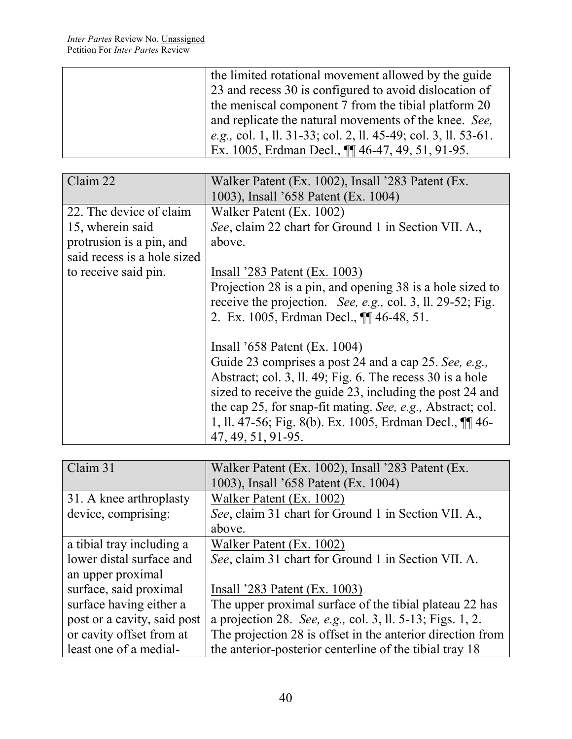| the limited rotational movement allowed by the guide           |
|----------------------------------------------------------------|
| 23 and recess 30 is configured to avoid dislocation of         |
| the meniscal component 7 from the tibial platform 20           |
| and replicate the natural movements of the knee. See,          |
| e.g., col. 1, ll. 31-33; col. 2, ll. 45-49; col. 3, ll. 53-61. |
| Ex. 1005, Erdman Decl., $\P\P$ 46-47, 49, 51, 91-95.           |

| Claim 22                    | Walker Patent (Ex. 1002), Insall '283 Patent (Ex.           |
|-----------------------------|-------------------------------------------------------------|
|                             | 1003), Insall '658 Patent (Ex. 1004)                        |
| 22. The device of claim     | Walker Patent (Ex. 1002)                                    |
| 15, wherein said            | See, claim 22 chart for Ground 1 in Section VII. A.,        |
| protrusion is a pin, and    | above.                                                      |
| said recess is a hole sized |                                                             |
| to receive said pin.        | Insall $283$ Patent (Ex. 1003)                              |
|                             | Projection 28 is a pin, and opening 38 is a hole sized to   |
|                             | receive the projection. See, e.g., col. 3, ll. 29-52; Fig.  |
|                             | 2. Ex. 1005, Erdman Decl., ¶ 46-48, 51.                     |
|                             |                                                             |
|                             | Insall $658$ Patent (Ex. 1004)                              |
|                             | Guide 23 comprises a post 24 and a cap 25. See, e.g.,       |
|                             | Abstract; col. 3, ll. 49; Fig. 6. The recess $30$ is a hole |
|                             | sized to receive the guide 23, including the post 24 and    |
|                             | the cap 25, for snap-fit mating. See, e.g., Abstract; col.  |
|                             | 1, 11. 47-56; Fig. 8(b). Ex. 1005, Erdman Decl., 11 46-     |
|                             | 47, 49, 51, 91-95.                                          |

| Claim 31                    | Walker Patent (Ex. 1002), Insall '283 Patent (Ex.          |
|-----------------------------|------------------------------------------------------------|
|                             | 1003), Insall '658 Patent (Ex. 1004)                       |
| 31. A knee arthroplasty     | Walker Patent (Ex. 1002)                                   |
| device, comprising:         | See, claim 31 chart for Ground 1 in Section VII. A.,       |
|                             | above.                                                     |
| a tibial tray including a   | Walker Patent (Ex. 1002)                                   |
| lower distal surface and    | See, claim 31 chart for Ground 1 in Section VII. A.        |
| an upper proximal           |                                                            |
| surface, said proximal      | Insall $283$ Patent (Ex. 1003)                             |
| surface having either a     | The upper proximal surface of the tibial plateau 22 has    |
| post or a cavity, said post | a projection 28. See, e.g., col. 3, ll. 5-13; Figs. 1, 2.  |
| or cavity offset from at    | The projection 28 is offset in the anterior direction from |
| least one of a medial-      | the anterior-posterior centerline of the tibial tray 18    |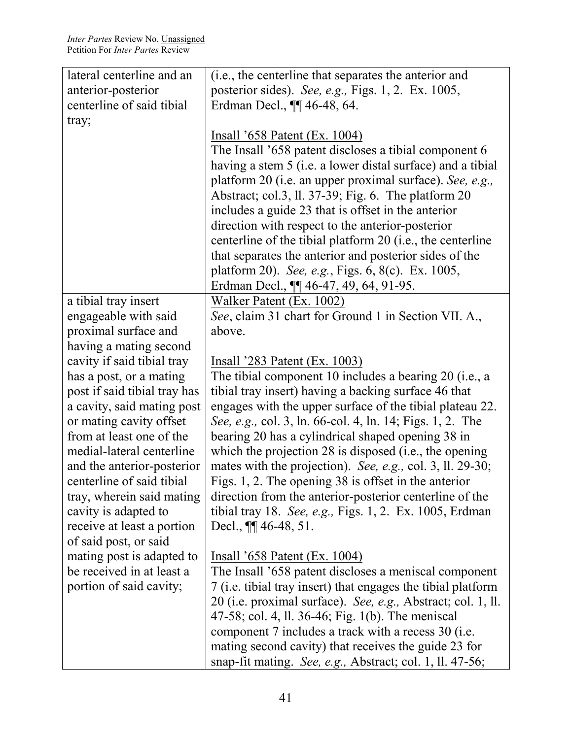| lateral centerline and an    | (i.e., the centerline that separates the anterior and        |
|------------------------------|--------------------------------------------------------------|
| anterior-posterior           | posterior sides). See, e.g., Figs. 1, 2. Ex. 1005,           |
| centerline of said tibial    | Erdman Decl., <b>¶</b> 46-48, 64.                            |
| tray;                        |                                                              |
|                              | Insall '658 Patent (Ex. 1004)                                |
|                              | The Insall '658 patent discloses a tibial component 6        |
|                              | having a stem 5 (i.e. a lower distal surface) and a tibial   |
|                              | platform 20 (i.e. an upper proximal surface). See, e.g.,     |
|                              | Abstract; col.3, ll. 37-39; Fig. 6. The platform 20          |
|                              | includes a guide 23 that is offset in the anterior           |
|                              | direction with respect to the anterior-posterior             |
|                              | centerline of the tibial platform 20 (i.e., the centerline   |
|                              | that separates the anterior and posterior sides of the       |
|                              | platform 20). See, e.g., Figs. 6, 8(c). Ex. 1005,            |
|                              | Erdman Decl., <b>11</b> 46-47, 49, 64, 91-95.                |
| a tibial tray insert         | Walker Patent (Ex. 1002)                                     |
| engageable with said         | See, claim 31 chart for Ground 1 in Section VII. A.,         |
| proximal surface and         | above.                                                       |
| having a mating second       |                                                              |
| cavity if said tibial tray   | <u>Insall '283 Patent (Ex. 1003)</u>                         |
| has a post, or a mating      | The tibial component 10 includes a bearing 20 (i.e., a       |
| post if said tibial tray has | tibial tray insert) having a backing surface 46 that         |
| a cavity, said mating post   | engages with the upper surface of the tibial plateau 22.     |
| or mating cavity offset      | See, e.g., col. 3, ln. 66-col. 4, ln. 14; Figs. 1, 2. The    |
| from at least one of the     | bearing 20 has a cylindrical shaped opening 38 in            |
| medial-lateral centerline    | which the projection $28$ is disposed (i.e., the opening     |
| and the anterior-posterior   | mates with the projection). See, e.g., col. 3, ll. 29-30;    |
| centerline of said tibial    | Figs. 1, 2. The opening 38 is offset in the anterior         |
| tray, wherein said mating    | direction from the anterior-posterior centerline of the      |
| cavity is adapted to         | tibial tray 18. See, e.g., Figs. 1, 2. Ex. 1005, Erdman      |
| receive at least a portion   | Decl., $\P\P$ 46-48, 51.                                     |
| of said post, or said        |                                                              |
| mating post is adapted to    | <u>Insall '658 Patent (Ex. 1004)</u>                         |
| be received in at least a    | The Insall '658 patent discloses a meniscal component        |
| portion of said cavity;      | 7 (i.e. tibial tray insert) that engages the tibial platform |
|                              | 20 (i.e. proximal surface). See, e.g., Abstract; col. 1, ll. |
|                              | 47-58; col. 4, ll. 36-46; Fig. 1(b). The meniscal            |
|                              | component 7 includes a track with a recess 30 (i.e.          |
|                              | mating second cavity) that receives the guide 23 for         |
|                              | snap-fit mating. See, e.g., Abstract; col. 1, ll. 47-56;     |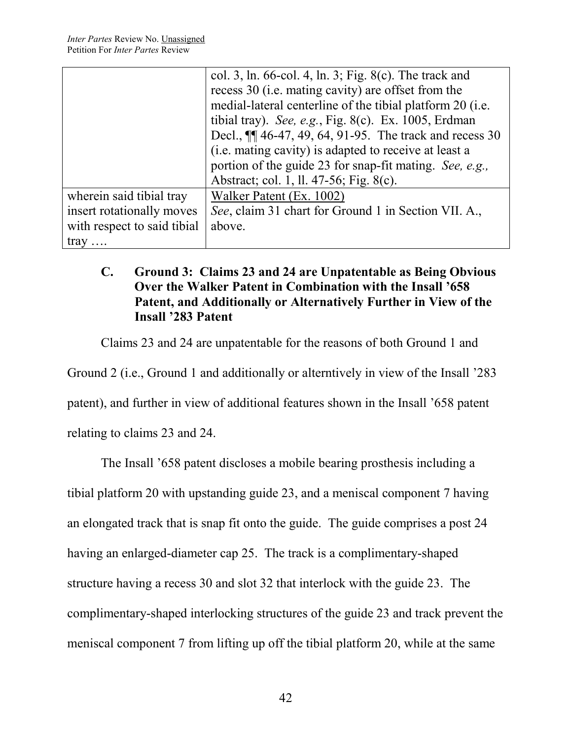|                             | col. 3, ln. 66-col. 4, ln. 3; Fig. 8(c). The track and     |
|-----------------------------|------------------------------------------------------------|
|                             | recess 30 ( <i>i.e.</i> mating cavity) are offset from the |
|                             | medial-lateral centerline of the tibial platform 20 (i.e.  |
|                             | tibial tray). See, e.g., Fig. 8(c). Ex. 1005, Erdman       |
|                             | Decl., $\P$ 46-47, 49, 64, 91-95. The track and recess 30  |
|                             | (i.e. mating cavity) is adapted to receive at least a      |
|                             | portion of the guide 23 for snap-fit mating. See, e.g.,    |
|                             | Abstract; col. 1, ll. 47-56; Fig. 8(c).                    |
| wherein said tibial tray    | Walker Patent (Ex. 1002)                                   |
| insert rotationally moves   | See, claim 31 chart for Ground 1 in Section VII. A.,       |
| with respect to said tibial | above.                                                     |
| $\text{tray} \dots$         |                                                            |

# **C. Ground 3: Claims 23 and 24 are Unpatentable as Being Obvious Over the Walker Patent in Combination with the Insall '658 Patent, and Additionally or Alternatively Further in View of the Insall '283 Patent**

Claims 23 and 24 are unpatentable for the reasons of both Ground 1 and

Ground 2 (i.e., Ground 1 and additionally or alterntively in view of the Insall '283

patent), and further in view of additional features shown in the Insall '658 patent

relating to claims 23 and 24.

The Insall '658 patent discloses a mobile bearing prosthesis including a tibial platform 20 with upstanding guide 23, and a meniscal component 7 having an elongated track that is snap fit onto the guide. The guide comprises a post 24 having an enlarged-diameter cap 25. The track is a complimentary-shaped structure having a recess 30 and slot 32 that interlock with the guide 23. The complimentary-shaped interlocking structures of the guide 23 and track prevent the meniscal component 7 from lifting up off the tibial platform 20, while at the same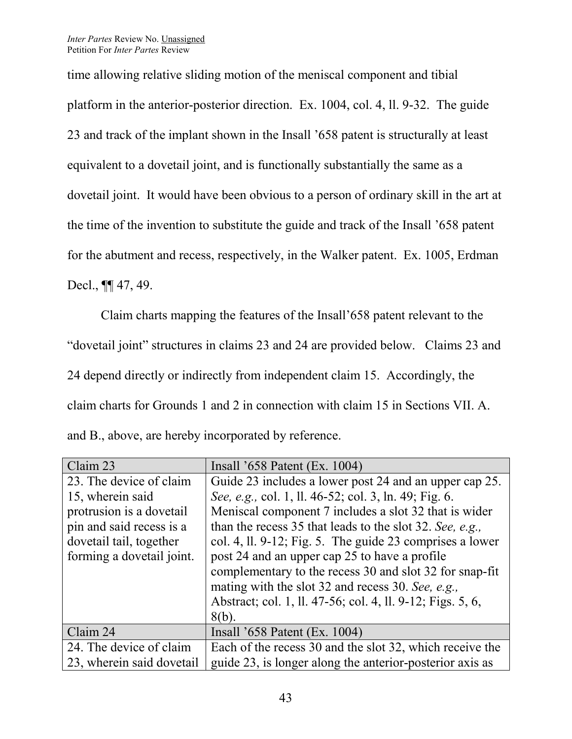time allowing relative sliding motion of the meniscal component and tibial platform in the anterior-posterior direction. Ex. 1004, col. 4, ll. 9-32. The guide 23 and track of the implant shown in the Insall '658 patent is structurally at least equivalent to a dovetail joint, and is functionally substantially the same as a dovetail joint. It would have been obvious to a person of ordinary skill in the art at the time of the invention to substitute the guide and track of the Insall '658 patent for the abutment and recess, respectively, in the Walker patent. Ex. 1005, Erdman Decl., **¶** 47, 49.

Claim charts mapping the features of the Insall'658 patent relevant to the "dovetail joint" structures in claims 23 and 24 are provided below. Claims 23 and 24 depend directly or indirectly from independent claim 15. Accordingly, the claim charts for Grounds 1 and 2 in connection with claim 15 in Sections VII. A. and B., above, are hereby incorporated by reference.

| Claim 23                  | Insall $3658$ Patent (Ex. 1004)                            |
|---------------------------|------------------------------------------------------------|
| 23. The device of claim   | Guide 23 includes a lower post 24 and an upper cap 25.     |
| 15, wherein said          | See, e.g., col. 1, ll. 46-52; col. 3, ln. 49; Fig. 6.      |
| protrusion is a dovetail  | Meniscal component 7 includes a slot 32 that is wider      |
| pin and said recess is a  | than the recess 35 that leads to the slot 32. See, e.g.,   |
| dovetail tail, together   | col. 4, ll. 9-12; Fig. 5. The guide 23 comprises a lower   |
| forming a dovetail joint. | post 24 and an upper cap 25 to have a profile              |
|                           | complementary to the recess 30 and slot 32 for snap-fit    |
|                           | mating with the slot 32 and recess 30. See, e.g.,          |
|                           | Abstract; col. 1, ll. 47-56; col. 4, ll. 9-12; Figs. 5, 6, |
|                           | $8(b)$ .                                                   |
| Claim 24                  | Insall $3658$ Patent (Ex. 1004)                            |
| 24. The device of claim   | Each of the recess 30 and the slot 32, which receive the   |
| 23, wherein said dovetail | guide 23, is longer along the anterior-posterior axis as   |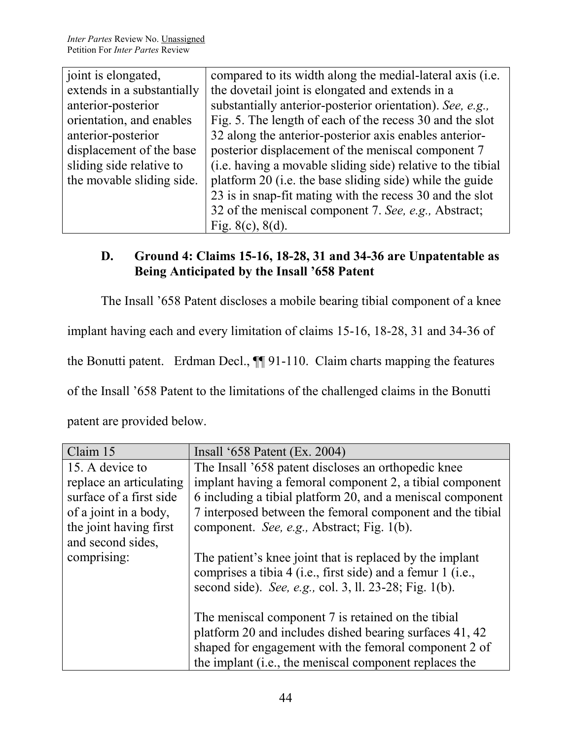| joint is elongated,        | compared to its width along the medial-lateral axis (i.e.   |
|----------------------------|-------------------------------------------------------------|
| extends in a substantially | the dovetail joint is elongated and extends in a            |
| anterior-posterior         | substantially anterior-posterior orientation). See, e.g.,   |
| orientation, and enables   | Fig. 5. The length of each of the recess 30 and the slot    |
| anterior-posterior         | 32 along the anterior-posterior axis enables anterior-      |
| displacement of the base   | posterior displacement of the meniscal component 7          |
| sliding side relative to   | (i.e. having a movable sliding side) relative to the tibial |
| the movable sliding side.  | platform 20 (i.e. the base sliding side) while the guide    |
|                            | 23 is in snap-fit mating with the recess 30 and the slot    |
|                            | 32 of the meniscal component 7. See, e.g., Abstract;        |
|                            | Fig. $8(c)$ , $8(d)$ .                                      |
|                            |                                                             |

# **D. Ground 4: Claims 15-16, 18-28, 31 and 34-36 are Unpatentable as Being Anticipated by the Insall '658 Patent**

The Insall '658 Patent discloses a mobile bearing tibial component of a knee

implant having each and every limitation of claims 15-16, 18-28, 31 and 34-36 of

the Bonutti patent. Erdman Decl., ¶¶ 91-110. Claim charts mapping the features

of the Insall '658 Patent to the limitations of the challenged claims in the Bonutti

patent are provided below.

| Claim 15                | Insall '658 Patent (Ex. 2004)                                                                                                                                                     |
|-------------------------|-----------------------------------------------------------------------------------------------------------------------------------------------------------------------------------|
| 15. A device to         | The Insall '658 patent discloses an orthopedic knee                                                                                                                               |
| replace an articulating | implant having a femoral component 2, a tibial component                                                                                                                          |
| surface of a first side | 6 including a tibial platform 20, and a meniscal component                                                                                                                        |
| of a joint in a body,   | 7 interposed between the femoral component and the tibial                                                                                                                         |
| the joint having first  | component. See, e.g., Abstract; Fig. 1(b).                                                                                                                                        |
| and second sides,       |                                                                                                                                                                                   |
| comprising:             | The patient's knee joint that is replaced by the implant<br>comprises a tibia 4 (i.e., first side) and a femur 1 (i.e.,<br>second side). See, e.g., col. 3, ll. 23-28; Fig. 1(b). |
|                         | The meniscal component 7 is retained on the tibial                                                                                                                                |
|                         | platform 20 and includes dished bearing surfaces 41, 42                                                                                                                           |
|                         | shaped for engagement with the femoral component 2 of                                                                                                                             |
|                         | the implant (i.e., the meniscal component replaces the                                                                                                                            |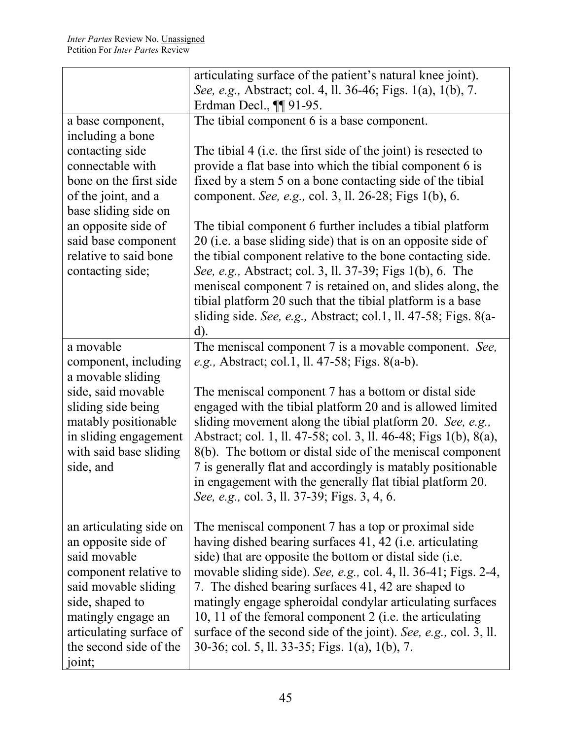|                                                                                                                                                                                                                                                  | articulating surface of the patient's natural knee joint).                                                                                                                                                                                                                                                                                                                                                                                                                                                                                                                                                                                                                                                                                              |
|--------------------------------------------------------------------------------------------------------------------------------------------------------------------------------------------------------------------------------------------------|---------------------------------------------------------------------------------------------------------------------------------------------------------------------------------------------------------------------------------------------------------------------------------------------------------------------------------------------------------------------------------------------------------------------------------------------------------------------------------------------------------------------------------------------------------------------------------------------------------------------------------------------------------------------------------------------------------------------------------------------------------|
|                                                                                                                                                                                                                                                  | See, e.g., Abstract; col. 4, ll. 36-46; Figs. 1(a), 1(b), 7.                                                                                                                                                                                                                                                                                                                                                                                                                                                                                                                                                                                                                                                                                            |
|                                                                                                                                                                                                                                                  | Erdman Decl., $\P\P$ 91-95.                                                                                                                                                                                                                                                                                                                                                                                                                                                                                                                                                                                                                                                                                                                             |
| a base component,<br>including a bone<br>contacting side<br>connectable with<br>bone on the first side<br>of the joint, and a<br>base sliding side on<br>an opposite side of<br>said base component<br>relative to said bone<br>contacting side; | The tibial component 6 is a base component.<br>The tibial 4 (i.e. the first side of the joint) is resected to<br>provide a flat base into which the tibial component 6 is<br>fixed by a stem 5 on a bone contacting side of the tibial<br>component. See, e.g., col. 3, ll. 26-28; Figs 1(b), 6.<br>The tibial component 6 further includes a tibial platform<br>20 (i.e. a base sliding side) that is on an opposite side of<br>the tibial component relative to the bone contacting side.<br>See, e.g., Abstract; col. 3, ll. 37-39; Figs 1(b), 6. The<br>meniscal component 7 is retained on, and slides along, the<br>tibial platform 20 such that the tibial platform is a base<br>sliding side. See, e.g., Abstract; col.1, ll. 47-58; Figs. 8(a- |
| a movable                                                                                                                                                                                                                                        | $d$ ).<br>The meniscal component 7 is a movable component. See,                                                                                                                                                                                                                                                                                                                                                                                                                                                                                                                                                                                                                                                                                         |
| component, including<br>a movable sliding                                                                                                                                                                                                        | <i>e.g.</i> , Abstract; col.1, ll. 47-58; Figs. 8(a-b).                                                                                                                                                                                                                                                                                                                                                                                                                                                                                                                                                                                                                                                                                                 |
| side, said movable<br>sliding side being<br>matably positionable<br>in sliding engagement<br>with said base sliding<br>side, and                                                                                                                 | The meniscal component 7 has a bottom or distal side<br>engaged with the tibial platform 20 and is allowed limited<br>sliding movement along the tibial platform 20. See, e.g.,<br>Abstract; col. 1, ll. 47-58; col. 3, ll. 46-48; Figs 1(b), 8(a),<br>8(b). The bottom or distal side of the meniscal component<br>7 is generally flat and accordingly is matably positionable<br>in engagement with the generally flat tibial platform 20.<br>See, e.g., col. 3, ll. 37-39; Figs. 3, 4, 6.                                                                                                                                                                                                                                                            |
| an articulating side on<br>an opposite side of<br>said movable<br>component relative to<br>said movable sliding<br>side, shaped to<br>matingly engage an<br>articulating surface of<br>the second side of the<br>joint;                          | The meniscal component 7 has a top or proximal side<br>having dished bearing surfaces 41, 42 (i.e. articulating<br>side) that are opposite the bottom or distal side (i.e.<br>movable sliding side). See, e.g., col. 4, ll. 36-41; Figs. 2-4,<br>7. The dished bearing surfaces 41, 42 are shaped to<br>matingly engage spheroidal condylar articulating surfaces<br>10, 11 of the femoral component 2 (i.e. the articulating<br>surface of the second side of the joint). See, e.g., col. 3, ll.<br>30-36; col. 5, ll. 33-35; Figs. 1(a), 1(b), 7.                                                                                                                                                                                                     |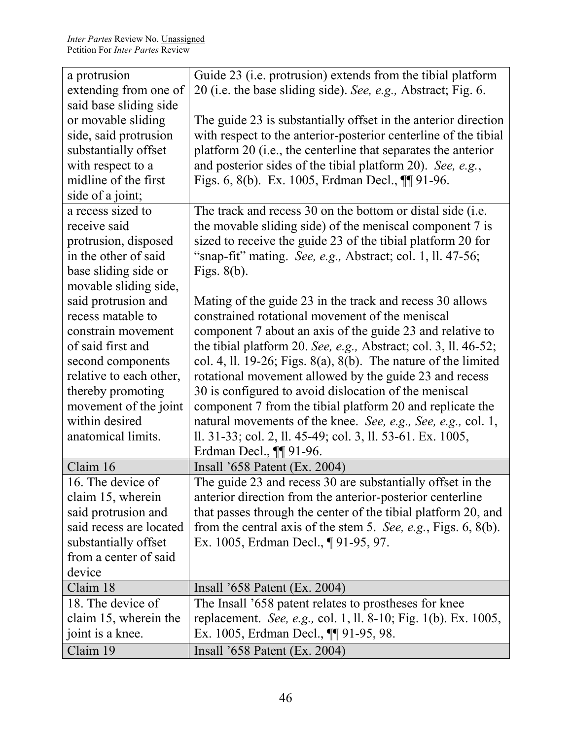| a protrusion            | Guide 23 (i.e. protrusion) extends from the tibial platform        |
|-------------------------|--------------------------------------------------------------------|
| extending from one of   | 20 (i.e. the base sliding side). See, e.g., Abstract; Fig. 6.      |
| said base sliding side  |                                                                    |
| or movable sliding      | The guide 23 is substantially offset in the anterior direction     |
| side, said protrusion   | with respect to the anterior-posterior centerline of the tibial    |
| substantially offset    | platform 20 (i.e., the centerline that separates the anterior      |
| with respect to a       | and posterior sides of the tibial platform 20). See, e.g.,         |
| midline of the first    | Figs. 6, 8(b). Ex. 1005, Erdman Decl., $\P\P$ 91-96.               |
| side of a joint;        |                                                                    |
| a recess sized to       | The track and recess 30 on the bottom or distal side (i.e.         |
| receive said            | the movable sliding side) of the meniscal component 7 is           |
| protrusion, disposed    | sized to receive the guide 23 of the tibial platform 20 for        |
| in the other of said    | "snap-fit" mating. See, e.g., Abstract; col. 1, ll. 47-56;         |
| base sliding side or    | Figs. $8(b)$ .                                                     |
| movable sliding side,   |                                                                    |
| said protrusion and     | Mating of the guide 23 in the track and recess 30 allows           |
| recess matable to       | constrained rotational movement of the meniscal                    |
| constrain movement      | component 7 about an axis of the guide 23 and relative to          |
| of said first and       | the tibial platform 20. See, e.g., Abstract; col. 3, ll. $46-52$ ; |
| second components       | col. 4, ll. 19-26; Figs. 8(a), 8(b). The nature of the limited     |
| relative to each other, | rotational movement allowed by the guide 23 and recess             |
| thereby promoting       | 30 is configured to avoid dislocation of the meniscal              |
| movement of the joint   | component 7 from the tibial platform 20 and replicate the          |
| within desired          | natural movements of the knee. See, e.g., See, e.g., col. 1,       |
| anatomical limits.      | ll. 31-33; col. 2, ll. 45-49; col. 3, ll. 53-61. Ex. 1005,         |
|                         | Erdman Decl., $\P\P$ 91-96.                                        |
| Claim 16                | Insall $'658$ Patent (Ex. 2004)                                    |
| 16. The device of       | The guide 23 and recess 30 are substantially offset in the         |
| claim 15, wherein       | anterior direction from the anterior-posterior centerline          |
| said protrusion and     | that passes through the center of the tibial platform 20, and      |
| said recess are located | from the central axis of the stem 5. See, e.g., Figs. $6, 8(b)$ .  |
| substantially offset    | Ex. 1005, Erdman Decl., ¶91-95, 97.                                |
| from a center of said   |                                                                    |
| device                  |                                                                    |
| Claim 18                | Insall $3658$ Patent (Ex. 2004)                                    |
| 18. The device of       | The Insall '658 patent relates to prostheses for knee              |
| claim 15, wherein the   | replacement. See, e.g., col. 1, ll. 8-10; Fig. 1(b). Ex. 1005,     |
| joint is a knee.        | Ex. 1005, Erdman Decl., <b>[1]</b> 91-95, 98.                      |
| Claim 19                | Insall $3658$ Patent (Ex. 2004)                                    |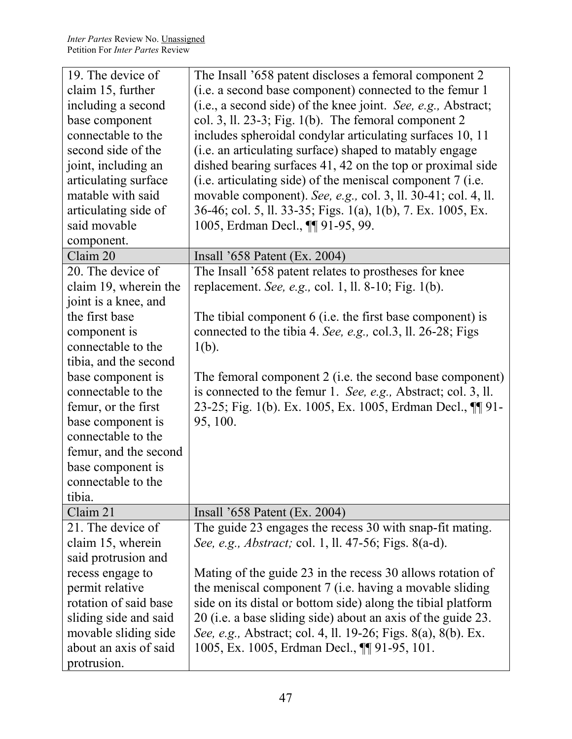| 19. The device of<br>claim 15, further<br>including a second<br>base component<br>connectable to the<br>second side of the<br>joint, including an                                                                                                                                                                                                          | The Insall '658 patent discloses a femoral component 2<br>(i.e. a second base component) connected to the femur 1<br>(i.e., a second side) of the knee joint. See, e.g., Abstract;<br>col. 3, ll. 23-3; Fig. $1(b)$ . The femoral component 2<br>includes spheroidal condylar articulating surfaces 10, 11<br>(i.e. an articulating surface) shaped to matably engage<br>dished bearing surfaces 41, 42 on the top or proximal side                                                               |
|------------------------------------------------------------------------------------------------------------------------------------------------------------------------------------------------------------------------------------------------------------------------------------------------------------------------------------------------------------|---------------------------------------------------------------------------------------------------------------------------------------------------------------------------------------------------------------------------------------------------------------------------------------------------------------------------------------------------------------------------------------------------------------------------------------------------------------------------------------------------|
| articulating surface<br>matable with said<br>articulating side of<br>said movable                                                                                                                                                                                                                                                                          | (i.e. articulating side) of the meniscal component 7 (i.e.<br>movable component). See, e.g., col. 3, ll. 30-41; col. 4, ll.<br>36-46; col. 5, ll. 33-35; Figs. 1(a), 1(b), 7. Ex. 1005, Ex.<br>1005, Erdman Decl., ¶ 91-95, 99.                                                                                                                                                                                                                                                                   |
| component.                                                                                                                                                                                                                                                                                                                                                 |                                                                                                                                                                                                                                                                                                                                                                                                                                                                                                   |
| Claim 20<br>20. The device of<br>claim 19, wherein the<br>joint is a knee, and<br>the first base<br>component is<br>connectable to the<br>tibia, and the second<br>base component is<br>connectable to the<br>femur, or the first<br>base component is<br>connectable to the<br>femur, and the second<br>base component is<br>connectable to the<br>tibia. | Insall $'658$ Patent (Ex. 2004)<br>The Insall '658 patent relates to prostheses for knee<br>replacement. See, e.g., col. 1, ll. 8-10; Fig. $1(b)$ .<br>The tibial component 6 (i.e. the first base component) is<br>connected to the tibia 4. See, e.g., col.3, ll. 26-28; Figs<br>$1(b)$ .<br>The femoral component 2 (i.e. the second base component)<br>is connected to the femur 1. See, e.g., Abstract; col. 3, ll.<br>23-25; Fig. 1(b). Ex. 1005, Ex. 1005, Erdman Decl., ¶ 91-<br>95, 100. |
| Claim 21                                                                                                                                                                                                                                                                                                                                                   | Insall $3658$ Patent (Ex. 2004)                                                                                                                                                                                                                                                                                                                                                                                                                                                                   |
| 21. The device of<br>claim 15, wherein<br>said protrusion and<br>recess engage to<br>permit relative<br>rotation of said base<br>sliding side and said<br>movable sliding side<br>about an axis of said<br>protrusion.                                                                                                                                     | The guide 23 engages the recess 30 with snap-fit mating.<br>See, e.g., Abstract; col. 1, ll. 47-56; Figs. 8(a-d).<br>Mating of the guide 23 in the recess 30 allows rotation of<br>the meniscal component 7 (i.e. having a movable sliding<br>side on its distal or bottom side) along the tibial platform<br>20 (i.e. a base sliding side) about an axis of the guide 23.<br>See, e.g., Abstract; col. 4, ll. 19-26; Figs. 8(a), 8(b). Ex.<br>1005, Ex. 1005, Erdman Decl., ¶ 91-95, 101.        |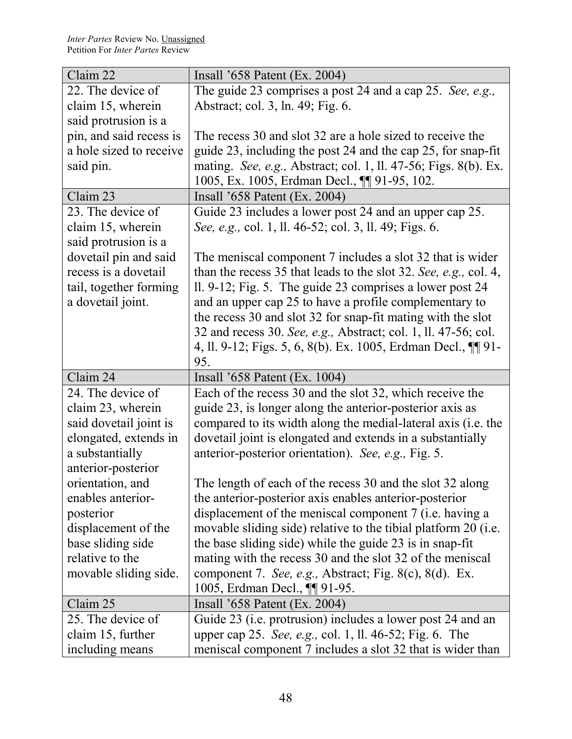| Claim 22                | Insall '658 Patent (Ex. 2004)                                    |
|-------------------------|------------------------------------------------------------------|
| 22. The device of       | The guide 23 comprises a post 24 and a cap 25. See, e.g.,        |
| claim 15, wherein       | Abstract; col. 3, ln. 49; Fig. 6.                                |
| said protrusion is a    |                                                                  |
| pin, and said recess is | The recess 30 and slot 32 are a hole sized to receive the        |
| a hole sized to receive | guide 23, including the post 24 and the cap 25, for snap-fit     |
| said pin.               | mating. See, e.g., Abstract; col. 1, ll. 47-56; Figs. 8(b). Ex.  |
|                         | 1005, Ex. 1005, Erdman Decl., ¶ 91-95, 102.                      |
| Claim 23                | Insall $3658$ Patent (Ex. 2004)                                  |
| 23. The device of       | Guide 23 includes a lower post 24 and an upper cap 25.           |
| claim 15, wherein       | See, e.g., col. 1, ll. 46-52; col. 3, ll. 49; Figs. 6.           |
| said protrusion is a    |                                                                  |
| dovetail pin and said   | The meniscal component 7 includes a slot 32 that is wider        |
| recess is a dovetail    | than the recess 35 that leads to the slot 32. See, e.g., col. 4, |
| tail, together forming  | ll. 9-12; Fig. 5. The guide 23 comprises a lower post 24         |
| a dovetail joint.       | and an upper cap 25 to have a profile complementary to           |
|                         | the recess 30 and slot 32 for snap-fit mating with the slot      |
|                         | 32 and recess 30. See, e.g., Abstract; col. 1, ll. 47-56; col.   |
|                         | 4, ll. 9-12; Figs. 5, 6, 8(b). Ex. 1005, Erdman Decl., ¶ 91-     |
|                         |                                                                  |
|                         | 95.                                                              |
| Claim 24                | Insall $3658$ Patent (Ex. 1004)                                  |
| 24. The device of       | Each of the recess 30 and the slot 32, which receive the         |
| claim 23, wherein       | guide 23, is longer along the anterior-posterior axis as         |
| said dovetail joint is  | compared to its width along the medial-lateral axis (i.e. the    |
| elongated, extends in   | dovetail joint is elongated and extends in a substantially       |
| a substantially         | anterior-posterior orientation). See, e.g., Fig. 5.              |
| anterior-posterior      |                                                                  |
| orientation, and        | The length of each of the recess 30 and the slot 32 along        |
| enables anterior-       | the anterior-posterior axis enables anterior-posterior           |
| posterior               | displacement of the meniscal component 7 (i.e. having a          |
| displacement of the     | movable sliding side) relative to the tibial platform 20 (i.e.   |
| base sliding side       | the base sliding side) while the guide 23 is in snap-fit         |
| relative to the         | mating with the recess 30 and the slot 32 of the meniscal        |
| movable sliding side.   | component 7. See, e.g., Abstract; Fig. 8(c), 8(d). Ex.           |
|                         | 1005, Erdman Decl., <b>¶</b> 91-95.                              |
| Claim 25                | Insall $3658$ Patent (Ex. 2004)                                  |
| 25. The device of       | Guide 23 (i.e. protrusion) includes a lower post 24 and an       |
| claim 15, further       | upper cap 25. See, e.g., col. 1, ll. 46-52; Fig. 6. The          |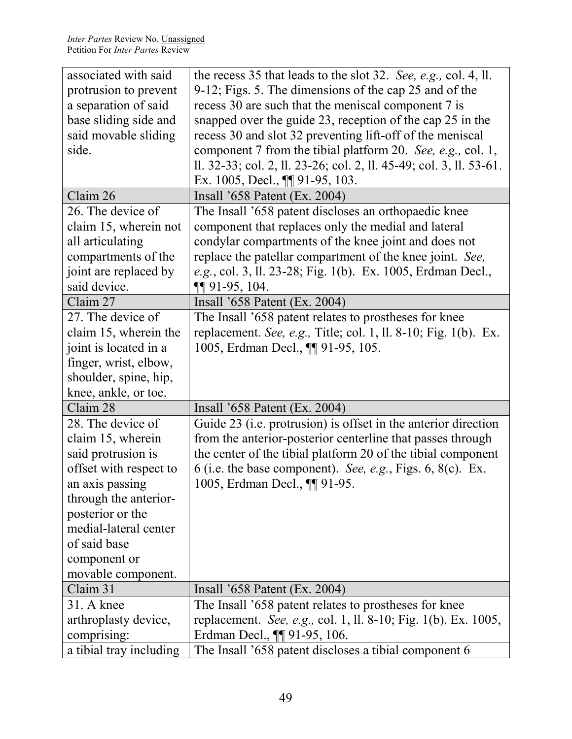| associated with said    | the recess 35 that leads to the slot 32. See, e.g., col. 4, ll.     |
|-------------------------|---------------------------------------------------------------------|
| protrusion to prevent   | 9-12; Figs. 5. The dimensions of the cap 25 and of the              |
| a separation of said    | recess 30 are such that the meniscal component 7 is                 |
| base sliding side and   | snapped over the guide 23, reception of the cap 25 in the           |
| said movable sliding    | recess 30 and slot 32 preventing lift-off of the meniscal           |
| side.                   | component 7 from the tibial platform 20. See, e.g., col. 1,         |
|                         | ll. 32-33; col. 2, ll. 23-26; col. 2, ll. 45-49; col. 3, ll. 53-61. |
|                         | Ex. 1005, Decl., $\P\P$ 91-95, 103.                                 |
| Claim 26                | Insall $3658$ Patent (Ex. 2004)                                     |
| 26. The device of       | The Insall '658 patent discloses an orthopaedic knee                |
| claim 15, wherein not   | component that replaces only the medial and lateral                 |
| all articulating        | condylar compartments of the knee joint and does not                |
| compartments of the     | replace the patellar compartment of the knee joint. See,            |
| joint are replaced by   | e.g., col. 3, ll. 23-28; Fig. 1(b). Ex. 1005, Erdman Decl.,         |
| said device.            | $\P\P$ 91-95, 104.                                                  |
| Claim 27                | Insall $658$ Patent (Ex. 2004)                                      |
| 27. The device of       | The Insall '658 patent relates to prostheses for knee               |
| claim 15, wherein the   | replacement. See, e.g., Title; col. 1, ll. 8-10; Fig. 1(b). Ex.     |
| joint is located in a   | 1005, Erdman Decl., <b>[1]</b> 91-95, 105.                          |
| finger, wrist, elbow,   |                                                                     |
| shoulder, spine, hip,   |                                                                     |
| knee, ankle, or toe.    |                                                                     |
| Claim 28                | Insall $658$ Patent (Ex. 2004)                                      |
| 28. The device of       | Guide 23 (i.e. protrusion) is offset in the anterior direction      |
| claim 15, wherein       | from the anterior-posterior centerline that passes through          |
| said protrusion is      | the center of the tibial platform 20 of the tibial component        |
| offset with respect to  | 6 (i.e. the base component). See, e.g., Figs. $6, 8(c)$ . Ex.       |
| an axis passing         | 1005, Erdman Decl., ¶ 91-95.                                        |
| through the anterior-   |                                                                     |
| posterior or the        |                                                                     |
| medial-lateral center   |                                                                     |
| of said base            |                                                                     |
| component or            |                                                                     |
| movable component.      |                                                                     |
| Claim 31                | Insall $658$ Patent (Ex. 2004)                                      |
| 31. A knee              | The Insall '658 patent relates to prostheses for knee               |
| arthroplasty device,    | replacement. See, e.g., col. 1, ll. 8-10; Fig. 1(b). Ex. 1005,      |
| comprising:             | Erdman Decl., $\P\P$ 91-95, 106.                                    |
| a tibial tray including | The Insall '658 patent discloses a tibial component 6               |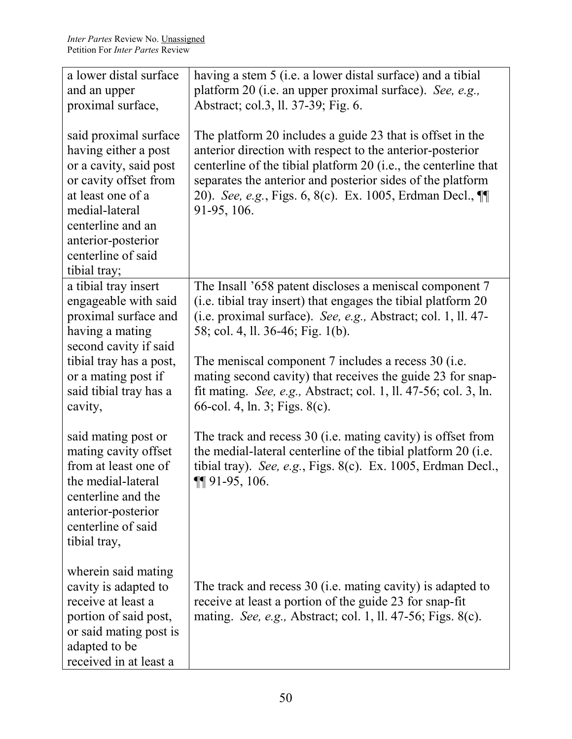| a lower distal surface                                                                                                                                                      | having a stem 5 (i.e. a lower distal surface) and a tibial                                                                                                                                                                     |
|-----------------------------------------------------------------------------------------------------------------------------------------------------------------------------|--------------------------------------------------------------------------------------------------------------------------------------------------------------------------------------------------------------------------------|
| and an upper                                                                                                                                                                | platform 20 (i.e. an upper proximal surface). See, e.g.,                                                                                                                                                                       |
| proximal surface,                                                                                                                                                           | Abstract; col.3, ll. 37-39; Fig. 6.                                                                                                                                                                                            |
| said proximal surface<br>having either a post                                                                                                                               | The platform 20 includes a guide 23 that is offset in the<br>anterior direction with respect to the anterior-posterior                                                                                                         |
| or a cavity, said post<br>or cavity offset from<br>at least one of a<br>medial-lateral<br>centerline and an<br>anterior-posterior<br>centerline of said<br>tibial tray;     | centerline of the tibial platform 20 (i.e., the centerline that<br>separates the anterior and posterior sides of the platform<br>20). See, e.g., Figs. 6, 8(c). Ex. 1005, Erdman Decl., ¶<br>91-95, 106.                       |
| a tibial tray insert<br>engageable with said<br>proximal surface and<br>having a mating                                                                                     | The Insall '658 patent discloses a meniscal component 7<br>(i.e. tibial tray insert) that engages the tibial platform 20<br>(i.e. proximal surface). See, e.g., Abstract; col. 1, ll. 47-<br>58; col. 4, ll. 36-46; Fig. 1(b). |
| second cavity if said<br>tibial tray has a post,<br>or a mating post if<br>said tibial tray has a<br>cavity,                                                                | The meniscal component 7 includes a recess 30 (i.e.<br>mating second cavity) that receives the guide 23 for snap-<br>fit mating. See, e.g., Abstract; col. 1, ll. 47-56; col. 3, ln.<br>66-col. 4, ln. 3; Figs. 8(c).          |
| said mating post or<br>mating cavity offset<br>from at least one of<br>the medial-lateral<br>centerline and the<br>anterior-posterior<br>centerline of said<br>tibial tray, | The track and recess 30 (i.e. mating cavity) is offset from<br>the medial-lateral centerline of the tibial platform 20 (i.e.<br>tibial tray). See, e.g., Figs. 8(c). Ex. 1005, Erdman Decl.,<br>$\P\P$ 91-95, 106.             |
| wherein said mating<br>cavity is adapted to<br>receive at least a<br>portion of said post,<br>or said mating post is<br>adapted to be<br>received in at least a             | The track and recess 30 (i.e. mating cavity) is adapted to<br>receive at least a portion of the guide 23 for snap-fit<br>mating. See, e.g., Abstract; col. 1, ll. 47-56; Figs. 8(c).                                           |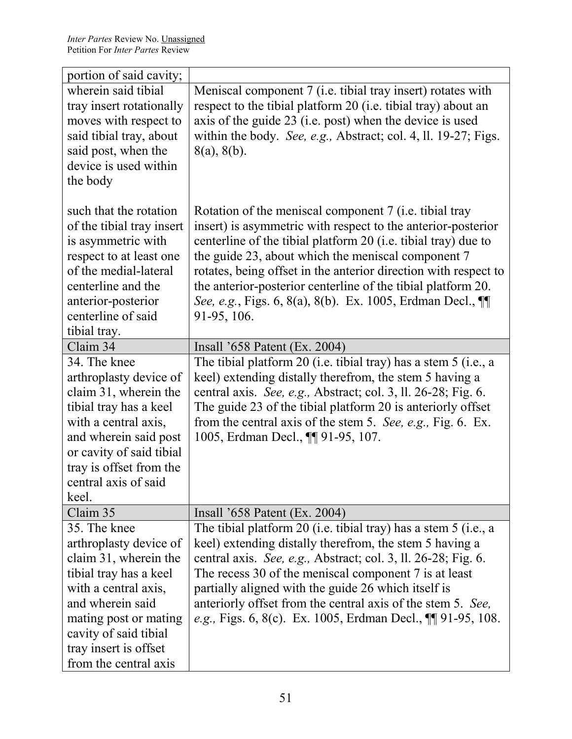| portion of said cavity;                        |                                                                                                                            |
|------------------------------------------------|----------------------------------------------------------------------------------------------------------------------------|
| wherein said tibial                            | Meniscal component 7 (i.e. tibial tray insert) rotates with                                                                |
| tray insert rotationally                       | respect to the tibial platform 20 (i.e. tibial tray) about an                                                              |
| moves with respect to                          | axis of the guide 23 (i.e. post) when the device is used                                                                   |
| said tibial tray, about                        | within the body. See, e.g., Abstract; col. 4, ll. 19-27; Figs.                                                             |
| said post, when the                            | $8(a)$ , $8(b)$ .                                                                                                          |
| device is used within                          |                                                                                                                            |
| the body                                       |                                                                                                                            |
|                                                |                                                                                                                            |
| such that the rotation                         | Rotation of the meniscal component 7 (i.e. tibial tray                                                                     |
| of the tibial tray insert                      | insert) is asymmetric with respect to the anterior-posterior                                                               |
| is asymmetric with                             | centerline of the tibial platform 20 (i.e. tibial tray) due to                                                             |
| respect to at least one                        | the guide 23, about which the meniscal component 7                                                                         |
| of the medial-lateral                          | rotates, being offset in the anterior direction with respect to                                                            |
| centerline and the                             | the anterior-posterior centerline of the tibial platform 20.                                                               |
| anterior-posterior                             | See, e.g., Figs. 6, 8(a), 8(b). Ex. 1005, Erdman Decl., ¶                                                                  |
| centerline of said                             | 91-95, 106.                                                                                                                |
| tibial tray.                                   |                                                                                                                            |
| Claim 34                                       | Insall $658$ Patent (Ex. 2004)                                                                                             |
| 34. The knee                                   | The tibial platform 20 (i.e. tibial tray) has a stem 5 (i.e., a                                                            |
| arthroplasty device of                         | keel) extending distally therefrom, the stem 5 having a                                                                    |
| claim 31, wherein the                          | central axis. See, e.g., Abstract; col. 3, ll. 26-28; Fig. 6.                                                              |
| tibial tray has a keel                         | The guide 23 of the tibial platform 20 is anteriorly offset                                                                |
| with a central axis,                           | from the central axis of the stem 5. See, e.g., Fig. 6. Ex.                                                                |
| and wherein said post                          | 1005, Erdman Decl., <b>[1]</b> 91-95, 107.                                                                                 |
| or cavity of said tibial                       |                                                                                                                            |
| tray is offset from the                        |                                                                                                                            |
| central axis of said                           |                                                                                                                            |
| keel.                                          |                                                                                                                            |
| Claim 35<br>35. The knee                       | Insall '658 Patent (Ex. 2004)                                                                                              |
|                                                | The tibial platform 20 (i.e. tibial tray) has a stem 5 (i.e., a                                                            |
| arthroplasty device of                         | keel) extending distally therefrom, the stem 5 having a                                                                    |
| claim 31, wherein the                          | central axis. See, e.g., Abstract; col. 3, ll. 26-28; Fig. 6.                                                              |
| tibial tray has a keel<br>with a central axis, | The recess 30 of the meniscal component 7 is at least<br>partially aligned with the guide 26 which itself is               |
| and wherein said                               |                                                                                                                            |
| mating post or mating                          | anteriorly offset from the central axis of the stem 5. See,<br>e.g., Figs. 6, 8(c). Ex. 1005, Erdman Decl., ¶¶ 91-95, 108. |
| cavity of said tibial                          |                                                                                                                            |
| tray insert is offset                          |                                                                                                                            |
|                                                |                                                                                                                            |
| from the central axis                          |                                                                                                                            |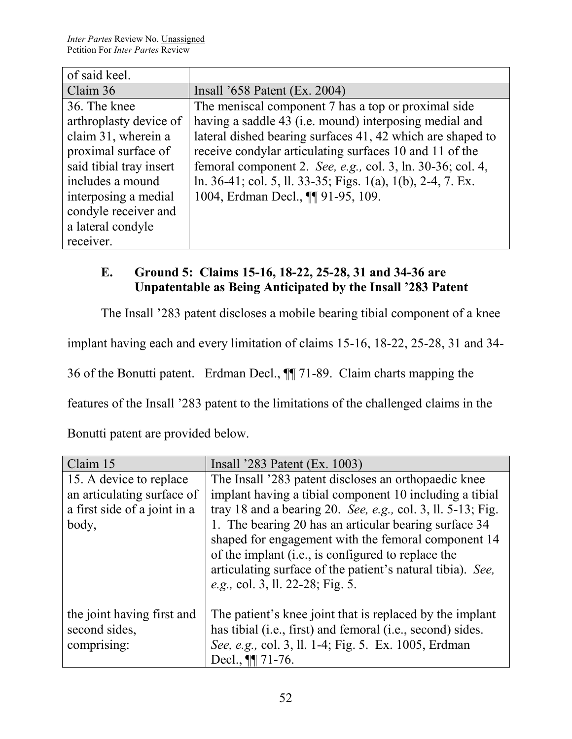| of said keel.           |                                                             |
|-------------------------|-------------------------------------------------------------|
| Claim 36                | Insall $3658$ Patent (Ex. 2004)                             |
| 36. The knee            | The meniscal component 7 has a top or proximal side         |
| arthroplasty device of  | having a saddle 43 (i.e. mound) interposing medial and      |
| claim 31, wherein a     | lateral dished bearing surfaces 41, 42 which are shaped to  |
| proximal surface of     | receive condylar articulating surfaces 10 and 11 of the     |
| said tibial tray insert | femoral component 2. See, e.g., col. 3, ln. 30-36; col. 4,  |
| includes a mound        | ln. 36-41; col. 5, ll. 33-35; Figs. 1(a), 1(b), 2-4, 7. Ex. |
| interposing a medial    | 1004, Erdman Decl., ¶ 91-95, 109.                           |
| condyle receiver and    |                                                             |
| a lateral condyle       |                                                             |
| receiver.               |                                                             |

# **E. Ground 5: Claims 15-16, 18-22, 25-28, 31 and 34-36 are Unpatentable as Being Anticipated by the Insall '283 Patent**

The Insall '283 patent discloses a mobile bearing tibial component of a knee

implant having each and every limitation of claims 15-16, 18-22, 25-28, 31 and 34-

36 of the Bonutti patent. Erdman Decl., ¶¶ 71-89. Claim charts mapping the

features of the Insall '283 patent to the limitations of the challenged claims in the

Bonutti patent are provided below.

| Claim 15                     | Insall $283$ Patent (Ex. 1003)                                 |
|------------------------------|----------------------------------------------------------------|
| 15. A device to replace      | The Insall '283 patent discloses an orthopaedic knee           |
| an articulating surface of   | implant having a tibial component 10 including a tibial        |
| a first side of a joint in a | tray 18 and a bearing 20. See, e.g., col. 3, ll. $5-13$ ; Fig. |
| body,                        | 1. The bearing 20 has an articular bearing surface 34          |
|                              | shaped for engagement with the femoral component 14            |
|                              | of the implant (i.e., is configured to replace the             |
|                              | articulating surface of the patient's natural tibia). See,     |
|                              | e.g., col. 3, ll. 22-28; Fig. 5.                               |
|                              |                                                                |
| the joint having first and   | The patient's knee joint that is replaced by the implant       |
| second sides,                | has tibial (i.e., first) and femoral (i.e., second) sides.     |
| comprising:                  | See, e.g., col. 3, ll. 1-4; Fig. 5. Ex. 1005, Erdman           |
|                              | Decl., $\P\P$ 71-76.                                           |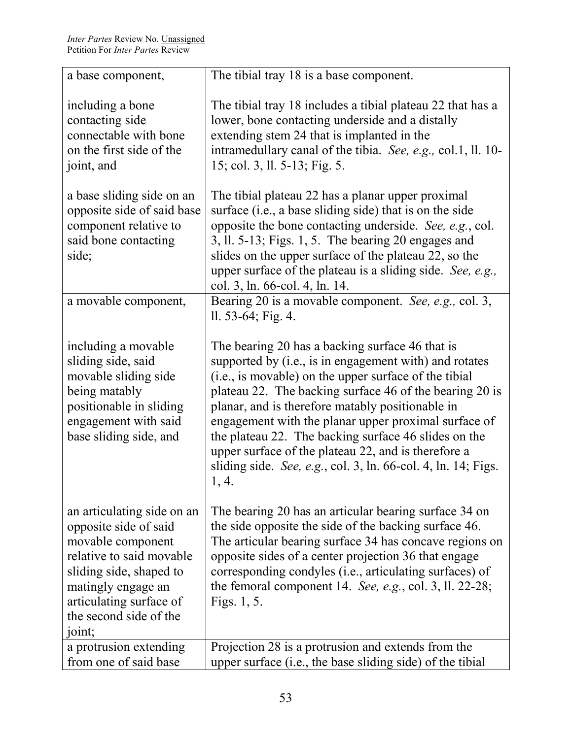| a base component,                                                                                                                                                                                                    | The tibial tray 18 is a base component.                                                                                                                                                                                                                                                                                                                                                                                                                                                                                         |
|----------------------------------------------------------------------------------------------------------------------------------------------------------------------------------------------------------------------|---------------------------------------------------------------------------------------------------------------------------------------------------------------------------------------------------------------------------------------------------------------------------------------------------------------------------------------------------------------------------------------------------------------------------------------------------------------------------------------------------------------------------------|
| including a bone<br>contacting side<br>connectable with bone<br>on the first side of the<br>joint, and                                                                                                               | The tibial tray 18 includes a tibial plateau 22 that has a<br>lower, bone contacting underside and a distally<br>extending stem 24 that is implanted in the<br>intramedullary canal of the tibia. See, e.g., col.1, ll. 10-<br>15; col. 3, ll. 5-13; Fig. 5.                                                                                                                                                                                                                                                                    |
| a base sliding side on an<br>opposite side of said base<br>component relative to<br>said bone contacting<br>side;                                                                                                    | The tibial plateau 22 has a planar upper proximal<br>surface (i.e., a base sliding side) that is on the side<br>opposite the bone contacting underside. See, e.g., col.<br>$3$ , ll. 5-13; Figs. 1, 5. The bearing 20 engages and<br>slides on the upper surface of the plateau 22, so the<br>upper surface of the plateau is a sliding side. See, e.g.,<br>col. 3, ln. 66-col. 4, ln. 14.                                                                                                                                      |
| a movable component,                                                                                                                                                                                                 | Bearing 20 is a movable component. See, e.g., col. 3,<br>$11.53-64$ ; Fig. 4.                                                                                                                                                                                                                                                                                                                                                                                                                                                   |
| including a movable<br>sliding side, said<br>movable sliding side<br>being matably<br>positionable in sliding<br>engagement with said<br>base sliding side, and                                                      | The bearing 20 has a backing surface 46 that is<br>supported by (i.e., is in engagement with) and rotates<br>(i.e., is movable) on the upper surface of the tibial<br>plateau 22. The backing surface 46 of the bearing 20 is<br>planar, and is therefore matably positionable in<br>engagement with the planar upper proximal surface of<br>the plateau 22. The backing surface 46 slides on the<br>upper surface of the plateau 22, and is therefore a<br>sliding side. See, e.g., col. 3, ln. 66-col. 4, ln. 14; Figs.<br>4. |
| an articulating side on an<br>opposite side of said<br>movable component<br>relative to said movable<br>sliding side, shaped to<br>matingly engage an<br>articulating surface of<br>the second side of the<br>joint; | The bearing 20 has an articular bearing surface 34 on<br>the side opposite the side of the backing surface 46.<br>The articular bearing surface 34 has concave regions on<br>opposite sides of a center projection 36 that engage<br>corresponding condyles (i.e., articulating surfaces) of<br>the femoral component 14. See, e.g., col. 3, ll. 22-28;<br>Figs. 1, 5.                                                                                                                                                          |
| a protrusion extending<br>from one of said base                                                                                                                                                                      | Projection 28 is a protrusion and extends from the<br>upper surface (i.e., the base sliding side) of the tibial                                                                                                                                                                                                                                                                                                                                                                                                                 |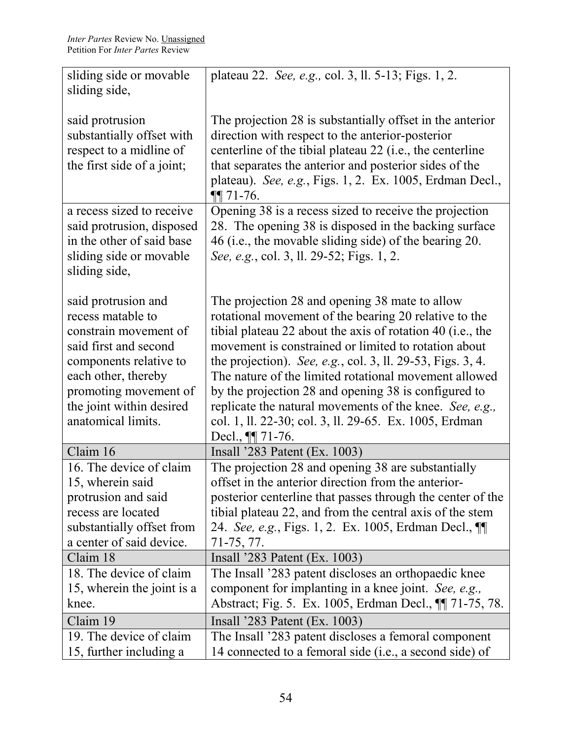| sliding side or movable<br>sliding side,                                                                                                                                                                               | plateau 22. See, e.g., col. 3, ll. 5-13; Figs. 1, 2.                                                                                                                                                                                                                                                                                                                                                                                                                                                                                                      |
|------------------------------------------------------------------------------------------------------------------------------------------------------------------------------------------------------------------------|-----------------------------------------------------------------------------------------------------------------------------------------------------------------------------------------------------------------------------------------------------------------------------------------------------------------------------------------------------------------------------------------------------------------------------------------------------------------------------------------------------------------------------------------------------------|
| said protrusion<br>substantially offset with<br>respect to a midline of<br>the first side of a joint;                                                                                                                  | The projection 28 is substantially offset in the anterior<br>direction with respect to the anterior-posterior<br>centerline of the tibial plateau 22 (i.e., the centerline<br>that separates the anterior and posterior sides of the<br>plateau). See, e.g., Figs. 1, 2. Ex. 1005, Erdman Decl.,<br>$\P\P$ 71-76.                                                                                                                                                                                                                                         |
| a recess sized to receive<br>said protrusion, disposed<br>in the other of said base<br>sliding side or movable<br>sliding side,                                                                                        | Opening 38 is a recess sized to receive the projection<br>28. The opening 38 is disposed in the backing surface<br>46 (i.e., the movable sliding side) of the bearing 20.<br>See, e.g., col. 3, ll. 29-52; Figs. 1, 2.                                                                                                                                                                                                                                                                                                                                    |
| said protrusion and<br>recess matable to<br>constrain movement of<br>said first and second<br>components relative to<br>each other, thereby<br>promoting movement of<br>the joint within desired<br>anatomical limits. | The projection 28 and opening 38 mate to allow<br>rotational movement of the bearing 20 relative to the<br>tibial plateau 22 about the axis of rotation 40 (i.e., the<br>movement is constrained or limited to rotation about<br>the projection). See, e.g., col. 3, ll. 29-53, Figs. 3, 4.<br>The nature of the limited rotational movement allowed<br>by the projection 28 and opening 38 is configured to<br>replicate the natural movements of the knee. See, e.g.,<br>col. 1, ll. 22-30; col. 3, ll. 29-65. Ex. 1005, Erdman<br>Decl., $\P\P$ 71-76. |
| Claim 16                                                                                                                                                                                                               | Insall $283$ Patent (Ex. 1003)                                                                                                                                                                                                                                                                                                                                                                                                                                                                                                                            |
| 16. The device of claim<br>15, wherein said<br>protrusion and said<br>recess are located<br>substantially offset from<br>a center of said device.                                                                      | The projection 28 and opening 38 are substantially<br>offset in the anterior direction from the anterior-<br>posterior centerline that passes through the center of the<br>tibial plateau 22, and from the central axis of the stem<br>24. See, e.g., Figs. 1, 2. Ex. 1005, Erdman Decl., ¶<br>71-75, 77.                                                                                                                                                                                                                                                 |
| Claim 18                                                                                                                                                                                                               | Insall $283$ Patent (Ex. 1003)                                                                                                                                                                                                                                                                                                                                                                                                                                                                                                                            |
| 18. The device of claim<br>15, wherein the joint is a<br>knee.                                                                                                                                                         | The Insall '283 patent discloses an orthopaedic knee<br>component for implanting in a knee joint. See, e.g.,<br>Abstract; Fig. 5. Ex. 1005, Erdman Decl., $\P$ 71-75, 78.                                                                                                                                                                                                                                                                                                                                                                                 |
| Claim 19                                                                                                                                                                                                               | Insall '283 Patent (Ex. 1003)                                                                                                                                                                                                                                                                                                                                                                                                                                                                                                                             |
| 19. The device of claim<br>15, further including a                                                                                                                                                                     | The Insall '283 patent discloses a femoral component<br>14 connected to a femoral side (i.e., a second side) of                                                                                                                                                                                                                                                                                                                                                                                                                                           |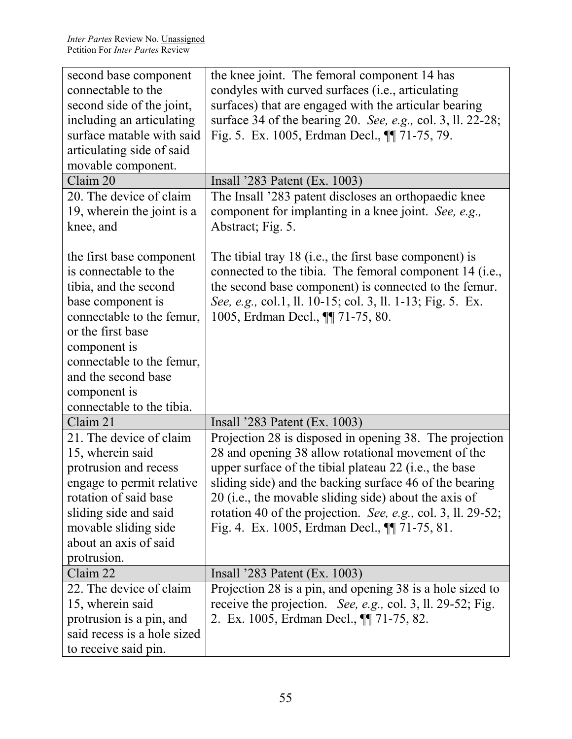| second base component                              | the knee joint. The femoral component 14 has                 |
|----------------------------------------------------|--------------------------------------------------------------|
| connectable to the                                 | condyles with curved surfaces (i.e., articulating            |
| second side of the joint,                          | surfaces) that are engaged with the articular bearing        |
| including an articulating                          | surface 34 of the bearing 20. See, e.g., col. 3, ll. 22-28;  |
| surface matable with said                          | Fig. 5. Ex. 1005, Erdman Decl., $\P$ 71-75, 79.              |
| articulating side of said                          |                                                              |
| movable component.                                 |                                                              |
| Claim 20                                           | Insall '283 Patent (Ex. 1003)                                |
| 20. The device of claim                            | The Insall '283 patent discloses an orthopaedic knee         |
| 19, wherein the joint is a                         | component for implanting in a knee joint. See, e.g.,         |
| knee, and                                          | Abstract; Fig. 5.                                            |
|                                                    |                                                              |
| the first base component                           | The tibial tray 18 (i.e., the first base component) is       |
| is connectable to the                              | connected to the tibia. The femoral component 14 (i.e.,      |
| tibia, and the second                              | the second base component) is connected to the femur.        |
| base component is                                  | See, e.g., col.1, ll. 10-15; col. 3, ll. 1-13; Fig. 5. Ex.   |
| connectable to the femur,                          | 1005, Erdman Decl., ¶ 71-75, 80.                             |
| or the first base                                  |                                                              |
| component is                                       |                                                              |
| connectable to the femur,                          |                                                              |
| and the second base                                |                                                              |
| component is                                       |                                                              |
| connectable to the tibia.                          |                                                              |
| Claim 21                                           | Insall '283 Patent (Ex. 1003)                                |
| 21. The device of claim                            | Projection 28 is disposed in opening 38. The projection      |
| 15, wherein said                                   | 28 and opening 38 allow rotational movement of the           |
| protrusion and recess                              | upper surface of the tibial plateau 22 (i.e., the base       |
|                                                    | sliding side) and the backing surface 46 of the bearing      |
| engage to permit relative<br>rotation of said base | 20 (i.e., the movable sliding side) about the axis of        |
| sliding side and said                              | rotation 40 of the projection. See, e.g., col. 3, ll. 29-52; |
| movable sliding side                               | Fig. 4. Ex. 1005, Erdman Decl., $\P$ [71-75, 81.             |
| about an axis of said                              |                                                              |
|                                                    |                                                              |
| protrusion.                                        |                                                              |
| Claim 22                                           | Insall $283$ Patent (Ex. 1003)                               |
| 22. The device of claim                            | Projection 28 is a pin, and opening 38 is a hole sized to    |
| 15, wherein said                                   | receive the projection. See, e.g., col. 3, ll. 29-52; Fig.   |
| protrusion is a pin, and                           | 2. Ex. 1005, Erdman Decl., <b>[1]</b> 71-75, 82.             |
| said recess is a hole sized                        |                                                              |
| to receive said pin.                               |                                                              |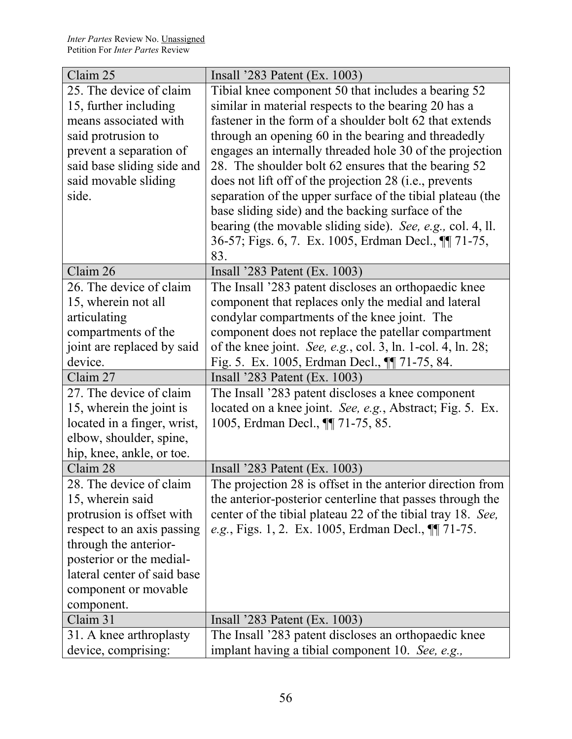| Claim 25                    | Insall '283 Patent (Ex. 1003)                               |
|-----------------------------|-------------------------------------------------------------|
| 25. The device of claim     | Tibial knee component 50 that includes a bearing 52         |
| 15, further including       | similar in material respects to the bearing 20 has a        |
| means associated with       | fastener in the form of a shoulder bolt 62 that extends     |
| said protrusion to          | through an opening 60 in the bearing and threadedly         |
| prevent a separation of     | engages an internally threaded hole 30 of the projection    |
| said base sliding side and  | 28. The shoulder bolt 62 ensures that the bearing 52        |
| said movable sliding        | does not lift off of the projection 28 (i.e., prevents      |
| side.                       | separation of the upper surface of the tibial plateau (the  |
|                             | base sliding side) and the backing surface of the           |
|                             | bearing (the movable sliding side). See, e.g., col. 4, ll.  |
|                             | 36-57; Figs. 6, 7. Ex. 1005, Erdman Decl., ¶ 71-75,         |
|                             | 83.                                                         |
| Claim 26                    | Insall $283$ Patent (Ex. 1003)                              |
| 26. The device of claim     | The Insall '283 patent discloses an orthopaedic knee        |
| 15, wherein not all         | component that replaces only the medial and lateral         |
| articulating                | condylar compartments of the knee joint. The                |
| compartments of the         | component does not replace the patellar compartment         |
| joint are replaced by said  | of the knee joint. See, e.g., col. 3, ln. 1-col. 4, ln. 28; |
| device.                     | Fig. 5. Ex. 1005, Erdman Decl., $\P$ [71-75, 84.            |
| Claim 27                    | Insall '283 Patent (Ex. 1003)                               |
| 27. The device of claim     | The Insall '283 patent discloses a knee component           |
| 15, wherein the joint is    | located on a knee joint. See, e.g., Abstract; Fig. 5. Ex.   |
| located in a finger, wrist, | 1005, Erdman Decl., ¶ 71-75, 85.                            |
| elbow, shoulder, spine,     |                                                             |
| hip, knee, ankle, or toe.   |                                                             |
| Claim 28                    | Insall '283 Patent (Ex. 1003)                               |
| 28. The device of claim     | The projection 28 is offset in the anterior direction from  |
| 15, wherein said            | the anterior-posterior centerline that passes through the   |
| protrusion is offset with   | center of the tibial plateau 22 of the tibial tray 18. See, |
| respect to an axis passing  | e.g., Figs. 1, 2. Ex. 1005, Erdman Decl., ¶ 71-75.          |
| through the anterior-       |                                                             |
| posterior or the medial-    |                                                             |
| lateral center of said base |                                                             |
| component or movable        |                                                             |
| component.                  |                                                             |
| Claim 31                    | Insall $283$ Patent (Ex. 1003)                              |
| 31. A knee arthroplasty     | The Insall '283 patent discloses an orthopaedic knee        |
| device, comprising:         | implant having a tibial component 10. See, e.g.,            |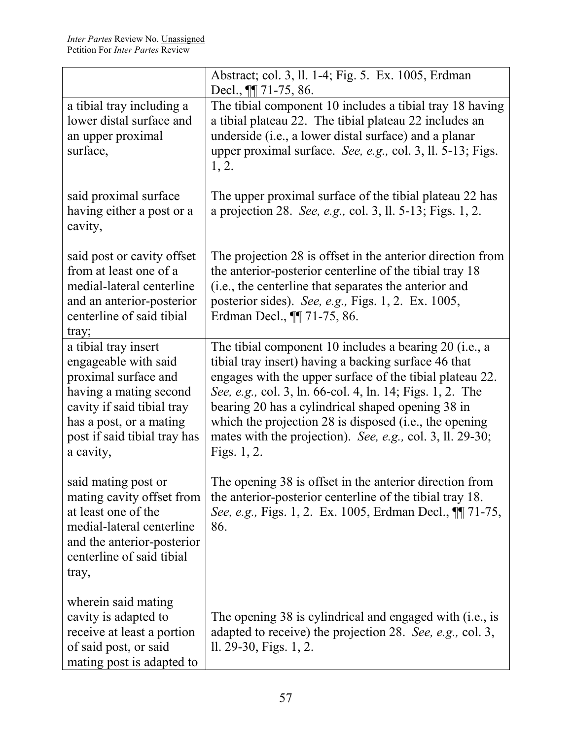|                                                                                                                                                                                                      | Abstract; col. 3, ll. 1-4; Fig. 5. Ex. 1005, Erdman<br>Decl., <b>11</b> 71-75, 86.                                                                                                                                                                                                                                                                                                                                                   |
|------------------------------------------------------------------------------------------------------------------------------------------------------------------------------------------------------|--------------------------------------------------------------------------------------------------------------------------------------------------------------------------------------------------------------------------------------------------------------------------------------------------------------------------------------------------------------------------------------------------------------------------------------|
| a tibial tray including a<br>lower distal surface and<br>an upper proximal<br>surface,                                                                                                               | The tibial component 10 includes a tibial tray 18 having<br>a tibial plateau 22. The tibial plateau 22 includes an<br>underside (i.e., a lower distal surface) and a planar<br>upper proximal surface. See, e.g., col. 3, ll. 5-13; Figs.<br>1, 2.                                                                                                                                                                                   |
| said proximal surface<br>having either a post or a<br>cavity,                                                                                                                                        | The upper proximal surface of the tibial plateau 22 has<br>a projection 28. See, e.g., col. 3, ll. 5-13; Figs. 1, 2.                                                                                                                                                                                                                                                                                                                 |
| said post or cavity offset<br>from at least one of a<br>medial-lateral centerline<br>and an anterior-posterior<br>centerline of said tibial<br>tray;                                                 | The projection 28 is offset in the anterior direction from<br>the anterior-posterior centerline of the tibial tray 18<br>(i.e., the centerline that separates the anterior and<br>posterior sides). See, e.g., Figs. 1, 2. Ex. 1005,<br>Erdman Decl., $\P$ 71-75, 86.                                                                                                                                                                |
| a tibial tray insert<br>engageable with said<br>proximal surface and<br>having a mating second<br>cavity if said tibial tray<br>has a post, or a mating<br>post if said tibial tray has<br>a cavity, | The tibial component 10 includes a bearing 20 (i.e., a<br>tibial tray insert) having a backing surface 46 that<br>engages with the upper surface of the tibial plateau 22.<br>See, e.g., col. 3, ln. 66-col. 4, ln. 14; Figs. 1, 2. The<br>bearing 20 has a cylindrical shaped opening 38 in<br>which the projection $28$ is disposed (i.e., the opening<br>mates with the projection). See, e.g., col. 3, ll. 29-30;<br>Figs. 1, 2. |
| said mating post or<br>mating cavity offset from<br>at least one of the<br>medial-lateral centerline<br>and the anterior-posterior<br>centerline of said tibial<br>tray,                             | The opening 38 is offset in the anterior direction from<br>the anterior-posterior centerline of the tibial tray 18.<br>See, e.g., Figs. 1, 2. Ex. 1005, Erdman Decl., $\P$ 71-75,<br>86.                                                                                                                                                                                                                                             |
| wherein said mating<br>cavity is adapted to<br>receive at least a portion<br>of said post, or said<br>mating post is adapted to                                                                      | The opening 38 is cylindrical and engaged with (i.e., is<br>adapted to receive) the projection 28. See, e.g., col. 3,<br>ll. 29-30, Figs. 1, 2.                                                                                                                                                                                                                                                                                      |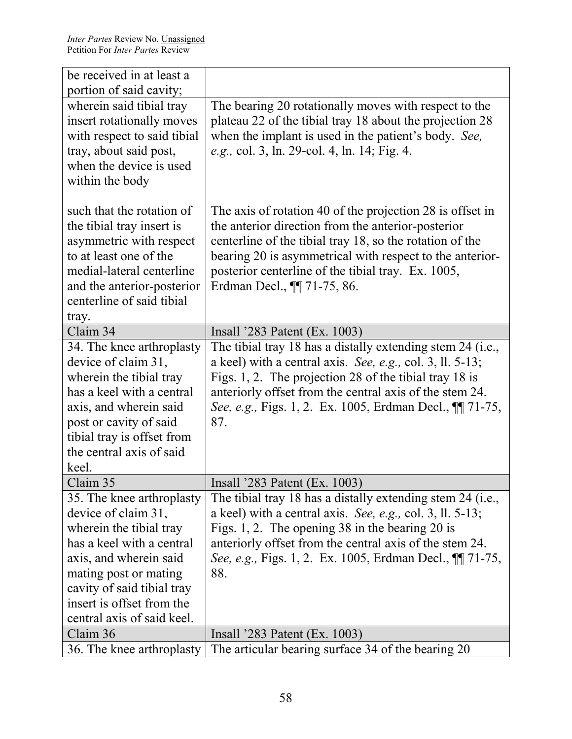| be received in at least a                                                        |                                                                                                                   |
|----------------------------------------------------------------------------------|-------------------------------------------------------------------------------------------------------------------|
| portion of said cavity;<br>wherein said tibial tray<br>insert rotationally moves | The bearing 20 rotationally moves with respect to the<br>plateau 22 of the tibial tray 18 about the projection 28 |
| with respect to said tibial                                                      | when the implant is used in the patient's body. See,                                                              |
| tray, about said post,<br>when the device is used                                | e.g., col. 3, ln. 29-col. 4, ln. 14; Fig. 4.                                                                      |
| within the body                                                                  |                                                                                                                   |
| such that the rotation of                                                        | The axis of rotation 40 of the projection 28 is offset in                                                         |
| the tibial tray insert is<br>asymmetric with respect                             | the anterior direction from the anterior-posterior<br>centerline of the tibial tray 18, so the rotation of the    |
| to at least one of the                                                           | bearing 20 is asymmetrical with respect to the anterior-                                                          |
| medial-lateral centerline                                                        | posterior centerline of the tibial tray. Ex. 1005,                                                                |
| and the anterior-posterior<br>centerline of said tibial                          | Erdman Decl., $\P$ 71-75, 86.                                                                                     |
| tray.                                                                            |                                                                                                                   |
| Claim 34                                                                         | Insall '283 Patent (Ex. 1003)                                                                                     |
| 34. The knee arthroplasty                                                        | The tibial tray 18 has a distally extending stem 24 (i.e.,                                                        |
| device of claim 31,                                                              | a keel) with a central axis. See, e.g., col. 3, ll. $5-13$ ;                                                      |
| wherein the tibial tray                                                          | Figs. 1, 2. The projection 28 of the tibial tray 18 is                                                            |
| has a keel with a central                                                        | anteriorly offset from the central axis of the stem 24.                                                           |
| axis, and wherein said                                                           | See, e.g., Figs. 1, 2. Ex. 1005, Erdman Decl., 11 71-75,                                                          |
| post or cavity of said                                                           | 87.                                                                                                               |
| tibial tray is offset from                                                       |                                                                                                                   |
| the central axis of said                                                         |                                                                                                                   |
| keel.                                                                            |                                                                                                                   |
| Claim 35                                                                         | Insall '283 Patent (Ex. 1003)                                                                                     |
| 35. The knee arthroplasty                                                        | The tibial tray 18 has a distally extending stem 24 (i.e.,                                                        |
| device of claim 31,                                                              | a keel) with a central axis. See, e.g., col. 3, 11. $5-13$ ;                                                      |
| wherein the tibial tray                                                          | Figs. 1, 2. The opening 38 in the bearing 20 is                                                                   |
| has a keel with a central                                                        | anteriorly offset from the central axis of the stem 24.                                                           |
| axis, and wherein said                                                           | See, e.g., Figs. 1, 2. Ex. 1005, Erdman Decl., $\P$ 71-75,                                                        |
| mating post or mating                                                            | 88.                                                                                                               |
| cavity of said tibial tray                                                       |                                                                                                                   |
| insert is offset from the                                                        |                                                                                                                   |
| central axis of said keel.                                                       |                                                                                                                   |
| Claim 36                                                                         | Insall '283 Patent (Ex. 1003)                                                                                     |
| 36. The knee arthroplasty                                                        | The articular bearing surface 34 of the bearing 20                                                                |